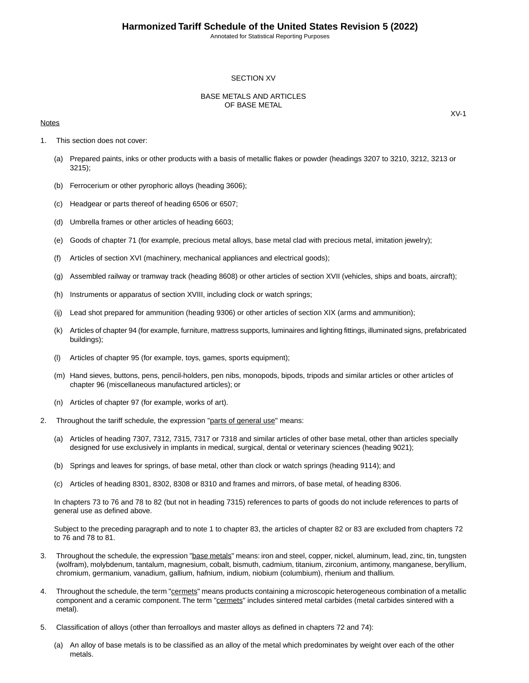#### SECTION XV

#### BASE METALS AND ARTICLES OF BASE METAL

#### **Notes**

- 1. This section does not cover:
	- (a) Prepared paints, inks or other products with a basis of metallic flakes or powder (headings 3207 to 3210, 3212, 3213 or 3215);
	- (b) Ferrocerium or other pyrophoric alloys (heading 3606);
	- (c) Headgear or parts thereof of heading 6506 or 6507;
	- (d) Umbrella frames or other articles of heading 6603;
	- (e) Goods of chapter 71 (for example, precious metal alloys, base metal clad with precious metal, imitation jewelry);
	- (f) Articles of section XVI (machinery, mechanical appliances and electrical goods);
	- (g) Assembled railway or tramway track (heading 8608) or other articles of section XVII (vehicles, ships and boats, aircraft);
	- (h) Instruments or apparatus of section XVIII, including clock or watch springs;
	- (ij) Lead shot prepared for ammunition (heading 9306) or other articles of section XIX (arms and ammunition);
	- (k) Articles of chapter 94 (for example, furniture, mattress supports, luminaires and lighting fittings, illuminated signs, prefabricated buildings);
	- (l) Articles of chapter 95 (for example, toys, games, sports equipment);
	- (m) Hand sieves, buttons, pens, pencil-holders, pen nibs, monopods, bipods, tripods and similar articles or other articles of chapter 96 (miscellaneous manufactured articles); or
	- (n) Articles of chapter 97 (for example, works of art).
- 2. Throughout the tariff schedule, the expression "parts of general use" means:
	- (a) Articles of heading 7307, 7312, 7315, 7317 or 7318 and similar articles of other base metal, other than articles specially designed for use exclusively in implants in medical, surgical, dental or veterinary sciences (heading 9021);
	- (b) Springs and leaves for springs, of base metal, other than clock or watch springs (heading 9114); and
	- (c) Articles of heading 8301, 8302, 8308 or 8310 and frames and mirrors, of base metal, of heading 8306.

In chapters 73 to 76 and 78 to 82 (but not in heading 7315) references to parts of goods do not include references to parts of general use as defined above.

Subject to the preceding paragraph and to note 1 to chapter 83, the articles of chapter 82 or 83 are excluded from chapters 72 to 76 and 78 to 81.

- 3. Throughout the schedule, the expression "base metals" means: iron and steel, copper, nickel, aluminum, lead, zinc, tin, tungsten (wolfram), molybdenum, tantalum, magnesium, cobalt, bismuth, cadmium, titanium, zirconium, antimony, manganese, beryllium, chromium, germanium, vanadium, gallium, hafnium, indium, niobium (columbium), rhenium and thallium.
- 4. Throughout the schedule, the term "cermets" means products containing a microscopic heterogeneous combination of a metallic component and a ceramic component. The term "cermets" includes sintered metal carbides (metal carbides sintered with a metal).
- 5. Classification of alloys (other than ferroalloys and master alloys as defined in chapters 72 and 74):
	- (a) An alloy of base metals is to be classified as an alloy of the metal which predominates by weight over each of the other metals.

XV-1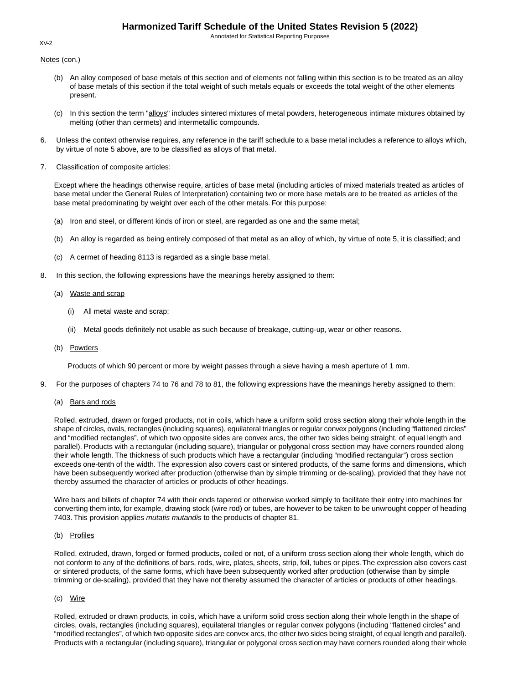Annotated for Statistical Reporting Purposes

Notes (con.)

- (b) An alloy composed of base metals of this section and of elements not falling within this section is to be treated as an alloy of base metals of this section if the total weight of such metals equals or exceeds the total weight of the other elements present.
- (c) In this section the term "alloys" includes sintered mixtures of metal powders, heterogeneous intimate mixtures obtained by melting (other than cermets) and intermetallic compounds.
- 6. Unless the context otherwise requires, any reference in the tariff schedule to a base metal includes a reference to alloys which, by virtue of note 5 above, are to be classified as alloys of that metal.
- 7. Classification of composite articles:

Except where the headings otherwise require, articles of base metal (including articles of mixed materials treated as articles of base metal under the General Rules of Interpretation) containing two or more base metals are to be treated as articles of the base metal predominating by weight over each of the other metals. For this purpose:

- (a) Iron and steel, or different kinds of iron or steel, are regarded as one and the same metal;
- (b) An alloy is regarded as being entirely composed of that metal as an alloy of which, by virtue of note 5, it is classified; and
- (c) A cermet of heading 8113 is regarded as a single base metal.
- 8. In this section, the following expressions have the meanings hereby assigned to them:
	- (a) Waste and scrap
		- (i) All metal waste and scrap;
		- (ii) Metal goods definitely not usable as such because of breakage, cutting-up, wear or other reasons.
	- (b) Powders

Products of which 90 percent or more by weight passes through a sieve having a mesh aperture of 1 mm.

- 9. For the purposes of chapters 74 to 76 and 78 to 81, the following expressions have the meanings hereby assigned to them:
	- (a) Bars and rods

Rolled, extruded, drawn or forged products, not in coils, which have a uniform solid cross section along their whole length in the shape of circles, ovals, rectangles (including squares), equilateral triangles or regular convex polygons (including "flattened circles" and "modified rectangles", of which two opposite sides are convex arcs, the other two sides being straight, of equal length and parallel). Products with a rectangular (including square), triangular or polygonal cross section may have corners rounded along their whole length. The thickness of such products which have a rectangular (including "modified rectangular") cross section exceeds one-tenth of the width. The expression also covers cast or sintered products, of the same forms and dimensions, which have been subsequently worked after production (otherwise than by simple trimming or de-scaling), provided that they have not thereby assumed the character of articles or products of other headings.

Wire bars and billets of chapter 74 with their ends tapered or otherwise worked simply to facilitate their entry into machines for converting them into, for example, drawing stock (wire rod) or tubes, are however to be taken to be unwrought copper of heading 7403. This provision applies *mutatis mutandis* to the products of chapter 81.

#### (b) Profiles

Rolled, extruded, drawn, forged or formed products, coiled or not, of a uniform cross section along their whole length, which do not conform to any of the definitions of bars, rods, wire, plates, sheets, strip, foil, tubes or pipes. The expression also covers cast or sintered products, of the same forms, which have been subsequently worked after production (otherwise than by simple trimming or de-scaling), provided that they have not thereby assumed the character of articles or products of other headings.

#### (c) Wire

Rolled, extruded or drawn products, in coils, which have a uniform solid cross section along their whole length in the shape of circles, ovals, rectangles (including squares), equilateral triangles or regular convex polygons (including "flattened circles" and "modified rectangles", of which two opposite sides are convex arcs, the other two sides being straight, of equal length and parallel). Products with a rectangular (including square), triangular or polygonal cross section may have corners rounded along their whole

#### XV-2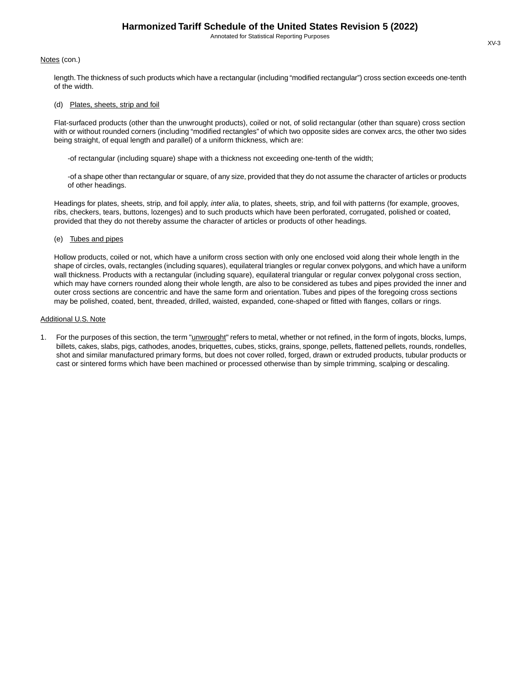#### Notes (con.)

length.The thickness of such products which have a rectangular (including "modified rectangular") cross section exceeds one-tenth of the width.

#### (d) Plates, sheets, strip and foil

Flat-surfaced products (other than the unwrought products), coiled or not, of solid rectangular (other than square) cross section with or without rounded corners (including "modified rectangles" of which two opposite sides are convex arcs, the other two sides being straight, of equal length and parallel) of a uniform thickness, which are:

-of rectangular (including square) shape with a thickness not exceeding one-tenth of the width;

-of a shape other than rectangular or square, of any size, provided that they do not assume the character of articles or products of other headings.

Headings for plates, sheets, strip, and foil apply, *inter alia*, to plates, sheets, strip, and foil with patterns (for example, grooves, ribs, checkers, tears, buttons, lozenges) and to such products which have been perforated, corrugated, polished or coated, provided that they do not thereby assume the character of articles or products of other headings.

#### (e) Tubes and pipes

Hollow products, coiled or not, which have a uniform cross section with only one enclosed void along their whole length in the shape of circles, ovals, rectangles (including squares), equilateral triangles or regular convex polygons, and which have a uniform wall thickness. Products with a rectangular (including square), equilateral triangular or regular convex polygonal cross section, which may have corners rounded along their whole length, are also to be considered as tubes and pipes provided the inner and outer cross sections are concentric and have the same form and orientation. Tubes and pipes of the foregoing cross sections may be polished, coated, bent, threaded, drilled, waisted, expanded, cone-shaped or fitted with flanges, collars or rings.

#### Additional U.S. Note

1. For the purposes of this section, the term "*unwrought*" refers to metal, whether or not refined, in the form of ingots, blocks, lumps, billets, cakes, slabs, pigs, cathodes, anodes, briquettes, cubes, sticks, grains, sponge, pellets, flattened pellets, rounds, rondelles, shot and similar manufactured primary forms, but does not cover rolled, forged, drawn or extruded products, tubular products or cast or sintered forms which have been machined or processed otherwise than by simple trimming, scalping or descaling.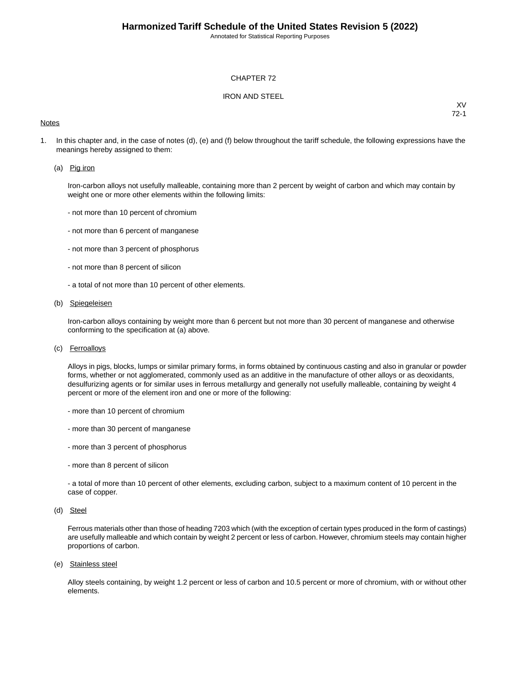#### CHAPTER 72

#### IRON AND STEEL

#### **Notes**

XV 72-1

1. In this chapter and, in the case of notes (d), (e) and (f) below throughout the tariff schedule, the following expressions have the meanings hereby assigned to them:

#### (a) Pig iron

Iron-carbon alloys not usefully malleable, containing more than 2 percent by weight of carbon and which may contain by weight one or more other elements within the following limits:

- not more than 10 percent of chromium
- not more than 6 percent of manganese
- not more than 3 percent of phosphorus
- not more than 8 percent of silicon
- a total of not more than 10 percent of other elements.

#### (b) Spiegeleisen

Iron-carbon alloys containing by weight more than 6 percent but not more than 30 percent of manganese and otherwise conforming to the specification at (a) above.

(c) Ferroalloys

Alloys in pigs, blocks, lumps or similar primary forms, in forms obtained by continuous casting and also in granular or powder forms, whether or not agglomerated, commonly used as an additive in the manufacture of other alloys or as deoxidants, desulfurizing agents or for similar uses in ferrous metallurgy and generally not usefully malleable, containing by weight 4 percent or more of the element iron and one or more of the following:

- more than 10 percent of chromium
- more than 30 percent of manganese
- more than 3 percent of phosphorus
- more than 8 percent of silicon

- a total of more than 10 percent of other elements, excluding carbon, subject to a maximum content of 10 percent in the case of copper.

(d) Steel

Ferrous materials other than those of heading 7203 which (with the exception of certain types produced in the form of castings) are usefully malleable and which contain by weight 2 percent or less of carbon. However, chromium steels may contain higher proportions of carbon.

(e) Stainless steel

Alloy steels containing, by weight 1.2 percent or less of carbon and 10.5 percent or more of chromium, with or without other elements.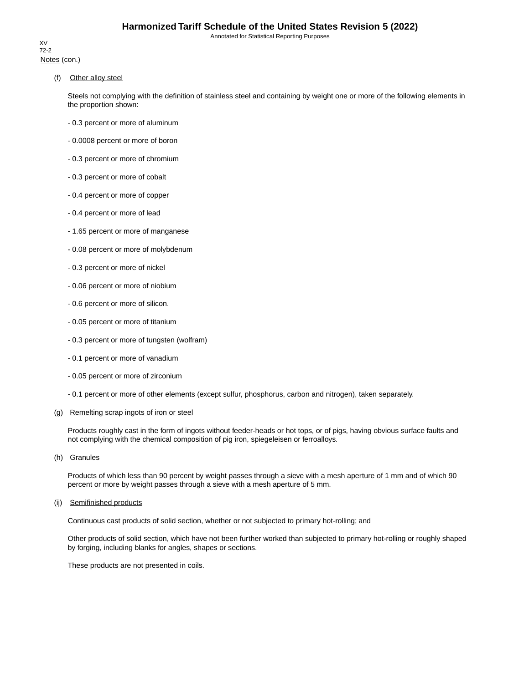Notes (con.) XV 72-2

(f) Other alloy steel

Steels not complying with the definition of stainless steel and containing by weight one or more of the following elements in the proportion shown:

- 0.3 percent or more of aluminum
- 0.0008 percent or more of boron
- 0.3 percent or more of chromium
- 0.3 percent or more of cobalt
- 0.4 percent or more of copper
- 0.4 percent or more of lead
- 1.65 percent or more of manganese
- 0.08 percent or more of molybdenum
- 0.3 percent or more of nickel
- 0.06 percent or more of niobium
- 0.6 percent or more of silicon.
- 0.05 percent or more of titanium
- 0.3 percent or more of tungsten (wolfram)
- 0.1 percent or more of vanadium
- 0.05 percent or more of zirconium
- 0.1 percent or more of other elements (except sulfur, phosphorus, carbon and nitrogen), taken separately.

#### (g) Remelting scrap ingots of iron or steel

Products roughly cast in the form of ingots without feeder-heads or hot tops, or of pigs, having obvious surface faults and not complying with the chemical composition of pig iron, spiegeleisen or ferroalloys.

(h) Granules

Products of which less than 90 percent by weight passes through a sieve with a mesh aperture of 1 mm and of which 90 percent or more by weight passes through a sieve with a mesh aperture of 5 mm.

#### (ij) Semifinished products

Continuous cast products of solid section, whether or not subjected to primary hot-rolling; and

Other products of solid section, which have not been further worked than subjected to primary hot-rolling or roughly shaped by forging, including blanks for angles, shapes or sections.

These products are not presented in coils.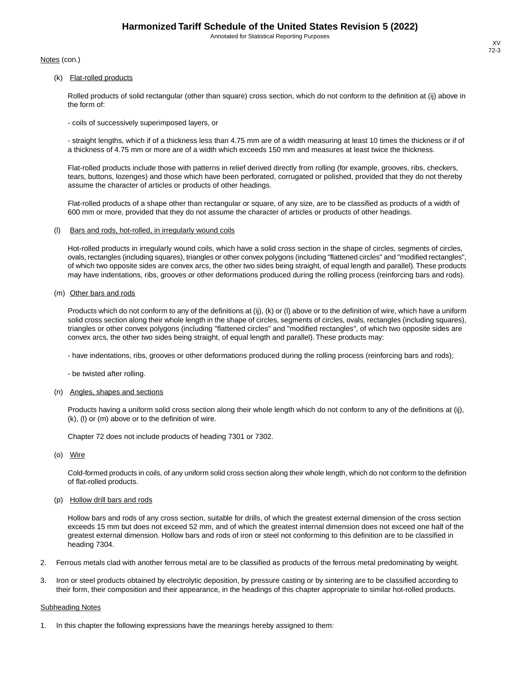Notes (con.)

(k) Flat-rolled products

Rolled products of solid rectangular (other than square) cross section, which do not conform to the definition at (ij) above in the form of:

- coils of successively superimposed layers, or

- straight lengths, which if of a thickness less than 4.75 mm are of a width measuring at least 10 times the thickness or if of a thickness of 4.75 mm or more are of a width which exceeds 150 mm and measures at least twice the thickness.

Flat-rolled products include those with patterns in relief derived directly from rolling (for example, grooves, ribs, checkers, tears, buttons, lozenges) and those which have been perforated, corrugated or polished, provided that they do not thereby assume the character of articles or products of other headings.

Flat-rolled products of a shape other than rectangular or square, of any size, are to be classified as products of a width of 600 mm or more, provided that they do not assume the character of articles or products of other headings.

(l) Bars and rods, hot-rolled, in irregularly wound coils

Hot-rolled products in irregularly wound coils, which have a solid cross section in the shape of circles, segments of circles, ovals, rectangles (including squares), triangles or other convex polygons (including "flattened circles" and "modified rectangles", of which two opposite sides are convex arcs, the other two sides being straight, of equal length and parallel).These products may have indentations, ribs, grooves or other deformations produced during the rolling process (reinforcing bars and rods).

(m) Other bars and rods

Products which do not conform to any of the definitions at (ij), (k) or (l) above or to the definition of wire, which have a uniform solid cross section along their whole length in the shape of circles, segments of circles, ovals, rectangles (including squares), triangles or other convex polygons (including "flattened circles" and "modified rectangles", of which two opposite sides are convex arcs, the other two sides being straight, of equal length and parallel). These products may:

- have indentations, ribs, grooves or other deformations produced during the rolling process (reinforcing bars and rods);

- be twisted after rolling.

#### (n) Angles, shapes and sections

Products having a uniform solid cross section along their whole length which do not conform to any of the definitions at (ij), (k), (l) or (m) above or to the definition of wire.

Chapter 72 does not include products of heading 7301 or 7302.

(o) Wire

Cold-formed products in coils, of any uniform solid cross section along their whole length, which do not conform to the definition of flat-rolled products.

(p) Hollow drill bars and rods

Hollow bars and rods of any cross section, suitable for drills, of which the greatest external dimension of the cross section exceeds 15 mm but does not exceed 52 mm, and of which the greatest internal dimension does not exceed one half of the greatest external dimension. Hollow bars and rods of iron or steel not conforming to this definition are to be classified in heading 7304.

- 2. Ferrous metals clad with another ferrous metal are to be classified as products of the ferrous metal predominating by weight.
- 3. Iron or steel products obtained by electrolytic deposition, by pressure casting or by sintering are to be classified according to their form, their composition and their appearance, in the headings of this chapter appropriate to similar hot-rolled products.

#### Subheading Notes

In this chapter the following expressions have the meanings hereby assigned to them: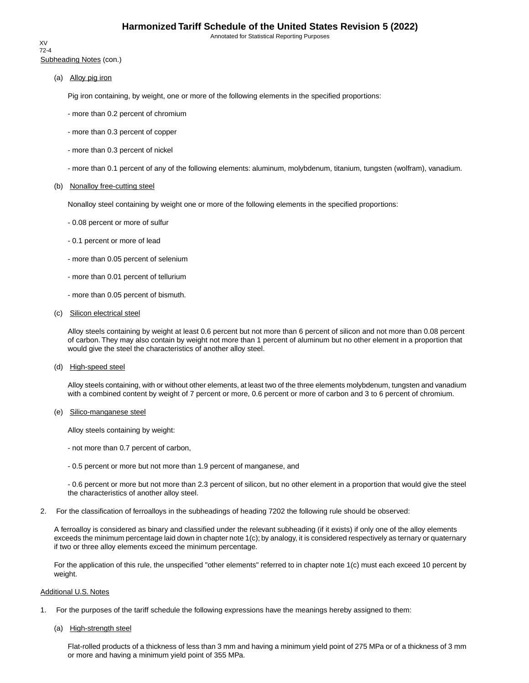Subheading Notes (con.) XV 72-4

(a) Alloy pig iron

Pig iron containing, by weight, one or more of the following elements in the specified proportions:

- more than 0.2 percent of chromium
- more than 0.3 percent of copper
- more than 0.3 percent of nickel
- more than 0.1 percent of any of the following elements: aluminum, molybdenum, titanium, tungsten (wolfram), vanadium.

#### (b) Nonalloy free-cutting steel

Nonalloy steel containing by weight one or more of the following elements in the specified proportions:

- 0.08 percent or more of sulfur
- 0.1 percent or more of lead
- more than 0.05 percent of selenium
- more than 0.01 percent of tellurium
- more than 0.05 percent of bismuth.
- (c) Silicon electrical steel

Alloy steels containing by weight at least 0.6 percent but not more than 6 percent of silicon and not more than 0.08 percent of carbon. They may also contain by weight not more than 1 percent of aluminum but no other element in a proportion that would give the steel the characteristics of another alloy steel.

(d) High-speed steel

Alloy steels containing, with or without other elements, at least two of the three elements molybdenum, tungsten and vanadium with a combined content by weight of 7 percent or more, 0.6 percent or more of carbon and 3 to 6 percent of chromium.

(e) Silico-manganese steel

Alloy steels containing by weight:

- not more than 0.7 percent of carbon,
- 0.5 percent or more but not more than 1.9 percent of manganese, and

- 0.6 percent or more but not more than 2.3 percent of silicon, but no other element in a proportion that would give the steel the characteristics of another alloy steel.

2. For the classification of ferroalloys in the subheadings of heading 7202 the following rule should be observed:

A ferroalloy is considered as binary and classified under the relevant subheading (if it exists) if only one of the alloy elements exceeds the minimum percentage laid down in chapter note 1(c); by analogy, it is considered respectively as ternary or quaternary if two or three alloy elements exceed the minimum percentage.

For the application of this rule, the unspecified "other elements" referred to in chapter note 1(c) must each exceed 10 percent by weight.

#### Additional U.S. Notes

- 1. For the purposes of the tariff schedule the following expressions have the meanings hereby assigned to them:
	- (a) High-strength steel

Flat-rolled products of a thickness of less than 3 mm and having a minimum yield point of 275 MPa or of a thickness of 3 mm or more and having a minimum yield point of 355 MPa.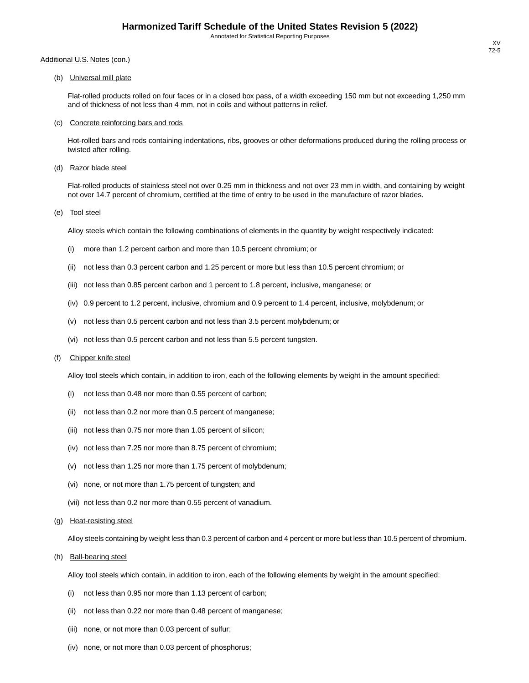#### Additional U.S. Notes (con.)

(b) Universal mill plate

Flat-rolled products rolled on four faces or in a closed box pass, of a width exceeding 150 mm but not exceeding 1,250 mm and of thickness of not less than 4 mm, not in coils and without patterns in relief.

#### (c) Concrete reinforcing bars and rods

Hot-rolled bars and rods containing indentations, ribs, grooves or other deformations produced during the rolling process or twisted after rolling.

(d) Razor blade steel

Flat-rolled products of stainless steel not over 0.25 mm in thickness and not over 23 mm in width, and containing by weight not over 14.7 percent of chromium, certified at the time of entry to be used in the manufacture of razor blades.

(e) Tool steel

Alloy steels which contain the following combinations of elements in the quantity by weight respectively indicated:

- (i) more than 1.2 percent carbon and more than 10.5 percent chromium; or
- (ii) not less than 0.3 percent carbon and 1.25 percent or more but less than 10.5 percent chromium; or
- (iii) not less than 0.85 percent carbon and 1 percent to 1.8 percent, inclusive, manganese; or
- (iv) 0.9 percent to 1.2 percent, inclusive, chromium and 0.9 percent to 1.4 percent, inclusive, molybdenum; or
- (v) not less than 0.5 percent carbon and not less than 3.5 percent molybdenum; or
- (vi) not less than 0.5 percent carbon and not less than 5.5 percent tungsten.

#### (f) Chipper knife steel

Alloy tool steels which contain, in addition to iron, each of the following elements by weight in the amount specified:

- (i) not less than 0.48 nor more than 0.55 percent of carbon;
- (ii) not less than 0.2 nor more than 0.5 percent of manganese;
- (iii) not less than 0.75 nor more than 1.05 percent of silicon;
- (iv) not less than 7.25 nor more than 8.75 percent of chromium;
- (v) not less than 1.25 nor more than 1.75 percent of molybdenum;
- (vi) none, or not more than 1.75 percent of tungsten; and
- (vii) not less than 0.2 nor more than 0.55 percent of vanadium.
- (g) Heat-resisting steel

Alloy steels containing by weight less than 0.3 percent of carbon and 4 percent or more but less than 10.5 percent of chromium.

(h) Ball-bearing steel

Alloy tool steels which contain, in addition to iron, each of the following elements by weight in the amount specified:

- (i) not less than 0.95 nor more than 1.13 percent of carbon;
- (ii) not less than 0.22 nor more than 0.48 percent of manganese;
- (iii) none, or not more than 0.03 percent of sulfur;
- (iv) none, or not more than 0.03 percent of phosphorus;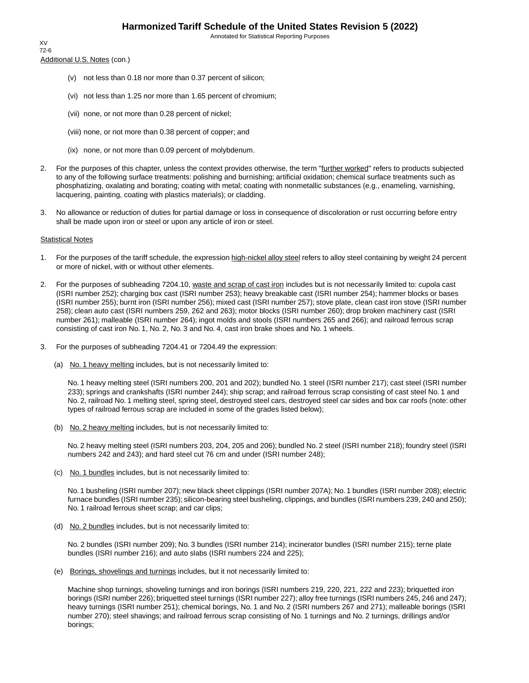Annotated for Statistical Reporting Purposes

Additional U.S. Notes (con.) XV 72-6

- (v) not less than 0.18 nor more than 0.37 percent of silicon;
- (vi) not less than 1.25 nor more than 1.65 percent of chromium;
- (vii) none, or not more than 0.28 percent of nickel;
- (viii) none, or not more than 0.38 percent of copper; and
- (ix) none, or not more than 0.09 percent of molybdenum.
- 2. For the purposes of this chapter, unless the context provides otherwise, the term "further worked" refers to products subjected to any of the following surface treatments: polishing and burnishing; artificial oxidation; chemical surface treatments such as phosphatizing, oxalating and borating; coating with metal; coating with nonmetallic substances (e.g., enameling, varnishing, lacquering, painting, coating with plastics materials); or cladding.
- 3. No allowance or reduction of duties for partial damage or loss in consequence of discoloration or rust occurring before entry shall be made upon iron or steel or upon any article of iron or steel.

#### Statistical Notes

- 1. For the purposes of the tariff schedule, the expression high-nickel alloy steel refers to alloy steel containing by weight 24 percent or more of nickel, with or without other elements.
- 2. For the purposes of subheading 7204.10, waste and scrap of cast iron includes but is not necessarily limited to: cupola cast (ISRI number 252); charging box cast (ISRI number 253); heavy breakable cast (ISRI number 254); hammer blocks or bases (ISRI number 255); burnt iron (ISRI number 256); mixed cast (ISRI number 257); stove plate, clean cast iron stove (ISRI number 258); clean auto cast (ISRI numbers 259, 262 and 263); motor blocks (ISRI number 260); drop broken machinery cast (ISRI number 261); malleable (ISRI number 264); ingot molds and stools (ISRI numbers 265 and 266); and railroad ferrous scrap consisting of cast iron No. 1, No. 2, No. 3 and No. 4, cast iron brake shoes and No. 1 wheels.
- 3. For the purposes of subheading 7204.41 or 7204.49 the expression:
	- (a) No. 1 heavy melting includes, but is not necessarily limited to:

No. 1 heavy melting steel (ISRI numbers 200, 201 and 202); bundled No. 1 steel (ISRI number 217); cast steel (ISRI number 233); springs and crankshafts (ISRI number 244); ship scrap; and railroad ferrous scrap consisting of cast steel No. 1 and No. 2, railroad No. 1 melting steel, spring steel, destroyed steel cars, destroyed steel car sides and box car roofs (note: other types of railroad ferrous scrap are included in some of the grades listed below);

(b) No. 2 heavy melting includes, but is not necessarily limited to:

No. 2 heavy melting steel (ISRI numbers 203, 204, 205 and 206); bundled No. 2 steel (ISRI number 218); foundry steel (ISRI numbers 242 and 243); and hard steel cut 76 cm and under (ISRI number 248);

(c) No. 1 bundles includes, but is not necessarily limited to:

No. 1 busheling (ISRI number 207); new black sheet clippings (ISRI number 207A); No. 1 bundles (ISRI number 208); electric furnace bundles (ISRI number 235); silicon-bearing steel busheling, clippings, and bundles (ISRI numbers 239, 240 and 250); No. 1 railroad ferrous sheet scrap; and car clips;

(d) No. 2 bundles includes, but is not necessarily limited to:

No. 2 bundles (ISRI number 209); No. 3 bundles (ISRI number 214); incinerator bundles (ISRI number 215); terne plate bundles (ISRI number 216); and auto slabs (ISRI numbers 224 and 225);

(e) Borings, shovelings and turnings includes, but it not necessarily limited to:

Machine shop turnings, shoveling turnings and iron borings (ISRI numbers 219, 220, 221, 222 and 223); briquetted iron borings (ISRI number 226); briquetted steel turnings (ISRI number 227); alloy free turnings (ISRI numbers 245, 246 and 247); heavy turnings (ISRI number 251); chemical borings, No. 1 and No. 2 (ISRI numbers 267 and 271); malleable borings (ISRI number 270); steel shavings; and railroad ferrous scrap consisting of No. 1 turnings and No. 2 turnings, drillings and/or borings;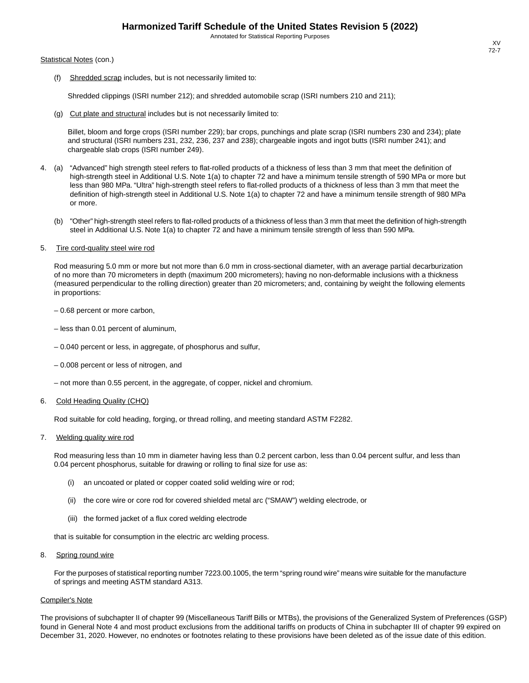#### Statistical Notes (con.)

(f) Shredded scrap includes, but is not necessarily limited to:

Shredded clippings (ISRI number 212); and shredded automobile scrap (ISRI numbers 210 and 211);

(g) Cut plate and structural includes but is not necessarily limited to:

Billet, bloom and forge crops (ISRI number 229); bar crops, punchings and plate scrap (ISRI numbers 230 and 234); plate and structural (ISRI numbers 231, 232, 236, 237 and 238); chargeable ingots and ingot butts (ISRI number 241); and chargeable slab crops (ISRI number 249).

- 4. (a) "Advanced" high strength steel refers to flat-rolled products of a thickness of less than 3 mm that meet the definition of high-strength steel in Additional U.S. Note 1(a) to chapter 72 and have a minimum tensile strength of 590 MPa or more but less than 980 MPa. "Ultra" high-strength steel refers to flat-rolled products of a thickness of less than 3 mm that meet the definition of high-strength steel in Additional U.S. Note 1(a) to chapter 72 and have a minimum tensile strength of 980 MPa or more.
	- (b) "Other" high-strength steel refers to flat-rolled products of a thickness of less than 3 mm that meet the definition of high-strength steel in Additional U.S. Note 1(a) to chapter 72 and have a minimum tensile strength of less than 590 MPa.

#### 5. Tire cord-quality steel wire rod

Rod measuring 5.0 mm or more but not more than 6.0 mm in cross-sectional diameter, with an average partial decarburization of no more than 70 micrometers in depth (maximum 200 micrometers); having no non-deformable inclusions with a thickness (measured perpendicular to the rolling direction) greater than 20 micrometers; and, containing by weight the following elements in proportions:

– 0.68 percent or more carbon,

- less than 0.01 percent of aluminum,
- 0.040 percent or less, in aggregate, of phosphorus and sulfur,
- 0.008 percent or less of nitrogen, and
- not more than 0.55 percent, in the aggregate, of copper, nickel and chromium.

#### 6. Cold Heading Quality (CHQ)

Rod suitable for cold heading, forging, or thread rolling, and meeting standard ASTM F2282.

#### 7. Welding quality wire rod

Rod measuring less than 10 mm in diameter having less than 0.2 percent carbon, less than 0.04 percent sulfur, and less than 0.04 percent phosphorus, suitable for drawing or rolling to final size for use as:

- (i) an uncoated or plated or copper coated solid welding wire or rod;
- (ii) the core wire or core rod for covered shielded metal arc ("SMAW") welding electrode, or
- (iii) the formed jacket of a flux cored welding electrode

that is suitable for consumption in the electric arc welding process.

8. Spring round wire

For the purposes of statistical reporting number 7223.00.1005, the term "spring round wire" means wire suitable for the manufacture of springs and meeting ASTM standard A313.

#### Compiler's Note

The provisions of subchapter II of chapter 99 (Miscellaneous Tariff Bills or MTBs), the provisions of the Generalized System of Preferences (GSP) found in General Note 4 and most product exclusions from the additional tariffs on products of China in subchapter III of chapter 99 expired on December 31, 2020. However, no endnotes or footnotes relating to these provisions have been deleted as of the issue date of this edition.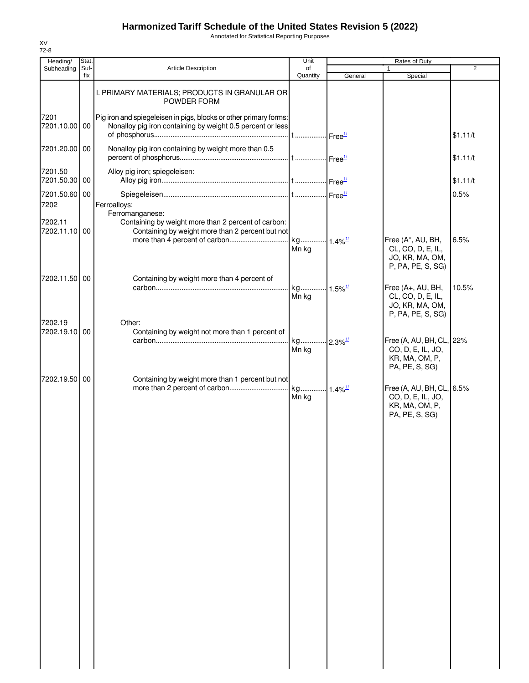Annotated for Statistical Reporting Purposes

| Heading/                         | Stat.       |                                                                                                                                            | Unit                           |         | Rates of Duty                                                                  |                |
|----------------------------------|-------------|--------------------------------------------------------------------------------------------------------------------------------------------|--------------------------------|---------|--------------------------------------------------------------------------------|----------------|
| Subheading                       | Suf-<br>fix | <b>Article Description</b>                                                                                                                 | of<br>Quantity                 | General | $\mathbf{1}$<br>Special                                                        | $\overline{2}$ |
|                                  |             | I. PRIMARY MATERIALS; PRODUCTS IN GRANULAR OR<br>POWDER FORM                                                                               |                                |         |                                                                                |                |
| 7201<br>7201.10.00 00            |             | Pig iron and spiegeleisen in pigs, blocks or other primary forms:<br>Nonalloy pig iron containing by weight 0.5 percent or less            |                                |         |                                                                                | \$1.11/t       |
| 7201.20.00 00                    |             | Nonalloy pig iron containing by weight more than 0.5                                                                                       |                                |         |                                                                                | \$1.11/t       |
| 7201.50<br>7201.50.30 00         |             | Alloy pig iron; spiegeleisen:                                                                                                              |                                |         |                                                                                | \$1.11/t       |
| 7201.50.60 00                    |             |                                                                                                                                            |                                |         |                                                                                | 0.5%           |
| 7202<br>7202.11<br>7202.11.10 00 |             | Ferroalloys:<br>Ferromanganese:<br>Containing by weight more than 2 percent of carbon:<br>Containing by weight more than 2 percent but not |                                |         | Free (A*, AU, BH,                                                              | 6.5%           |
|                                  |             |                                                                                                                                            | Mn kg                          |         | CL, CO, D, E, IL,<br>JO, KR, MA, OM,<br>P, PA, PE, S, SG)                      |                |
| 7202.11.50 00                    |             | Containing by weight more than 4 percent of                                                                                                |                                |         |                                                                                |                |
|                                  |             |                                                                                                                                            | kg 1.5% <sup>1/</sup><br>Mn kg |         | Free (A+, AU, BH,<br>CL, CO, D, E, IL,<br>JO, KR, MA, OM,<br>P, PA, PE, S, SG) | 10.5%          |
| 7202.19<br>7202.19.10 00         |             | Other:<br>Containing by weight not more than 1 percent of                                                                                  | kg 2.3% <sup>1/</sup>          |         | Free (A, AU, BH, CL, 22%                                                       |                |
|                                  |             |                                                                                                                                            | Mn kg                          |         | CO, D, E, IL, JO,<br>KR, MA, OM, P,<br>PA, PE, S, SG)                          |                |
| 7202.19.50 00                    |             | Containing by weight more than 1 percent but not                                                                                           | Mn kg                          |         | Free (A, AU, BH, CL, 6.5%<br>CO, D, E, IL, JO,                                 |                |
|                                  |             |                                                                                                                                            |                                |         | KR, MA, OM, P,<br>PA, PE, S, SG)                                               |                |
|                                  |             |                                                                                                                                            |                                |         |                                                                                |                |
|                                  |             |                                                                                                                                            |                                |         |                                                                                |                |
|                                  |             |                                                                                                                                            |                                |         |                                                                                |                |
|                                  |             |                                                                                                                                            |                                |         |                                                                                |                |
|                                  |             |                                                                                                                                            |                                |         |                                                                                |                |
|                                  |             |                                                                                                                                            |                                |         |                                                                                |                |
|                                  |             |                                                                                                                                            |                                |         |                                                                                |                |
|                                  |             |                                                                                                                                            |                                |         |                                                                                |                |
|                                  |             |                                                                                                                                            |                                |         |                                                                                |                |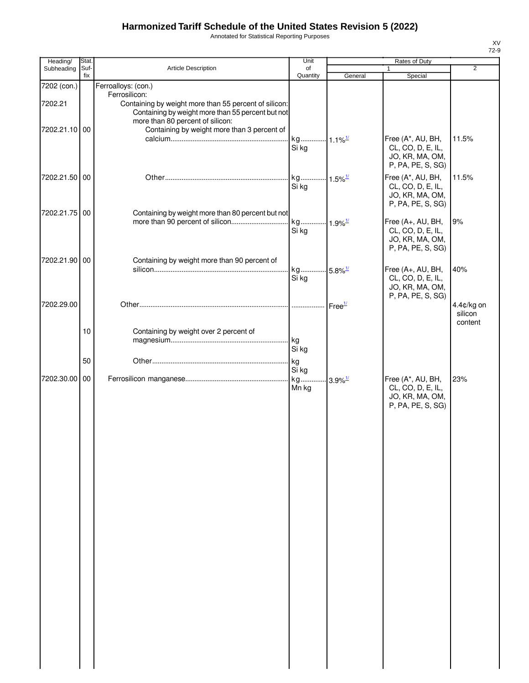Annotated for Statistical Reporting Purposes

| Heading/                 | Stat.       |                                                                                                                                                                                                                | Unit                                    |                    | Rates of Duty                                                                  |                                  |
|--------------------------|-------------|----------------------------------------------------------------------------------------------------------------------------------------------------------------------------------------------------------------|-----------------------------------------|--------------------|--------------------------------------------------------------------------------|----------------------------------|
| Subheading               | Suf-<br>fix | Article Description                                                                                                                                                                                            | of<br>Quantity                          | General            | 1<br>Special                                                                   | $\overline{2}$                   |
| 7202 (con.)              |             | Ferroalloys: (con.)                                                                                                                                                                                            |                                         |                    |                                                                                |                                  |
| 7202.21<br>7202.21.10 00 |             | Ferrosilicon:<br>Containing by weight more than 55 percent of silicon:<br>Containing by weight more than 55 percent but not<br>more than 80 percent of silicon:<br>Containing by weight more than 3 percent of |                                         |                    |                                                                                |                                  |
|                          |             |                                                                                                                                                                                                                | kg 1.1% <sup>1/</sup><br>Si kg          |                    | Free (A*, AU, BH,<br>CL, CO, D, E, IL,<br>JO, KR, MA, OM,<br>P, PA, PE, S, SG) | 11.5%                            |
| 7202.21.50 00            |             |                                                                                                                                                                                                                | kg 1.5% <sup>1/</sup><br>Si kg          |                    | Free (A*, AU, BH,<br>CL, CO, D, E, IL,<br>JO, KR, MA, OM,<br>P, PA, PE, S, SG) | 11.5%                            |
| 7202.21.75 00            |             | Containing by weight more than 80 percent but not                                                                                                                                                              |                                         |                    |                                                                                |                                  |
|                          |             |                                                                                                                                                                                                                | Si kg                                   |                    | Free (A+, AU, BH,<br>CL, CO, D, E, IL,<br>JO, KR, MA, OM,<br>P, PA, PE, S, SG) | 9%                               |
| 7202.21.90 00            |             | Containing by weight more than 90 percent of                                                                                                                                                                   |                                         |                    |                                                                                |                                  |
|                          |             |                                                                                                                                                                                                                | kg 5.8% <sup>1/</sup><br>Si kg          |                    | Free (A+, AU, BH,<br>CL, CO, D, E, IL,<br>JO, KR, MA, OM,<br>P, PA, PE, S, SG) | 40%                              |
| 7202.29.00               |             |                                                                                                                                                                                                                |                                         | Free <sup>1/</sup> |                                                                                | 4.4¢/kg on<br>silicon<br>content |
|                          | 10          | Containing by weight over 2 percent of                                                                                                                                                                         | kg<br>Si kg                             |                    |                                                                                |                                  |
|                          | 50          |                                                                                                                                                                                                                | kg                                      |                    |                                                                                |                                  |
| 7202.30.00               | 00          |                                                                                                                                                                                                                | Si kg<br>kg 3.9% <sup>1/</sup><br>Mn kg |                    | Free (A*, AU, BH,<br>CL, CO, D, E, IL,<br>JO, KR, MA, OM,                      | 23%                              |
|                          |             |                                                                                                                                                                                                                |                                         |                    | P, PA, PE, S, SG)                                                              |                                  |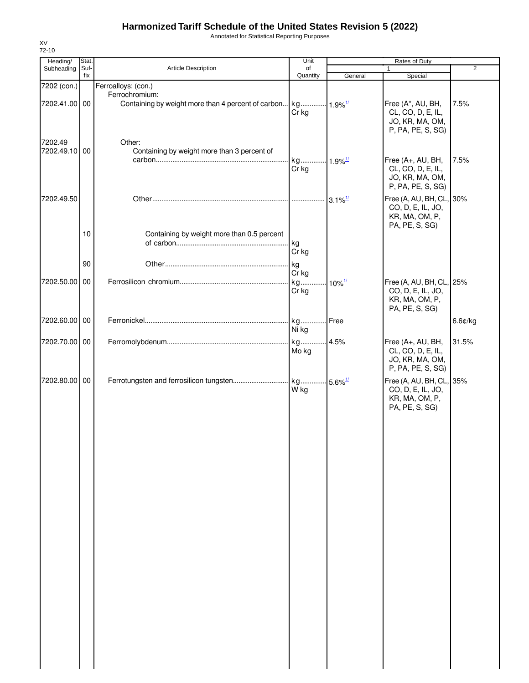Annotated for Statistical Reporting Purposes

| Subheading<br>7202 (con.)<br>7202.41.00 00<br>7202.49<br>7202.49.10 00<br>7202.49.50 | Suf-<br>fix | Article Description<br>Ferroalloys: (con.)<br>Ferrochromium: | of<br>Quantity<br>Cr kg | General                                    | $\mathbf{1}$<br>Special<br>Free (A*, AU, BH, | $\overline{2}$<br>7.5% |
|--------------------------------------------------------------------------------------|-------------|--------------------------------------------------------------|-------------------------|--------------------------------------------|----------------------------------------------|------------------------|
|                                                                                      |             |                                                              |                         |                                            |                                              |                        |
|                                                                                      |             |                                                              |                         |                                            |                                              |                        |
|                                                                                      |             |                                                              |                         |                                            |                                              |                        |
|                                                                                      |             |                                                              |                         |                                            |                                              |                        |
|                                                                                      |             |                                                              |                         |                                            | CL, CO, D, E, IL,                            |                        |
|                                                                                      |             |                                                              |                         |                                            | JO, KR, MA, OM,<br>P, PA, PE, S, SG)         |                        |
|                                                                                      |             |                                                              |                         |                                            |                                              |                        |
|                                                                                      |             | Other:                                                       |                         |                                            |                                              |                        |
|                                                                                      |             | Containing by weight more than 3 percent of                  |                         |                                            |                                              |                        |
|                                                                                      |             |                                                              | kg 1.9% <sup>1/</sup>   |                                            | Free (A+, AU, BH,                            | 7.5%                   |
|                                                                                      |             |                                                              | Cr kg                   |                                            | CL, CO, D, E, IL,                            |                        |
|                                                                                      |             |                                                              |                         |                                            | JO, KR, MA, OM,<br>P, PA, PE, S, SG)         |                        |
|                                                                                      |             |                                                              |                         |                                            |                                              |                        |
|                                                                                      |             |                                                              |                         |                                            | Free (A, AU, BH, CL, 30%                     |                        |
|                                                                                      |             |                                                              |                         |                                            | CO, D, E, IL, JO,                            |                        |
|                                                                                      |             |                                                              |                         |                                            | KR, MA, OM, P,                               |                        |
|                                                                                      |             |                                                              |                         |                                            | PA, PE, S, SG)                               |                        |
|                                                                                      | 10          | Containing by weight more than 0.5 percent                   |                         |                                            |                                              |                        |
|                                                                                      |             |                                                              | kg                      |                                            |                                              |                        |
|                                                                                      |             |                                                              | Cr kg                   |                                            |                                              |                        |
|                                                                                      | 90          |                                                              | kg                      |                                            |                                              |                        |
|                                                                                      |             |                                                              | Cr kg                   |                                            |                                              |                        |
| 7202.50.00 00                                                                        |             |                                                              | kg                      | $10\%$ <sup><math>\frac{1}{2}</math></sup> | Free (A, AU, BH, CL, 25%                     |                        |
|                                                                                      |             |                                                              | Cr kg                   |                                            | CO, D, E, IL, JO,                            |                        |
|                                                                                      |             |                                                              |                         |                                            | KR, MA, OM, P,                               |                        |
|                                                                                      |             |                                                              |                         |                                            | PA, PE, S, SG)                               |                        |
| 7202.60.00 00                                                                        |             |                                                              |                         |                                            |                                              | 6.6¢/kg                |
|                                                                                      |             |                                                              | Ni kg                   |                                            |                                              |                        |
| 7202.70.00 00                                                                        |             |                                                              |                         |                                            | Free (A+, AU, BH,                            | 31.5%                  |
|                                                                                      |             |                                                              | Mo kg                   |                                            | CL, CO, D, E, IL,                            |                        |
|                                                                                      |             |                                                              |                         |                                            | JO, KR, MA, OM,                              |                        |
|                                                                                      |             |                                                              |                         |                                            | P, PA, PE, S, SG)                            |                        |
| 7202.80.00 00                                                                        |             |                                                              |                         |                                            | Free (A, AU, BH, CL, 35%                     |                        |
|                                                                                      |             |                                                              | W kg                    |                                            | CO, D, E, IL, JO,                            |                        |
|                                                                                      |             |                                                              |                         |                                            | KR, MA, OM, P,                               |                        |
|                                                                                      |             |                                                              |                         |                                            | PA, PE, S, SG)                               |                        |
|                                                                                      |             |                                                              |                         |                                            |                                              |                        |
|                                                                                      |             |                                                              |                         |                                            |                                              |                        |
|                                                                                      |             |                                                              |                         |                                            |                                              |                        |
|                                                                                      |             |                                                              |                         |                                            |                                              |                        |
|                                                                                      |             |                                                              |                         |                                            |                                              |                        |
|                                                                                      |             |                                                              |                         |                                            |                                              |                        |
|                                                                                      |             |                                                              |                         |                                            |                                              |                        |
|                                                                                      |             |                                                              |                         |                                            |                                              |                        |
|                                                                                      |             |                                                              |                         |                                            |                                              |                        |
|                                                                                      |             |                                                              |                         |                                            |                                              |                        |
|                                                                                      |             |                                                              |                         |                                            |                                              |                        |
|                                                                                      |             |                                                              |                         |                                            |                                              |                        |
|                                                                                      |             |                                                              |                         |                                            |                                              |                        |
|                                                                                      |             |                                                              |                         |                                            |                                              |                        |
|                                                                                      |             |                                                              |                         |                                            |                                              |                        |
|                                                                                      |             |                                                              |                         |                                            |                                              |                        |
|                                                                                      |             |                                                              |                         |                                            |                                              |                        |
|                                                                                      |             |                                                              |                         |                                            |                                              |                        |
|                                                                                      |             |                                                              |                         |                                            |                                              |                        |
|                                                                                      |             |                                                              |                         |                                            |                                              |                        |
|                                                                                      |             |                                                              |                         |                                            |                                              |                        |
|                                                                                      |             |                                                              |                         |                                            |                                              |                        |
|                                                                                      |             |                                                              |                         |                                            |                                              |                        |
|                                                                                      |             |                                                              |                         |                                            |                                              |                        |
|                                                                                      |             |                                                              |                         |                                            |                                              |                        |
|                                                                                      |             |                                                              |                         |                                            |                                              |                        |
|                                                                                      |             |                                                              |                         |                                            |                                              |                        |
|                                                                                      |             |                                                              |                         |                                            |                                              |                        |

XV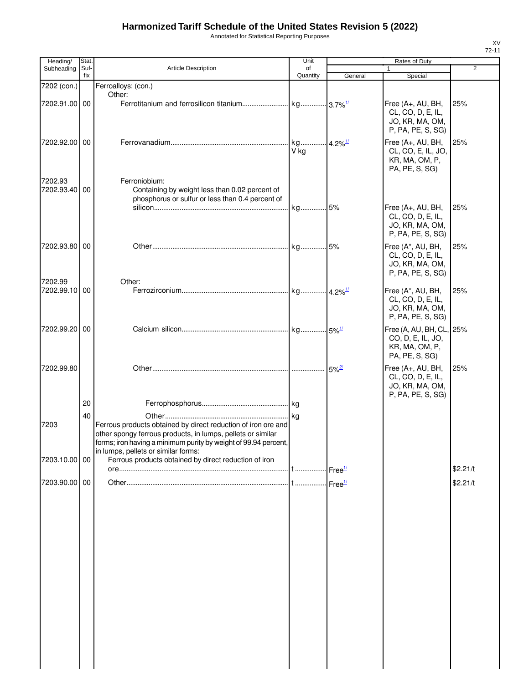Annotated for Statistical Reporting Purposes

| Heading/                 | Stat.       |                                                                                                                                                                                                                                        | Unit           |                     | Rates of Duty                                                                     |                |
|--------------------------|-------------|----------------------------------------------------------------------------------------------------------------------------------------------------------------------------------------------------------------------------------------|----------------|---------------------|-----------------------------------------------------------------------------------|----------------|
| Subheading               | Suf-<br>fix | <b>Article Description</b>                                                                                                                                                                                                             | of<br>Quantity | General             | $\mathbf{1}$<br>Special                                                           | $\overline{2}$ |
| 7202 (con.)              |             | Ferroalloys: (con.)                                                                                                                                                                                                                    |                |                     |                                                                                   |                |
| 7202.91.00 00            |             | Other:                                                                                                                                                                                                                                 |                |                     | Free (A+, AU, BH,<br>CL, CO, D, E, IL,<br>JO, KR, MA, OM,<br>P, PA, PE, S, SG)    | 25%            |
| 7202.92.00 00            |             |                                                                                                                                                                                                                                        | V kg           |                     | Free (A+, AU, BH,<br>CL, CO, E, IL, JO,<br>KR, MA, OM, P,<br>PA, PE, S, SG)       | 25%            |
| 7202.93<br>7202.93.40 00 |             | Ferroniobium:<br>Containing by weight less than 0.02 percent of<br>phosphorus or sulfur or less than 0.4 percent of                                                                                                                    | kg 5%          |                     | Free (A+, AU, BH,                                                                 | 25%            |
|                          |             |                                                                                                                                                                                                                                        |                |                     | CL, CO, D, E, IL,<br>JO, KR, MA, OM,<br>P, PA, PE, S, SG)                         |                |
| 7202.93.80 00            |             |                                                                                                                                                                                                                                        |                |                     | Free (A*, AU, BH,<br>CL, CO, D, E, IL,<br>JO, KR, MA, OM,<br>P, PA, PE, S, SG)    | 25%            |
| 7202.99<br>7202.99.10    | 00          | Other:                                                                                                                                                                                                                                 |                |                     | Free (A*, AU, BH,<br>CL, CO, D, E, IL,<br>JO, KR, MA, OM,<br>P, PA, PE, S, SG)    | 25%            |
| 7202.99.20               | 00          |                                                                                                                                                                                                                                        |                |                     | Free (A, AU, BH, CL, 25%<br>CO, D, E, IL, JO,<br>KR, MA, OM, P,<br>PA, PE, S, SG) |                |
| 7202.99.80               |             |                                                                                                                                                                                                                                        |                | $5\%$ <sup>2/</sup> | Free (A+, AU, BH,<br>CL, CO, D, E, IL,<br>JO, KR, MA, OM,<br>P, PA, PE, S, SG)    | 25%            |
|                          | 20          |                                                                                                                                                                                                                                        |                |                     |                                                                                   |                |
| 7203                     | 40          | Ferrous products obtained by direct reduction of iron ore and<br>other spongy ferrous products, in lumps, pellets or similar<br>forms; iron having a minimum purity by weight of 99.94 percent,<br>in lumps, pellets or similar forms: |                |                     |                                                                                   |                |
| 7203.10.00 00            |             | Ferrous products obtained by direct reduction of iron                                                                                                                                                                                  |                |                     |                                                                                   |                |
|                          |             |                                                                                                                                                                                                                                        |                |                     |                                                                                   | \$2.21/t       |
| 7203.90.00 00            |             |                                                                                                                                                                                                                                        |                |                     |                                                                                   | \$2.21/t       |
|                          |             |                                                                                                                                                                                                                                        |                |                     |                                                                                   |                |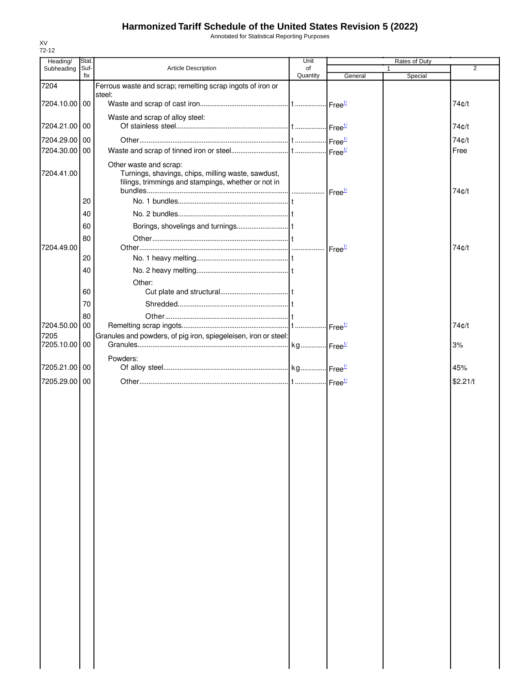Annotated for Statistical Reporting Purposes

| Heading/      | Stat.       |                                                                                                                                     | Unit           |                            | Rates of Duty |                |
|---------------|-------------|-------------------------------------------------------------------------------------------------------------------------------------|----------------|----------------------------|---------------|----------------|
| Subheading    | Suf-<br>fix | Article Description                                                                                                                 | of<br>Quantity | General                    | Special       | $\overline{2}$ |
| 7204          |             | Ferrous waste and scrap; remelting scrap ingots of iron or                                                                          |                |                            |               |                |
|               |             | steel:                                                                                                                              |                |                            |               |                |
| 7204.10.00 00 |             |                                                                                                                                     |                |                            |               | 74¢/t          |
|               |             | Waste and scrap of alloy steel:                                                                                                     |                |                            |               |                |
| 7204.21.00 00 |             |                                                                                                                                     |                |                            |               | 74¢/t          |
| 7204.29.00 00 |             |                                                                                                                                     |                | $\cdot$ Free $\frac{1}{2}$ |               | 74c/t          |
| 7204.30.00 00 |             |                                                                                                                                     |                |                            |               | Free           |
| 7204.41.00    |             | Other waste and scrap:<br>Turnings, shavings, chips, milling waste, sawdust,<br>filings, trimmings and stampings, whether or not in |                |                            |               | 74¢/t          |
|               | 20          |                                                                                                                                     |                |                            |               |                |
|               | 40          |                                                                                                                                     |                |                            |               |                |
|               | 60          |                                                                                                                                     |                |                            |               |                |
|               | 80          |                                                                                                                                     |                |                            |               |                |
| 7204.49.00    |             |                                                                                                                                     |                | Free <sup>1/</sup>         |               | 74c/t          |
|               | 20          |                                                                                                                                     |                |                            |               |                |
|               | 40          |                                                                                                                                     |                |                            |               |                |
|               |             | Other:                                                                                                                              |                |                            |               |                |
|               | 60          |                                                                                                                                     |                |                            |               |                |
|               | 70          |                                                                                                                                     |                |                            |               |                |
| 7204.50.00    | 80<br>00    |                                                                                                                                     |                |                            |               | 74¢/t          |
| 7205          |             | Granules and powders, of pig iron, spiegeleisen, iron or steel:                                                                     |                | $\cdot$ Free $\frac{1}{2}$ |               |                |
| 7205.10.00 00 |             |                                                                                                                                     |                |                            |               | 3%             |
|               |             | Powders:                                                                                                                            |                |                            |               |                |
| 7205.21.00    | 00          |                                                                                                                                     |                |                            |               | 45%            |
| 7205.29.00    | -00         |                                                                                                                                     |                |                            |               | \$2.21/t       |
|               |             |                                                                                                                                     |                |                            |               |                |
|               |             |                                                                                                                                     |                |                            |               |                |
|               |             |                                                                                                                                     |                |                            |               |                |
|               |             |                                                                                                                                     |                |                            |               |                |
|               |             |                                                                                                                                     |                |                            |               |                |
|               |             |                                                                                                                                     |                |                            |               |                |
|               |             |                                                                                                                                     |                |                            |               |                |
|               |             |                                                                                                                                     |                |                            |               |                |
|               |             |                                                                                                                                     |                |                            |               |                |
|               |             |                                                                                                                                     |                |                            |               |                |
|               |             |                                                                                                                                     |                |                            |               |                |
|               |             |                                                                                                                                     |                |                            |               |                |
|               |             |                                                                                                                                     |                |                            |               |                |
|               |             |                                                                                                                                     |                |                            |               |                |
|               |             |                                                                                                                                     |                |                            |               |                |
|               |             |                                                                                                                                     |                |                            |               |                |
|               |             |                                                                                                                                     |                |                            |               |                |
|               |             |                                                                                                                                     |                |                            |               |                |
|               |             |                                                                                                                                     |                |                            |               |                |
|               |             |                                                                                                                                     |                |                            |               |                |
|               |             |                                                                                                                                     |                |                            |               |                |
|               |             |                                                                                                                                     |                |                            |               |                |
|               |             |                                                                                                                                     |                |                            |               |                |
|               |             |                                                                                                                                     |                |                            |               |                |
|               |             |                                                                                                                                     |                |                            |               |                |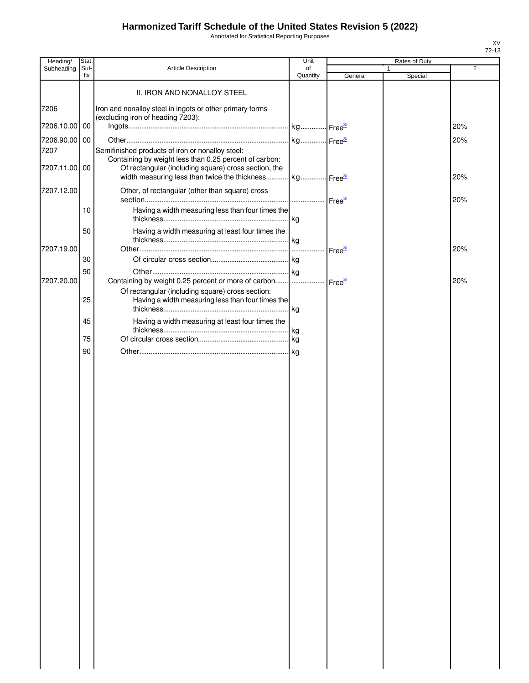Annotated for Statistical Reporting Purposes

| Heading/              | Stat.       |                                                              | Unit           |                    | Rates of Duty           |     |
|-----------------------|-------------|--------------------------------------------------------------|----------------|--------------------|-------------------------|-----|
| Subheading            | Suf-<br>fix | Article Description                                          | of<br>Quantity | General            | $\mathbf{1}$<br>Special | 2   |
|                       |             |                                                              |                |                    |                         |     |
|                       |             | II. IRON AND NONALLOY STEEL                                  |                |                    |                         |     |
| 7206                  |             | Iron and nonalloy steel in ingots or other primary forms     |                |                    |                         |     |
| 7206.10.00 00         |             | (excluding iron of heading 7203):                            |                |                    |                         | 20% |
|                       |             |                                                              |                |                    |                         |     |
| 7206.90.00 00<br>7207 |             | Semifinished products of iron or nonalloy steel:             |                |                    |                         | 20% |
|                       |             | Containing by weight less than 0.25 percent of carbon:       |                |                    |                         |     |
| 7207.11.00 00         |             | Of rectangular (including square) cross section, the         |                |                    |                         |     |
|                       |             | width measuring less than twice the thickness kg Free3       |                |                    |                         | 20% |
| 7207.12.00            |             | Other, of rectangular (other than square) cross              |                |                    |                         |     |
|                       | 10          | Having a width measuring less than four times the            |                | Free <sup>3/</sup> |                         | 20% |
|                       |             |                                                              |                |                    |                         |     |
|                       | 50          | Having a width measuring at least four times the             |                |                    |                         |     |
|                       |             |                                                              |                |                    |                         |     |
| 7207.19.00            |             |                                                              |                | Free <sup>3/</sup> |                         | 20% |
|                       | 30          |                                                              |                |                    |                         |     |
| 7207.20.00            | 90          | Containing by weight 0.25 percent or more of carbon    Free3 |                |                    |                         | 20% |
|                       |             | Of rectangular (including square) cross section:             |                |                    |                         |     |
|                       | 25          | Having a width measuring less than four times the            |                |                    |                         |     |
|                       |             |                                                              |                |                    |                         |     |
|                       | 45          | Having a width measuring at least four times the             |                |                    |                         |     |
|                       | 75          |                                                              |                |                    |                         |     |
|                       | 90          |                                                              |                |                    |                         |     |
|                       |             |                                                              |                |                    |                         |     |
|                       |             |                                                              |                |                    |                         |     |
|                       |             |                                                              |                |                    |                         |     |
|                       |             |                                                              |                |                    |                         |     |
|                       |             |                                                              |                |                    |                         |     |
|                       |             |                                                              |                |                    |                         |     |
|                       |             |                                                              |                |                    |                         |     |
|                       |             |                                                              |                |                    |                         |     |
|                       |             |                                                              |                |                    |                         |     |
|                       |             |                                                              |                |                    |                         |     |
|                       |             |                                                              |                |                    |                         |     |
|                       |             |                                                              |                |                    |                         |     |
|                       |             |                                                              |                |                    |                         |     |
|                       |             |                                                              |                |                    |                         |     |
|                       |             |                                                              |                |                    |                         |     |
|                       |             |                                                              |                |                    |                         |     |
|                       |             |                                                              |                |                    |                         |     |
|                       |             |                                                              |                |                    |                         |     |
|                       |             |                                                              |                |                    |                         |     |
|                       |             |                                                              |                |                    |                         |     |
|                       |             |                                                              |                |                    |                         |     |
|                       |             |                                                              |                |                    |                         |     |
|                       |             |                                                              |                |                    |                         |     |
|                       |             |                                                              |                |                    |                         |     |
|                       |             |                                                              |                |                    |                         |     |
|                       |             |                                                              |                |                    |                         |     |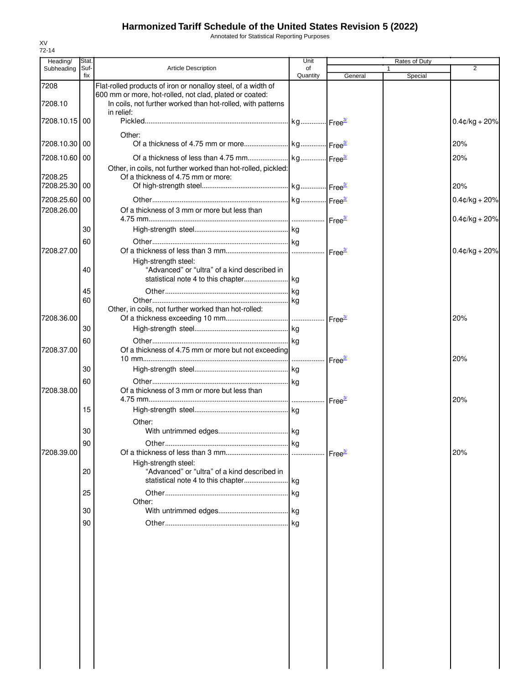Annotated for Statistical Reporting Purposes

| Heading/      | Stat.       |                                                                                                                                      | Unit           |         |              | Rates of Duty |                  |
|---------------|-------------|--------------------------------------------------------------------------------------------------------------------------------------|----------------|---------|--------------|---------------|------------------|
| Subheading    | Suf-<br>fix | <b>Article Description</b>                                                                                                           | of<br>Quantity | General | $\mathbf{1}$ | Special       | 2                |
| 7208          |             | Flat-rolled products of iron or nonalloy steel, of a width of                                                                        |                |         |              |               |                  |
| 7208.10       |             | 600 mm or more, hot-rolled, not clad, plated or coated:<br>In coils, not further worked than hot-rolled, with patterns<br>in relief: |                |         |              |               |                  |
| 7208.10.15 00 |             |                                                                                                                                      |                |         |              |               | $0.4$ ¢/kg + 20% |
| 7208.10.30 00 |             | Other:                                                                                                                               |                |         |              |               | 20%              |
| 7208.10.60 00 |             |                                                                                                                                      |                |         |              |               | 20%              |
| 7208.25       |             | Other, in coils, not further worked than hot-rolled, pickled:<br>Of a thickness of 4.75 mm or more:                                  |                |         |              |               |                  |
| 7208.25.30 00 |             |                                                                                                                                      |                |         |              |               | 20%              |
| 7208.25.60 00 |             |                                                                                                                                      |                |         |              |               | $0.4$ ¢/kg + 20% |
| 7208.26.00    |             | Of a thickness of 3 mm or more but less than                                                                                         |                |         |              |               | $0.4$ ¢/kg + 20% |
|               | 30          |                                                                                                                                      |                |         |              |               |                  |
|               | 60          |                                                                                                                                      |                |         |              |               |                  |
| 7208.27.00    |             |                                                                                                                                      |                |         |              |               | $0.4$ ¢/kg + 20% |
|               | 40          | High-strength steel:<br>"Advanced" or "ultra" of a kind described in                                                                 |                |         |              |               |                  |
|               | 45          |                                                                                                                                      |                |         |              |               |                  |
|               | 60          |                                                                                                                                      |                |         |              |               |                  |
|               |             | Other, in coils, not further worked than hot-rolled:                                                                                 |                |         |              |               |                  |
| 7208.36.00    |             |                                                                                                                                      |                |         |              |               | 20%              |
|               | 30          |                                                                                                                                      |                |         |              |               |                  |
| 7208.37.00    | 60          | Of a thickness of 4.75 mm or more but not exceeding                                                                                  |                |         |              |               |                  |
|               |             |                                                                                                                                      |                |         |              |               | 20%              |
|               | 30          |                                                                                                                                      |                |         |              |               |                  |
| 7208.38.00    | 60          | Of a thickness of 3 mm or more but less than                                                                                         |                |         |              |               | 20%              |
|               | 15          |                                                                                                                                      |                |         |              |               |                  |
|               |             | Other:                                                                                                                               |                |         |              |               |                  |
|               | 30          |                                                                                                                                      |                |         |              |               |                  |
|               | 90          |                                                                                                                                      |                |         |              |               |                  |
| 7208.39.00    |             |                                                                                                                                      |                |         |              |               | 20%              |
|               |             | High-strength steel:                                                                                                                 |                |         |              |               |                  |
|               | 20          | "Advanced" or "ultra" of a kind described in                                                                                         |                |         |              |               |                  |
|               |             |                                                                                                                                      |                |         |              |               |                  |
|               | 25          | Other:                                                                                                                               |                |         |              |               |                  |
|               | 30          |                                                                                                                                      |                |         |              |               |                  |
|               | 90          |                                                                                                                                      |                |         |              |               |                  |
|               |             |                                                                                                                                      |                |         |              |               |                  |
|               |             |                                                                                                                                      |                |         |              |               |                  |
|               |             |                                                                                                                                      |                |         |              |               |                  |
|               |             |                                                                                                                                      |                |         |              |               |                  |
|               |             |                                                                                                                                      |                |         |              |               |                  |
|               |             |                                                                                                                                      |                |         |              |               |                  |
|               |             |                                                                                                                                      |                |         |              |               |                  |
|               |             |                                                                                                                                      |                |         |              |               |                  |
|               |             |                                                                                                                                      |                |         |              |               |                  |
|               |             |                                                                                                                                      |                |         |              |               |                  |
|               |             |                                                                                                                                      |                |         |              |               |                  |
|               |             |                                                                                                                                      |                |         |              |               |                  |
|               |             |                                                                                                                                      |                |         |              |               |                  |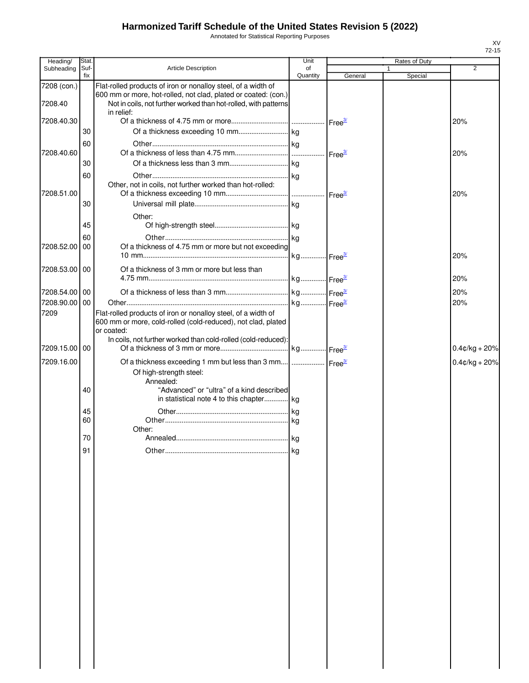Annotated for Statistical Reporting Purposes

| Heading/      | Stat.       |                                                                                                                                                 | Unit           |         | Rates of Duty           |                  |
|---------------|-------------|-------------------------------------------------------------------------------------------------------------------------------------------------|----------------|---------|-------------------------|------------------|
| Subheading    | Suf-<br>fix | <b>Article Description</b>                                                                                                                      | of<br>Quantity | General | $\mathbf{1}$<br>Special | $\overline{2}$   |
| 7208 (con.)   |             | Flat-rolled products of iron or nonalloy steel, of a width of                                                                                   |                |         |                         |                  |
| 7208.40       |             | 600 mm or more, hot-rolled, not clad, plated or coated: (con.)<br>Not in coils, not further worked than hot-rolled, with patterns<br>in relief: |                |         |                         |                  |
| 7208.40.30    |             |                                                                                                                                                 |                |         |                         | 20%              |
|               | 30          |                                                                                                                                                 |                |         |                         |                  |
|               | 60          |                                                                                                                                                 |                |         |                         |                  |
| 7208.40.60    |             |                                                                                                                                                 |                |         |                         | 20%              |
|               | 30          |                                                                                                                                                 |                |         |                         |                  |
| 7208.51.00    | 60          | Other, not in coils, not further worked than hot-rolled:                                                                                        |                |         |                         | 20%              |
|               | 30          |                                                                                                                                                 |                |         |                         |                  |
|               |             | Other:                                                                                                                                          |                |         |                         |                  |
|               | 45          |                                                                                                                                                 |                |         |                         |                  |
|               | 60          |                                                                                                                                                 |                |         |                         |                  |
| 7208.52.00 00 |             | Of a thickness of 4.75 mm or more but not exceeding                                                                                             |                |         |                         |                  |
|               |             |                                                                                                                                                 |                |         |                         | 20%              |
| 7208.53.00 00 |             | Of a thickness of 3 mm or more but less than                                                                                                    |                |         |                         | 20%              |
| 7208.54.00 00 |             |                                                                                                                                                 |                |         |                         | 20%              |
| 7208.90.00 00 |             |                                                                                                                                                 |                |         |                         | 20%              |
| 7209          |             | Flat-rolled products of iron or nonalloy steel, of a width of<br>600 mm or more, cold-rolled (cold-reduced), not clad, plated<br>or coated:     |                |         |                         |                  |
| 7209.15.00 00 |             | In coils, not further worked than cold-rolled (cold-reduced):                                                                                   |                |         |                         | $0.4$ ¢/kg + 20% |
| 7209.16.00    |             | Of a thickness exceeding 1 mm but less than 3 mm    Free <sup>34</sup>                                                                          |                |         |                         | $0.4$ ¢/kg + 20% |
|               |             | Of high-strength steel:<br>Annealed:                                                                                                            |                |         |                         |                  |
|               | 40          | "Advanced" or "ultra" of a kind described<br>in statistical note 4 to this chapter kg                                                           |                |         |                         |                  |
|               | 45<br>60    |                                                                                                                                                 |                |         |                         |                  |
|               |             | Other:                                                                                                                                          |                |         |                         |                  |
|               | 70          |                                                                                                                                                 |                |         |                         |                  |
|               | 91          |                                                                                                                                                 | l ka           |         |                         |                  |
|               |             |                                                                                                                                                 |                |         |                         |                  |
|               |             |                                                                                                                                                 |                |         |                         |                  |
|               |             |                                                                                                                                                 |                |         |                         |                  |
|               |             |                                                                                                                                                 |                |         |                         |                  |
|               |             |                                                                                                                                                 |                |         |                         |                  |
|               |             |                                                                                                                                                 |                |         |                         |                  |
|               |             |                                                                                                                                                 |                |         |                         |                  |
|               |             |                                                                                                                                                 |                |         |                         |                  |
|               |             |                                                                                                                                                 |                |         |                         |                  |
|               |             |                                                                                                                                                 |                |         |                         |                  |
|               |             |                                                                                                                                                 |                |         |                         |                  |
|               |             |                                                                                                                                                 |                |         |                         |                  |
|               |             |                                                                                                                                                 |                |         |                         |                  |
|               |             |                                                                                                                                                 |                |         |                         |                  |
|               |             |                                                                                                                                                 |                |         |                         |                  |
|               |             |                                                                                                                                                 |                |         |                         |                  |
|               |             |                                                                                                                                                 |                |         |                         |                  |
|               |             |                                                                                                                                                 |                |         |                         |                  |
|               |             |                                                                                                                                                 |                |         |                         |                  |
|               |             |                                                                                                                                                 |                |         |                         |                  |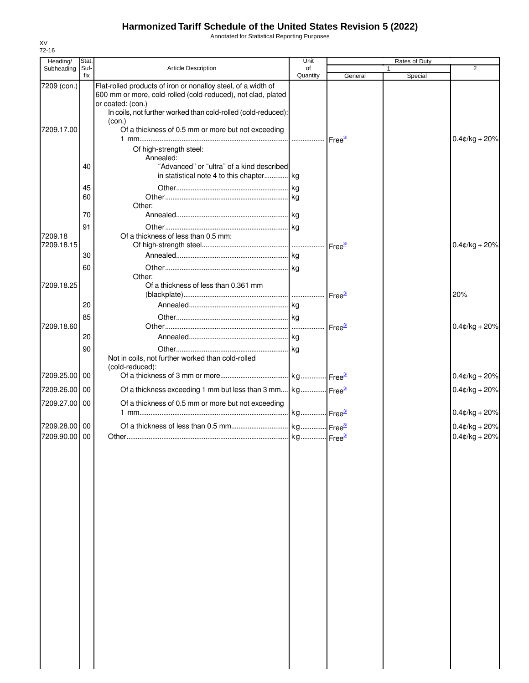Annotated for Statistical Reporting Purposes

| Heading/                       | Stat.       |                                                                                                                                                                                                                     | Unit           |                    | Rates of Duty          |                                      |
|--------------------------------|-------------|---------------------------------------------------------------------------------------------------------------------------------------------------------------------------------------------------------------------|----------------|--------------------|------------------------|--------------------------------------|
| Subheading                     | Suf-<br>fix | <b>Article Description</b>                                                                                                                                                                                          | of<br>Quantity | General            | $\mathbf 1$<br>Special | $\overline{2}$                       |
| 7209 (con.)                    |             | Flat-rolled products of iron or nonalloy steel, of a width of<br>600 mm or more, cold-rolled (cold-reduced), not clad, plated<br>or coated: (con.)<br>In coils, not further worked than cold-rolled (cold-reduced): |                |                    |                        |                                      |
| 7209.17.00                     |             | (con.)<br>Of a thickness of 0.5 mm or more but not exceeding                                                                                                                                                        |                |                    |                        | $0.4$ ¢/kg + 20%                     |
|                                |             | Of high-strength steel:<br>Annealed:                                                                                                                                                                                |                |                    |                        |                                      |
|                                | 40          | "Advanced" or "ultra" of a kind described<br>in statistical note 4 to this chapter kg                                                                                                                               |                |                    |                        |                                      |
|                                | 45<br>60    | Other:                                                                                                                                                                                                              |                |                    |                        |                                      |
|                                | 70          |                                                                                                                                                                                                                     |                |                    |                        |                                      |
|                                | 91          |                                                                                                                                                                                                                     |                |                    |                        |                                      |
| 7209.18<br>7209.18.15          |             | Of a thickness of less than 0.5 mm:                                                                                                                                                                                 |                |                    |                        | $0.4$ ¢/kg + 20%                     |
|                                | 30          |                                                                                                                                                                                                                     |                |                    |                        |                                      |
| 7209.18.25                     | 60          | Other:<br>Of a thickness of less than 0.361 mm                                                                                                                                                                      |                |                    |                        |                                      |
|                                |             |                                                                                                                                                                                                                     |                |                    |                        | 20%                                  |
|                                | 20          |                                                                                                                                                                                                                     |                |                    |                        |                                      |
|                                | 85          |                                                                                                                                                                                                                     |                |                    |                        |                                      |
| 7209.18.60                     |             |                                                                                                                                                                                                                     |                | Free <sup>3/</sup> |                        | $0.4$ ¢/kg + 20%                     |
|                                | 20          |                                                                                                                                                                                                                     |                |                    |                        |                                      |
|                                | 90          | Not in coils, not further worked than cold-rolled<br>(cold-reduced):                                                                                                                                                |                |                    |                        |                                      |
| 7209.25.00 00                  |             |                                                                                                                                                                                                                     |                |                    |                        | $0.4$ ¢/kg + 20%                     |
| 7209.26.00 00                  |             | Of a thickness exceeding 1 mm but less than 3 mm kg Free <sup>34</sup>                                                                                                                                              |                |                    |                        | $0.4$ ¢/kg + 20%                     |
| 7209.27.00 00                  |             | Of a thickness of 0.5 mm or more but not exceeding                                                                                                                                                                  |                |                    |                        | $0.4$ ¢/kg + 20%                     |
| 7209.28.00 00<br>7209.90.00 00 |             |                                                                                                                                                                                                                     |                |                    |                        | $0.4$ ¢/kg + 20%<br>$0.4$ ¢/kg + 20% |
|                                |             |                                                                                                                                                                                                                     |                |                    |                        |                                      |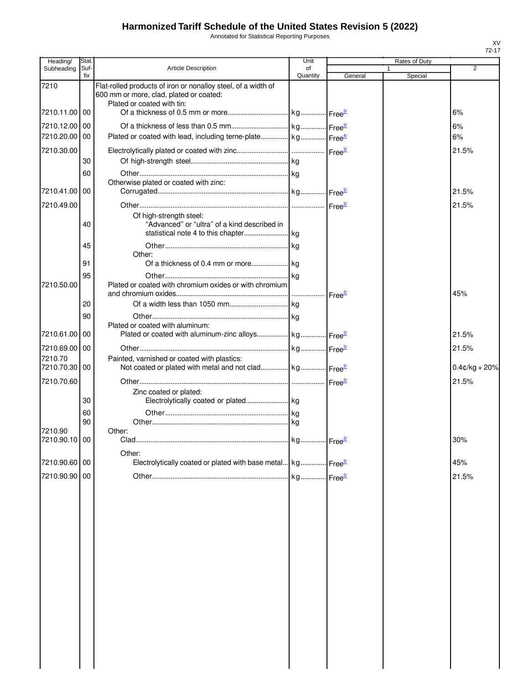Annotated for Statistical Reporting Purposes

| Heading/                 | Stat.       |                                                                                                                                        | Unit           |         | Rates of Duty |                  |
|--------------------------|-------------|----------------------------------------------------------------------------------------------------------------------------------------|----------------|---------|---------------|------------------|
| Subheading               | Suf-<br>fix | <b>Article Description</b>                                                                                                             | of<br>Quantity | General | Special       | 2                |
| 7210                     |             | Flat-rolled products of iron or nonalloy steel, of a width of<br>600 mm or more, clad, plated or coated:<br>Plated or coated with tin: |                |         |               |                  |
| 7210.11.00 00            |             |                                                                                                                                        |                |         |               | 6%               |
| 7210.12.00 00            |             |                                                                                                                                        |                |         |               | 6%               |
| 7210.20.00 00            |             | Plated or coated with lead, including terne-plate kg Free <sup>4/</sup>                                                                |                |         |               | 6%               |
| 7210.30.00               |             |                                                                                                                                        |                |         |               | 21.5%            |
|                          | 30<br>60    |                                                                                                                                        |                |         |               |                  |
|                          |             | Otherwise plated or coated with zinc:                                                                                                  |                |         |               |                  |
| 7210.41.00               | 00          |                                                                                                                                        |                |         |               | 21.5%            |
| 7210.49.00               |             |                                                                                                                                        |                |         |               | 21.5%            |
|                          | 40          | Of high-strength steel:<br>"Advanced" or "ultra" of a kind described in                                                                |                |         |               |                  |
|                          | 45          |                                                                                                                                        |                |         |               |                  |
|                          | 91          | Other:                                                                                                                                 |                |         |               |                  |
|                          | 95          |                                                                                                                                        |                |         |               |                  |
| 7210.50.00               |             | Plated or coated with chromium oxides or with chromium                                                                                 |                |         |               | 45%              |
|                          | 20          |                                                                                                                                        |                |         |               |                  |
|                          | 90          |                                                                                                                                        |                |         |               |                  |
| 7210.61.00               | 00          | Plated or coated with aluminum:<br>Plated or coated with aluminum-zinc alloys kg Free <sup>34</sup>                                    |                |         |               | 21.5%            |
| 7210.69.00 00            |             |                                                                                                                                        |                |         |               | 21.5%            |
| 7210.70                  |             | Painted, varnished or coated with plastics:                                                                                            |                |         |               |                  |
| 7210.70.30 00            |             | Not coated or plated with metal and not clad kg Free <sup>34</sup>                                                                     |                |         |               | $0.4$ ¢/kg + 20% |
| 7210.70.60               |             |                                                                                                                                        |                |         |               | 21.5%            |
|                          | 30          | Zinc coated or plated:                                                                                                                 |                |         |               |                  |
|                          | 60          |                                                                                                                                        |                |         |               |                  |
|                          | 90          |                                                                                                                                        |                |         |               |                  |
| 7210.90<br>7210.90.10 00 |             | Other:<br>Clad.                                                                                                                        |                |         |               | 30%              |
|                          |             |                                                                                                                                        |                |         |               |                  |
| 7210.90.60 00            |             | Other:<br>Electrolytically coated or plated with base metal kg Free <sup>3/</sup>                                                      |                |         |               | 45%              |
| 7210.90.90 00            |             |                                                                                                                                        |                |         |               | 21.5%            |
|                          |             |                                                                                                                                        |                |         |               |                  |
|                          |             |                                                                                                                                        |                |         |               |                  |
|                          |             |                                                                                                                                        |                |         |               |                  |
|                          |             |                                                                                                                                        |                |         |               |                  |
|                          |             |                                                                                                                                        |                |         |               |                  |
|                          |             |                                                                                                                                        |                |         |               |                  |
|                          |             |                                                                                                                                        |                |         |               |                  |
|                          |             |                                                                                                                                        |                |         |               |                  |
|                          |             |                                                                                                                                        |                |         |               |                  |
|                          |             |                                                                                                                                        |                |         |               |                  |
|                          |             |                                                                                                                                        |                |         |               |                  |
|                          |             |                                                                                                                                        |                |         |               |                  |
|                          |             |                                                                                                                                        |                |         |               |                  |
|                          |             |                                                                                                                                        |                |         |               |                  |
|                          |             |                                                                                                                                        |                |         |               |                  |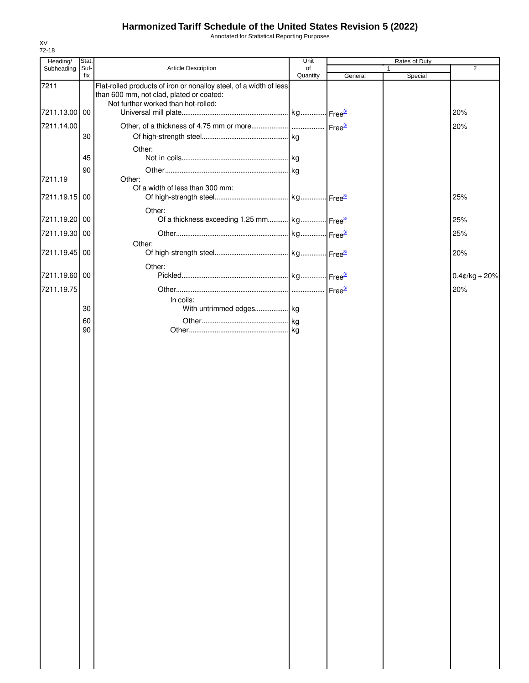Annotated for Statistical Reporting Purposes

| Heading/      | Stat.       |                                                                                                                                                       | Unit           |         | <b>Rates of Duty</b> |                  |
|---------------|-------------|-------------------------------------------------------------------------------------------------------------------------------------------------------|----------------|---------|----------------------|------------------|
| Subheading    | Suf-<br>fix | Article Description                                                                                                                                   | of<br>Quantity | General | 1<br>Special         | $\overline{2}$   |
| 7211          |             | Flat-rolled products of iron or nonalloy steel, of a width of less<br>than 600 mm, not clad, plated or coated:<br>Not further worked than hot-rolled: |                |         |                      |                  |
| 7211.13.00 00 |             |                                                                                                                                                       |                |         |                      | 20%              |
| 7211.14.00    |             |                                                                                                                                                       |                |         |                      | 20%              |
|               | 30          |                                                                                                                                                       |                |         |                      |                  |
|               |             | Other:                                                                                                                                                |                |         |                      |                  |
|               | 45          |                                                                                                                                                       |                |         |                      |                  |
|               | 90          |                                                                                                                                                       |                |         |                      |                  |
| 7211.19       |             | Other:                                                                                                                                                |                |         |                      |                  |
| 7211.19.15 00 |             | Of a width of less than 300 mm:                                                                                                                       |                |         |                      | 25%              |
|               |             | Other:                                                                                                                                                |                |         |                      |                  |
| 7211.19.20 00 |             | Of a thickness exceeding 1.25 mm kg Free <sup>3/</sup>                                                                                                |                |         |                      | 25%              |
| 7211.19.30 00 |             |                                                                                                                                                       |                |         |                      | 25%              |
| 7211.19.45 00 |             | Other:                                                                                                                                                |                |         |                      | 20%              |
|               |             |                                                                                                                                                       |                |         |                      |                  |
| 7211.19.60 00 |             | Other:                                                                                                                                                |                |         |                      | $0.4$ ¢/kg + 20% |
|               |             |                                                                                                                                                       |                |         |                      |                  |
| 7211.19.75    |             | In coils:                                                                                                                                             |                |         |                      | 20%              |
|               | 30          | With untrimmed edges kg                                                                                                                               |                |         |                      |                  |
|               | 60          |                                                                                                                                                       |                |         |                      |                  |
|               | 90          |                                                                                                                                                       |                |         |                      |                  |
|               |             |                                                                                                                                                       |                |         |                      |                  |
|               |             |                                                                                                                                                       |                |         |                      |                  |
|               |             |                                                                                                                                                       |                |         |                      |                  |
|               |             |                                                                                                                                                       |                |         |                      |                  |
|               |             |                                                                                                                                                       |                |         |                      |                  |
|               |             |                                                                                                                                                       |                |         |                      |                  |
|               |             |                                                                                                                                                       |                |         |                      |                  |
|               |             |                                                                                                                                                       |                |         |                      |                  |
|               |             |                                                                                                                                                       |                |         |                      |                  |
|               |             |                                                                                                                                                       |                |         |                      |                  |
|               |             |                                                                                                                                                       |                |         |                      |                  |
|               |             |                                                                                                                                                       |                |         |                      |                  |
|               |             |                                                                                                                                                       |                |         |                      |                  |
|               |             |                                                                                                                                                       |                |         |                      |                  |
|               |             |                                                                                                                                                       |                |         |                      |                  |
|               |             |                                                                                                                                                       |                |         |                      |                  |
|               |             |                                                                                                                                                       |                |         |                      |                  |
|               |             |                                                                                                                                                       |                |         |                      |                  |
|               |             |                                                                                                                                                       |                |         |                      |                  |
|               |             |                                                                                                                                                       |                |         |                      |                  |
|               |             |                                                                                                                                                       |                |         |                      |                  |
|               |             |                                                                                                                                                       |                |         |                      |                  |
|               |             |                                                                                                                                                       |                |         |                      |                  |
|               |             |                                                                                                                                                       |                |         |                      |                  |
|               |             |                                                                                                                                                       |                |         |                      |                  |
|               |             |                                                                                                                                                       |                |         |                      |                  |
|               |             |                                                                                                                                                       |                |         |                      |                  |
|               |             |                                                                                                                                                       |                |         |                      |                  |
|               |             |                                                                                                                                                       |                |         |                      |                  |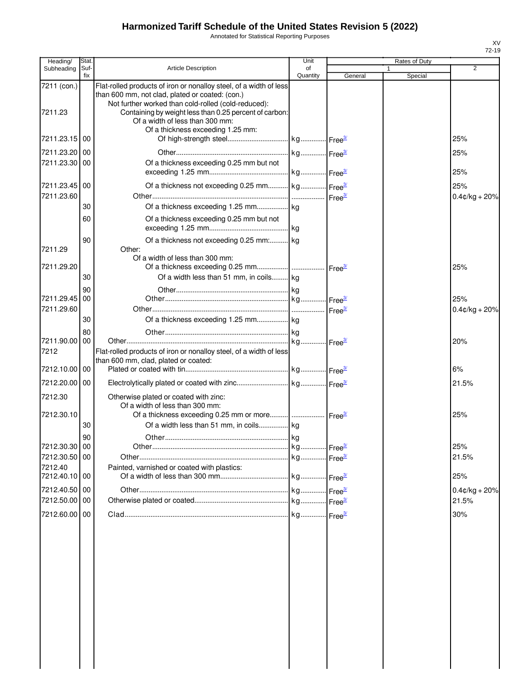Annotated for Statistical Reporting Purposes

| Heading/                    | Stat        |                                                                                                                                                                                                                                        | Unit           |         | Rates of Duty |                        |
|-----------------------------|-------------|----------------------------------------------------------------------------------------------------------------------------------------------------------------------------------------------------------------------------------------|----------------|---------|---------------|------------------------|
| Subheading                  | Suf-<br>fix | <b>Article Description</b>                                                                                                                                                                                                             | of<br>Quantity | General | 1<br>Special  | $\overline{2}$         |
| 7211 (con.)<br>7211.23      |             | Flat-rolled products of iron or nonalloy steel, of a width of less<br>than 600 mm, not clad, plated or coated: (con.)<br>Not further worked than cold-rolled (cold-reduced):<br>Containing by weight less than 0.25 percent of carbon: |                |         |               |                        |
| 7211.23.15 00               |             | Of a width of less than 300 mm:<br>Of a thickness exceeding 1.25 mm:                                                                                                                                                                   |                |         |               | 25%                    |
| 7211.23.20 00               |             |                                                                                                                                                                                                                                        |                |         |               | 25%                    |
| 7211.23.30 00               |             | Of a thickness exceeding 0.25 mm but not                                                                                                                                                                                               |                |         |               |                        |
|                             |             |                                                                                                                                                                                                                                        |                |         |               | 25%                    |
| 7211.23.45 00<br>7211.23.60 |             | Of a thickness not exceeding 0.25 mm kg Free <sup>3/</sup>                                                                                                                                                                             |                |         |               | 25%<br>$0.4¢/kg + 20%$ |
|                             | 30          |                                                                                                                                                                                                                                        |                |         |               |                        |
|                             | 60          | Of a thickness exceeding 0.25 mm but not                                                                                                                                                                                               |                |         |               |                        |
|                             | 90          | Of a thickness not exceeding 0.25 mm: kg                                                                                                                                                                                               |                |         |               |                        |
| 7211.29                     |             | Other:<br>Of a width of less than 300 mm:                                                                                                                                                                                              |                |         |               |                        |
| 7211.29.20                  | 30          | Of a width less than 51 mm, in coils kg                                                                                                                                                                                                |                |         |               | 25%                    |
|                             | 90          |                                                                                                                                                                                                                                        |                |         |               |                        |
| 7211.29.45 00               |             |                                                                                                                                                                                                                                        |                |         |               | 25%                    |
| 7211.29.60                  | 30          |                                                                                                                                                                                                                                        |                |         |               | $0.4$ ¢/kg + 20%       |
|                             | 80          |                                                                                                                                                                                                                                        |                |         |               |                        |
| 7211.90.00 00               |             |                                                                                                                                                                                                                                        |                |         |               | 20%                    |
| 7212                        |             | Flat-rolled products of iron or nonalloy steel, of a width of less<br>than 600 mm, clad, plated or coated:                                                                                                                             |                |         |               |                        |
| 7212.10.00 00               |             |                                                                                                                                                                                                                                        |                |         |               | 6%                     |
| 7212.20.00 00               |             |                                                                                                                                                                                                                                        |                |         |               | 21.5%                  |
| 7212.30                     |             | Otherwise plated or coated with zinc:<br>Of a width of less than 300 mm:                                                                                                                                                               |                |         |               |                        |
| 7212.30.10                  | 30          | Of a width less than 51 mm, in coils kg                                                                                                                                                                                                |                |         |               | 25%                    |
|                             | 90          |                                                                                                                                                                                                                                        |                |         |               |                        |
| 7212.30.30 00               |             |                                                                                                                                                                                                                                        |                |         |               | 25%                    |
| 7212.30.50 00<br>7212.40    |             | Painted, varnished or coated with plastics:                                                                                                                                                                                            |                |         |               | 21.5%                  |
| 7212.40.10 00               |             |                                                                                                                                                                                                                                        |                |         |               | 25%                    |
| 7212.40.50 00               |             |                                                                                                                                                                                                                                        |                |         |               | $0.4$ ¢/kg + 20%       |
| 7212.50.00 00               |             |                                                                                                                                                                                                                                        |                |         |               | 21.5%                  |
| 7212.60.00 00               |             |                                                                                                                                                                                                                                        |                |         |               | 30%                    |
|                             |             |                                                                                                                                                                                                                                        |                |         |               |                        |
|                             |             |                                                                                                                                                                                                                                        |                |         |               |                        |
|                             |             |                                                                                                                                                                                                                                        |                |         |               |                        |
|                             |             |                                                                                                                                                                                                                                        |                |         |               |                        |
|                             |             |                                                                                                                                                                                                                                        |                |         |               |                        |
|                             |             |                                                                                                                                                                                                                                        |                |         |               |                        |
|                             |             |                                                                                                                                                                                                                                        |                |         |               |                        |
|                             |             |                                                                                                                                                                                                                                        |                |         |               |                        |
|                             |             |                                                                                                                                                                                                                                        |                |         |               |                        |
|                             |             |                                                                                                                                                                                                                                        |                |         |               |                        |
|                             |             |                                                                                                                                                                                                                                        |                |         |               |                        |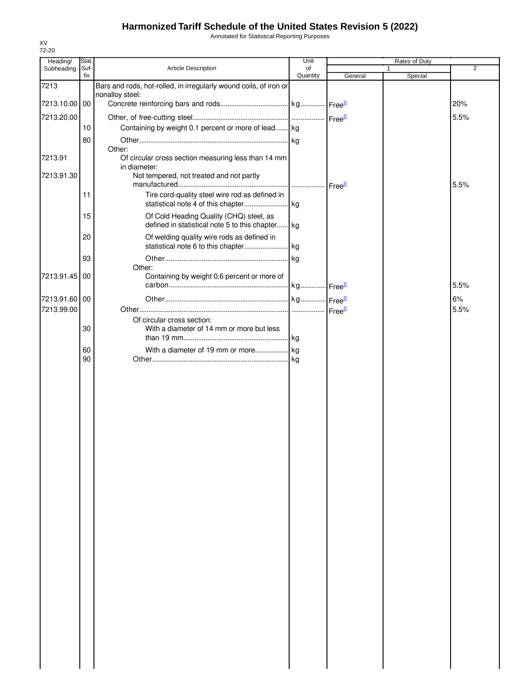Annotated for Statistical Reporting Purposes

| Heading/   | Stat.       |                                                                   | Unit           |         | Rates of Duty |                |
|------------|-------------|-------------------------------------------------------------------|----------------|---------|---------------|----------------|
| Subheading | Suf-<br>fix | Article Description                                               | of<br>Quantity | General | 1<br>Special  | $\overline{2}$ |
| 7213       |             | Bars and rods, hot-rolled, in irregularly wound coils, of iron or |                |         |               |                |
| 7213.10.00 | 00          | nonalloy steel:                                                   |                |         |               |                |
|            |             |                                                                   |                |         |               | 20%            |
| 7213.20.00 |             |                                                                   |                |         |               | 5.5%           |
|            | 10          | Containing by weight 0.1 percent or more of lead kg               |                |         |               |                |
|            | 80          | Other:                                                            |                |         |               |                |
| 7213.91    |             | Of circular cross section measuring less than 14 mm               |                |         |               |                |
|            |             | in diameter:                                                      |                |         |               |                |
| 7213.91.30 |             | Not tempered, not treated and not partly                          |                |         |               | 5.5%           |
|            | 11          | Tire cord-quality steel wire rod as defined in                    |                |         |               |                |
|            |             |                                                                   |                |         |               |                |
|            | 15          | Of Cold Heading Quality (CHQ) steel, as                           |                |         |               |                |
|            |             | defined in statistical note 5 to this chapter kg                  |                |         |               |                |
|            | 20          | Of welding quality wire rods as defined in                        |                |         |               |                |
|            |             |                                                                   |                |         |               |                |
|            | 93          | Other:                                                            |                |         |               |                |
| 7213.91.45 | 00          | Containing by weight 0.6 percent or more of                       |                |         |               |                |
|            |             |                                                                   |                |         |               | 5.5%           |
| 7213.91.60 | 00          |                                                                   |                |         |               | 6%             |
| 7213.99.00 |             |                                                                   |                |         |               | 5.5%           |
|            |             | Of circular cross section:                                        |                |         |               |                |
|            | 30          | With a diameter of 14 mm or more but less                         |                |         |               |                |
|            | 60          |                                                                   |                |         |               |                |
|            | 90          |                                                                   |                |         |               |                |
|            |             |                                                                   |                |         |               |                |
|            |             |                                                                   |                |         |               |                |
|            |             |                                                                   |                |         |               |                |
|            |             |                                                                   |                |         |               |                |
|            |             |                                                                   |                |         |               |                |
|            |             |                                                                   |                |         |               |                |
|            |             |                                                                   |                |         |               |                |
|            |             |                                                                   |                |         |               |                |
|            |             |                                                                   |                |         |               |                |
|            |             |                                                                   |                |         |               |                |
|            |             |                                                                   |                |         |               |                |
|            |             |                                                                   |                |         |               |                |
|            |             |                                                                   |                |         |               |                |
|            |             |                                                                   |                |         |               |                |
|            |             |                                                                   |                |         |               |                |
|            |             |                                                                   |                |         |               |                |
|            |             |                                                                   |                |         |               |                |
|            |             |                                                                   |                |         |               |                |
|            |             |                                                                   |                |         |               |                |
|            |             |                                                                   |                |         |               |                |
|            |             |                                                                   |                |         |               |                |
|            |             |                                                                   |                |         |               |                |
|            |             |                                                                   |                |         |               |                |
|            |             |                                                                   |                |         |               |                |
|            |             |                                                                   |                |         |               |                |
|            |             |                                                                   |                |         |               |                |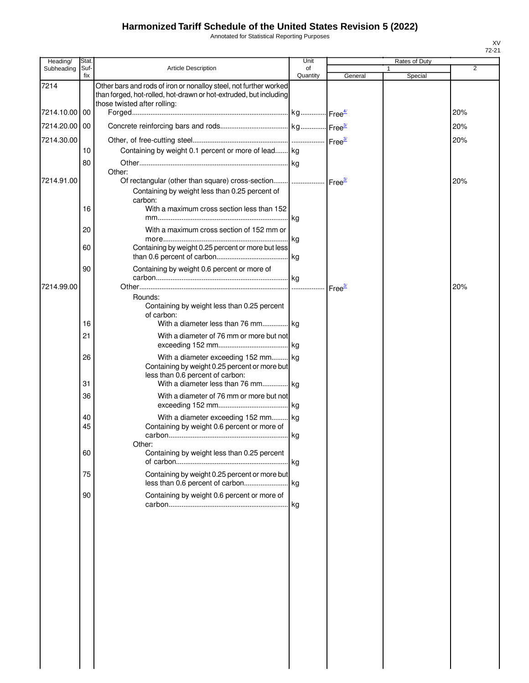Annotated for Statistical Reporting Purposes

| Heading/      | Stat.       |                                                                                                                                                                        | Unit           |         | Rates of Duty |     |
|---------------|-------------|------------------------------------------------------------------------------------------------------------------------------------------------------------------------|----------------|---------|---------------|-----|
| Subheading    | Suf-<br>fix | <b>Article Description</b>                                                                                                                                             | of<br>Quantity | General | Special       | 2   |
| 7214          |             | Other bars and rods of iron or nonalloy steel, not further worked<br>than forged, hot-rolled, hot-drawn or hot-extruded, but including<br>those twisted after rolling: |                |         |               |     |
| 7214.10.00 00 |             |                                                                                                                                                                        |                |         |               | 20% |
| 7214.20.00 00 |             |                                                                                                                                                                        |                |         |               | 20% |
| 7214.30.00    |             |                                                                                                                                                                        |                |         |               | 20% |
|               | 10          | Containing by weight 0.1 percent or more of lead kg                                                                                                                    |                |         |               |     |
|               | 80          |                                                                                                                                                                        |                |         |               |     |
|               |             | Other:                                                                                                                                                                 |                |         |               |     |
| 7214.91.00    |             | Of rectangular (other than square) cross-section    Free <sup>3/</sup><br>Containing by weight less than 0.25 percent of<br>carbon:                                    |                |         |               | 20% |
|               | 16          | With a maximum cross section less than 152                                                                                                                             |                |         |               |     |
|               | 20          | With a maximum cross section of 152 mm or                                                                                                                              |                |         |               |     |
|               | 60          | Containing by weight 0.25 percent or more but less                                                                                                                     |                |         |               |     |
|               | 90          | Containing by weight 0.6 percent or more of                                                                                                                            |                |         |               |     |
| 7214.99.00    |             |                                                                                                                                                                        |                |         |               | 20% |
|               | 16          | Rounds:<br>Containing by weight less than 0.25 percent<br>of carbon:<br>With a diameter less than 76 mm kg                                                             |                |         |               |     |
|               | 21          | With a diameter of 76 mm or more but not                                                                                                                               |                |         |               |     |
|               |             |                                                                                                                                                                        |                |         |               |     |
|               | 26<br>31    | With a diameter exceeding 152 mm kg<br>Containing by weight 0.25 percent or more but<br>less than 0.6 percent of carbon:<br>With a diameter less than 76 mm kg         |                |         |               |     |
|               | 36          | With a diameter of 76 mm or more but not                                                                                                                               |                |         |               |     |
|               |             |                                                                                                                                                                        |                |         |               |     |
|               | 40<br>45    | With a diameter exceeding 152 mm kg<br>Containing by weight 0.6 percent or more of                                                                                     |                |         |               |     |
|               |             | Other:                                                                                                                                                                 |                |         |               |     |
|               | 60          | Containing by weight less than 0.25 percent                                                                                                                            |                |         |               |     |
|               | 75          | Containing by weight 0.25 percent or more but                                                                                                                          |                |         |               |     |
|               | 90          | Containing by weight 0.6 percent or more of                                                                                                                            |                |         |               |     |
|               |             |                                                                                                                                                                        |                |         |               |     |
|               |             |                                                                                                                                                                        |                |         |               |     |
|               |             |                                                                                                                                                                        |                |         |               |     |
|               |             |                                                                                                                                                                        |                |         |               |     |
|               |             |                                                                                                                                                                        |                |         |               |     |
|               |             |                                                                                                                                                                        |                |         |               |     |
|               |             |                                                                                                                                                                        |                |         |               |     |
|               |             |                                                                                                                                                                        |                |         |               |     |
|               |             |                                                                                                                                                                        |                |         |               |     |
|               |             |                                                                                                                                                                        |                |         |               |     |
|               |             |                                                                                                                                                                        |                |         |               |     |
|               |             |                                                                                                                                                                        |                |         |               |     |
|               |             |                                                                                                                                                                        |                |         |               |     |
|               |             |                                                                                                                                                                        |                |         |               |     |

 $\begin{array}{c} \hline \end{array}$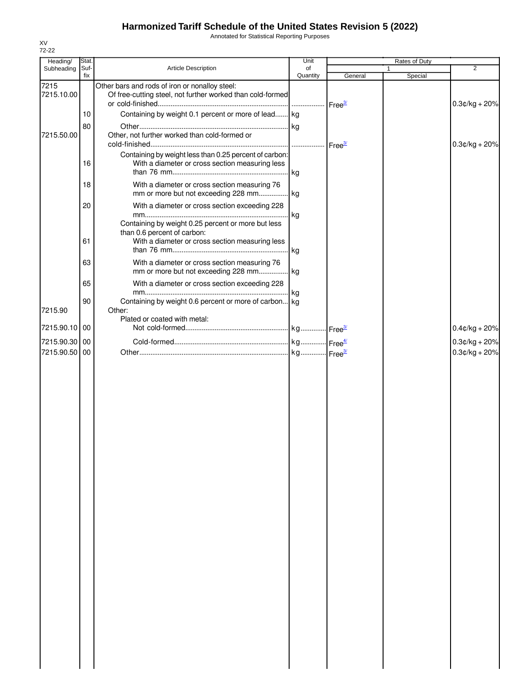Annotated for Statistical Reporting Purposes

| Heading/           | Stat.       |                                                                                                                                      | Unit           |                    | Rates of Duty |                  |
|--------------------|-------------|--------------------------------------------------------------------------------------------------------------------------------------|----------------|--------------------|---------------|------------------|
| Subheading         | Suf-<br>fix | Article Description                                                                                                                  | of<br>Quantity | General            | 1<br>Special  | 2                |
| 7215<br>7215.10.00 |             | Other bars and rods of iron or nonalloy steel:<br>Of free-cutting steel, not further worked than cold-formed                         |                | Free <sup>3/</sup> |               | $0.3$ ¢/kg + 20% |
|                    | 10          | Containing by weight 0.1 percent or more of lead kg                                                                                  |                |                    |               |                  |
|                    | 80          |                                                                                                                                      | kg             |                    |               |                  |
| 7215.50.00         |             | Other, not further worked than cold-formed or                                                                                        | .              | Free $\frac{3}{2}$ |               | $0.3$ ¢/kg + 20% |
|                    | 16          | Containing by weight less than 0.25 percent of carbon:<br>With a diameter or cross section measuring less                            | kg             |                    |               |                  |
|                    | 18          | With a diameter or cross section measuring 76<br>mm or more but not exceeding 228 mm                                                 | kg             |                    |               |                  |
|                    | 20          | With a diameter or cross section exceeding 228                                                                                       | kg             |                    |               |                  |
|                    | 61          | Containing by weight 0.25 percent or more but less<br>than 0.6 percent of carbon:<br>With a diameter or cross section measuring less |                |                    |               |                  |
|                    |             |                                                                                                                                      | kg             |                    |               |                  |
|                    | 63          | With a diameter or cross section measuring 76<br>mm or more but not exceeding 228 mm kg                                              |                |                    |               |                  |
|                    | 65          | With a diameter or cross section exceeding 228                                                                                       |                |                    |               |                  |
| 7215.90            | 90          | Containing by weight 0.6 percent or more of carbon kg<br>Other:                                                                      |                |                    |               |                  |
| 7215.90.10         | 00          | Plated or coated with metal:                                                                                                         |                |                    |               | $0.4$ ¢/kg + 20% |
| 7215.90.30 00      |             |                                                                                                                                      |                |                    |               | $0.3$ ¢/kg + 20% |
| 7215.90.50         | 00          |                                                                                                                                      |                |                    |               | $0.3$ ¢/kg + 20% |
|                    |             |                                                                                                                                      |                |                    |               |                  |
|                    |             |                                                                                                                                      |                |                    |               |                  |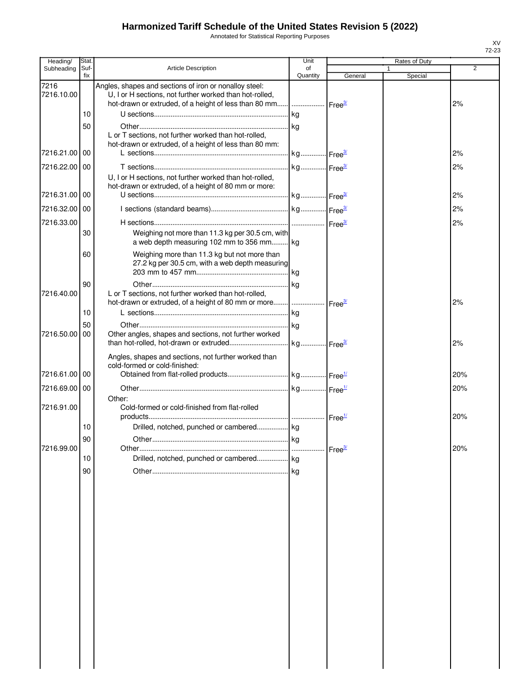Annotated for Statistical Reporting Purposes

| Heading/           | Stat.       |                                                                                                                   | Unit                  |                    | Rates of Duty |                |
|--------------------|-------------|-------------------------------------------------------------------------------------------------------------------|-----------------------|--------------------|---------------|----------------|
| Subheading         | Suf-<br>fix | <b>Article Description</b>                                                                                        | of<br>Quantity        | General            | Special       | $\overline{2}$ |
| 7216<br>7216.10.00 |             | Angles, shapes and sections of iron or nonalloy steel:<br>U, I or H sections, not further worked than hot-rolled, |                       |                    |               | 2%             |
|                    | 10          |                                                                                                                   | kg                    |                    |               |                |
|                    | 50          |                                                                                                                   | kg                    |                    |               |                |
|                    |             | L or T sections, not further worked than hot-rolled,                                                              |                       |                    |               |                |
| 7216.21.00 00      |             | hot-drawn or extruded, of a height of less than 80 mm:                                                            | kg Free <sup>3/</sup> |                    |               | 2%             |
|                    |             |                                                                                                                   |                       |                    |               |                |
| 7216.22.00 00      |             | U, I or H sections, not further worked than hot-rolled,<br>hot-drawn or extruded, of a height of 80 mm or more:   | kg Free <sup>3/</sup> |                    |               | 2%             |
| 7216.31.00 00      |             |                                                                                                                   |                       |                    |               | 2%             |
| 7216.32.00 00      |             |                                                                                                                   |                       |                    |               | 2%             |
| 7216.33.00         |             |                                                                                                                   |                       |                    |               | 2%             |
|                    | 30          | Weighing not more than 11.3 kg per 30.5 cm, with<br>a web depth measuring 102 mm to 356 mm                        |                       |                    |               |                |
|                    | 60          | Weighing more than 11.3 kg but not more than<br>27.2 kg per 30.5 cm, with a web depth measuring                   | <b>kg</b>             |                    |               |                |
|                    | 90          |                                                                                                                   | kg                    |                    |               |                |
| 7216.40.00         |             | L or T sections, not further worked than hot-rolled,                                                              |                       |                    |               | 2%             |
|                    | 10          |                                                                                                                   | kg                    |                    |               |                |
|                    | 50          |                                                                                                                   |                       |                    |               |                |
| 7216.50.00   00    |             | Other angles, shapes and sections, not further worked                                                             |                       |                    |               | 2%             |
|                    |             | Angles, shapes and sections, not further worked than<br>cold-formed or cold-finished:                             |                       |                    |               |                |
| 7216.61.00 00      |             |                                                                                                                   |                       |                    |               | 20%            |
| 7216.69.00 00      |             |                                                                                                                   |                       |                    |               | 20%            |
| 7216.91.00         |             | Other:<br>Cold-formed or cold-finished from flat-rolled                                                           |                       |                    |               | 20%            |
|                    | 10          | Drilled, notched, punched or cambered kg                                                                          |                       |                    |               |                |
|                    | 90          | Other.                                                                                                            | kg                    |                    |               |                |
| 7216.99.00         |             |                                                                                                                   |                       | Free <sup>3/</sup> |               | 20%            |
|                    | 10          | Drilled, notched, punched or cambered kg                                                                          |                       |                    |               |                |
|                    | 90          |                                                                                                                   | <b>Ikg</b>            |                    |               |                |
|                    |             |                                                                                                                   |                       |                    |               |                |
|                    |             |                                                                                                                   |                       |                    |               |                |
|                    |             |                                                                                                                   |                       |                    |               |                |
|                    |             |                                                                                                                   |                       |                    |               |                |
|                    |             |                                                                                                                   |                       |                    |               |                |
|                    |             |                                                                                                                   |                       |                    |               |                |
|                    |             |                                                                                                                   |                       |                    |               |                |
|                    |             |                                                                                                                   |                       |                    |               |                |
|                    |             |                                                                                                                   |                       |                    |               |                |
|                    |             |                                                                                                                   |                       |                    |               |                |
|                    |             |                                                                                                                   |                       |                    |               |                |
|                    |             |                                                                                                                   |                       |                    |               |                |
|                    |             |                                                                                                                   |                       |                    |               |                |
|                    |             |                                                                                                                   |                       |                    |               |                |
|                    |             |                                                                                                                   |                       |                    |               |                |
|                    |             |                                                                                                                   |                       |                    |               |                |
|                    |             |                                                                                                                   |                       |                    |               |                |
|                    |             |                                                                                                                   |                       |                    |               |                |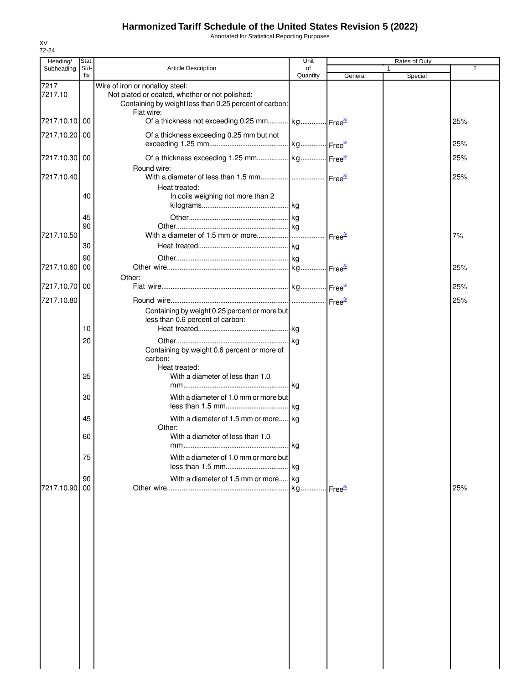Annotated for Statistical Reporting Purposes

| Heading/      | Stat.       |                                                                                                                        | Unit           |         | Rates of Duty |     |
|---------------|-------------|------------------------------------------------------------------------------------------------------------------------|----------------|---------|---------------|-----|
| Subheading    | Suf-<br>fix | <b>Article Description</b>                                                                                             | of<br>Quantity | General | 1<br>Special  | 2   |
| 7217          |             | Wire of iron or nonalloy steel:                                                                                        |                |         |               |     |
| 7217.10       |             | Not plated or coated, whether or not polished:<br>Containing by weight less than 0.25 percent of carbon:<br>Flat wire: |                |         |               |     |
| 7217.10.10    | 00          | Of a thickness not exceeding 0.25 mm kg Free <sup>3/</sup>                                                             |                |         |               | 25% |
| 7217.10.20 00 |             | Of a thickness exceeding 0.25 mm but not                                                                               |                |         |               | 25% |
| 7217.10.30 00 |             | Round wire:                                                                                                            |                |         |               | 25% |
| 7217.10.40    |             |                                                                                                                        |                |         |               | 25% |
|               | 40          | Heat treated:<br>In coils weighing not more than 2                                                                     |                |         |               |     |
|               | 45          |                                                                                                                        |                |         |               |     |
| 7217.10.50    | 90          |                                                                                                                        |                |         |               | 7%  |
|               | 30          |                                                                                                                        |                |         |               |     |
|               | 90          |                                                                                                                        |                |         |               |     |
| 7217.10.60    | 00          |                                                                                                                        |                |         |               | 25% |
|               |             | Other:                                                                                                                 |                |         |               |     |
| 7217.10.70 00 |             |                                                                                                                        |                |         |               | 25% |
| 7217.10.80    |             |                                                                                                                        |                |         |               | 25% |
|               |             | Containing by weight 0.25 percent or more but<br>less than 0.6 percent of carbon:                                      |                |         |               |     |
|               | 10          |                                                                                                                        |                |         |               |     |
|               | 20          |                                                                                                                        |                |         |               |     |
|               |             | Containing by weight 0.6 percent or more of<br>carbon:<br>Heat treated:                                                |                |         |               |     |
|               | 25          | With a diameter of less than 1.0                                                                                       |                |         |               |     |
|               | 30          | With a diameter of 1.0 mm or more but                                                                                  |                |         |               |     |
|               | 45          | With a diameter of 1.5 mm or more kg                                                                                   |                |         |               |     |
|               | 60          | Other:<br>With a diameter of less than 1.0                                                                             |                |         |               |     |
|               | 75          | With a diameter of 1.0 mm or more but                                                                                  |                |         |               |     |
|               | 90          | With a diameter of 1.5 mm or more kg                                                                                   |                |         |               |     |
| 7217.10.90    | 00          |                                                                                                                        |                |         |               | 25% |
|               |             |                                                                                                                        |                |         |               |     |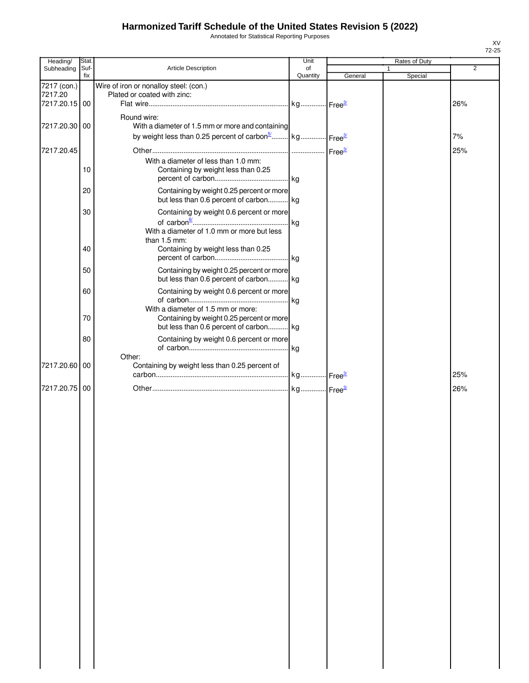Annotated for Statistical Reporting Purposes

| Heading/               | Stat. |                                                                                                                                                  | Unit     |         | Rates of Duty |                |
|------------------------|-------|--------------------------------------------------------------------------------------------------------------------------------------------------|----------|---------|---------------|----------------|
| Subheading             | Suf-  | Article Description                                                                                                                              | of       |         |               | $\overline{2}$ |
| 7217 (con.)<br>7217.20 | fix   | Wire of iron or nonalloy steel: (con.)<br>Plated or coated with zinc:                                                                            | Quantity | General | Special       |                |
| 7217.20.15 00          |       |                                                                                                                                                  |          |         |               | 26%            |
| 7217.20.30 00          |       | Round wire:<br>With a diameter of 1.5 mm or more and containing<br>by weight less than 0.25 percent of carbon <sup>5</sup> kg Free <sup>3/</sup> |          |         |               | 7%             |
| 7217.20.45             |       |                                                                                                                                                  |          |         |               | 25%            |
|                        | 10    | With a diameter of less than 1.0 mm:<br>Containing by weight less than 0.25                                                                      |          |         |               |                |
|                        | 20    | Containing by weight 0.25 percent or more<br>but less than 0.6 percent of carbon kg                                                              |          |         |               |                |
|                        | 30    | Containing by weight 0.6 percent or more                                                                                                         | . kg     |         |               |                |
|                        | 40    | With a diameter of 1.0 mm or more but less<br>than 1.5 mm:<br>Containing by weight less than 0.25                                                |          |         |               |                |
|                        | 50    | Containing by weight 0.25 percent or more<br>but less than 0.6 percent of carbon kg                                                              |          |         |               |                |
|                        | 60    | Containing by weight 0.6 percent or more<br>With a diameter of 1.5 mm or more:                                                                   |          |         |               |                |
|                        | 70    | Containing by weight 0.25 percent or more<br>but less than 0.6 percent of carbon kg                                                              |          |         |               |                |
|                        | 80    | Containing by weight 0.6 percent or more<br>Other:                                                                                               |          |         |               |                |
| 7217.20.60 00          |       | Containing by weight less than 0.25 percent of                                                                                                   |          |         |               | 25%            |
| 7217.20.75 00          |       |                                                                                                                                                  |          |         |               | 26%            |
|                        |       |                                                                                                                                                  |          |         |               |                |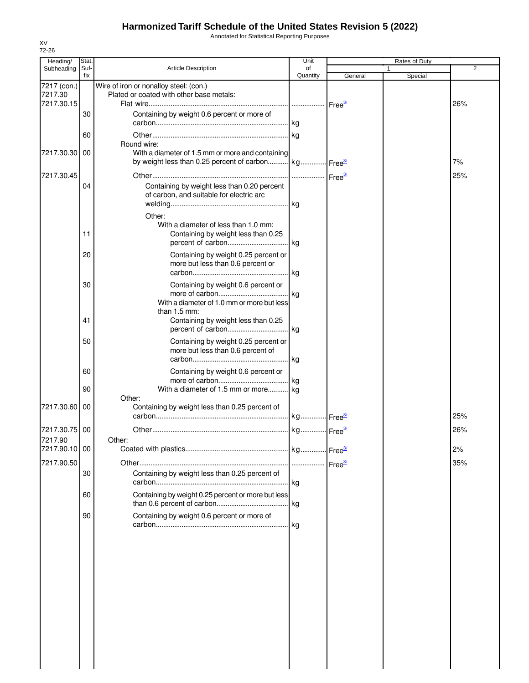Annotated for Statistical Reporting Purposes

| Heading/                 | Stat.       |                                                                                                                                     | Unit           |                                 | Rates of Duty           |     |
|--------------------------|-------------|-------------------------------------------------------------------------------------------------------------------------------------|----------------|---------------------------------|-------------------------|-----|
| Subheading               | Suf-<br>fix | <b>Article Description</b>                                                                                                          | of<br>Quantity | General                         | $\mathbf{1}$<br>Special | 2   |
| 7217 (con.)<br>7217.30   |             | Wire of iron or nonalloy steel: (con.)<br>Plated or coated with other base metals:                                                  |                |                                 |                         |     |
| 7217.30.15               |             |                                                                                                                                     |                | ⊶ Free <del><sup>3</sup>″</del> |                         | 26% |
|                          | 30          | Containing by weight 0.6 percent or more of                                                                                         |                |                                 |                         |     |
|                          | 60          |                                                                                                                                     |                |                                 |                         |     |
| 7217.30.30               | 00          | Round wire:<br>With a diameter of 1.5 mm or more and containing<br>by weight less than 0.25 percent of carbon kg Free <sup>3/</sup> |                |                                 |                         | 7%  |
|                          |             |                                                                                                                                     |                |                                 |                         |     |
| 7217.30.45               | 04          | Containing by weight less than 0.20 percent<br>of carbon, and suitable for electric arc                                             |                |                                 |                         | 25% |
|                          |             | Other:                                                                                                                              |                |                                 |                         |     |
|                          | 11          | With a diameter of less than 1.0 mm:<br>Containing by weight less than 0.25                                                         |                |                                 |                         |     |
|                          | 20          | Containing by weight 0.25 percent or<br>more but less than 0.6 percent or                                                           | .lkg           |                                 |                         |     |
|                          | 30          | Containing by weight 0.6 percent or<br>With a diameter of 1.0 mm or more but less                                                   |                |                                 |                         |     |
|                          | 41          | than 1.5 mm:<br>Containing by weight less than 0.25                                                                                 |                |                                 |                         |     |
|                          | 50          | Containing by weight 0.25 percent or<br>more but less than 0.6 percent of                                                           | kg             |                                 |                         |     |
|                          | 60          | Containing by weight 0.6 percent or                                                                                                 |                |                                 |                         |     |
|                          | 90          | With a diameter of 1.5 mm or more kg<br>Other:                                                                                      |                |                                 |                         |     |
| 7217.30.60               | 00          | Containing by weight less than 0.25 percent of                                                                                      |                |                                 |                         | 25% |
| 7217.30.75               | 00          |                                                                                                                                     |                |                                 |                         | 26% |
| 7217.90<br>7217.90.10 00 |             | Other:                                                                                                                              |                |                                 |                         | 2%  |
| 7217.90.50               |             |                                                                                                                                     |                |                                 |                         | 35% |
|                          | 30          | Containing by weight less than 0.25 percent of                                                                                      |                |                                 |                         |     |
|                          | 60          | Containing by weight 0.25 percent or more but less                                                                                  |                |                                 |                         |     |
|                          | 90          | Containing by weight 0.6 percent or more of                                                                                         | kg             |                                 |                         |     |
|                          |             |                                                                                                                                     |                |                                 |                         |     |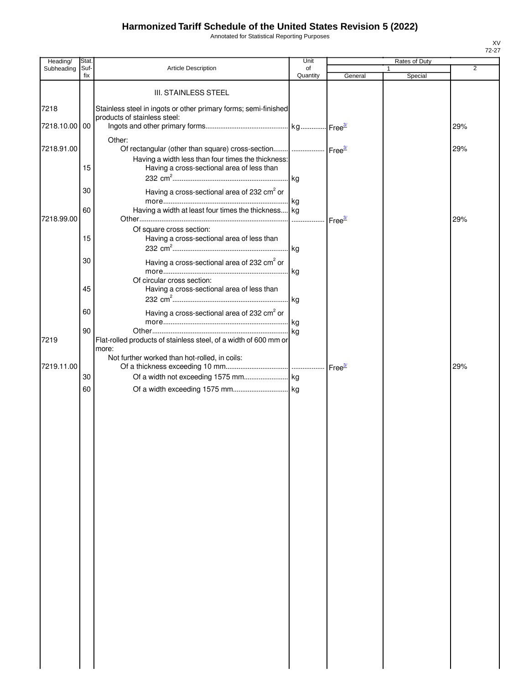Annotated for Statistical Reporting Purposes

| Heading/      | Stat.       |                                                                                                  | Unit           |         | Rates of Duty |     |
|---------------|-------------|--------------------------------------------------------------------------------------------------|----------------|---------|---------------|-----|
| Subheading    | Suf-<br>fix | Article Description                                                                              | of<br>Quantity | General | 1<br>Special  | 2   |
|               |             | <b>III. STAINLESS STEEL</b>                                                                      |                |         |               |     |
|               |             |                                                                                                  |                |         |               |     |
| 7218          |             | Stainless steel in ingots or other primary forms; semi-finished<br>products of stainless steel:  |                |         |               |     |
| 7218.10.00 00 |             |                                                                                                  |                |         |               | 29% |
|               |             | Other:                                                                                           |                |         |               |     |
| 7218.91.00    |             | Of rectangular (other than square) cross-section    Free3                                        |                |         |               | 29% |
|               | 15          | Having a width less than four times the thickness:<br>Having a cross-sectional area of less than |                |         |               |     |
|               |             |                                                                                                  |                |         |               |     |
|               | 30          | Having a cross-sectional area of 232 cm <sup>2</sup> or                                          |                |         |               |     |
|               |             |                                                                                                  |                |         |               |     |
|               | 60          | Having a width at least four times the thickness kg                                              |                |         |               |     |
| 7218.99.00    |             |                                                                                                  |                |         |               | 29% |
|               | 15          | Of square cross section:<br>Having a cross-sectional area of less than                           |                |         |               |     |
|               |             |                                                                                                  |                |         |               |     |
|               | 30          | Having a cross-sectional area of 232 cm <sup>2</sup> or                                          |                |         |               |     |
|               |             |                                                                                                  |                |         |               |     |
|               |             | Of circular cross section:                                                                       |                |         |               |     |
|               | 45          | Having a cross-sectional area of less than                                                       |                |         |               |     |
|               | 60          |                                                                                                  |                |         |               |     |
|               |             | Having a cross-sectional area of 232 cm <sup>2</sup> or                                          |                |         |               |     |
|               | 90          |                                                                                                  |                |         |               |     |
| 7219          |             | Flat-rolled products of stainless steel, of a width of 600 mm or                                 |                |         |               |     |
|               |             | more:<br>Not further worked than hot-rolled, in coils:                                           |                |         |               |     |
| 7219.11.00    |             |                                                                                                  |                |         |               | 29% |
|               | 30          |                                                                                                  |                |         |               |     |
|               | 60          |                                                                                                  |                |         |               |     |
|               |             |                                                                                                  |                |         |               |     |
|               |             |                                                                                                  |                |         |               |     |
|               |             |                                                                                                  |                |         |               |     |
|               |             |                                                                                                  |                |         |               |     |
|               |             |                                                                                                  |                |         |               |     |
|               |             |                                                                                                  |                |         |               |     |
|               |             |                                                                                                  |                |         |               |     |
|               |             |                                                                                                  |                |         |               |     |
|               |             |                                                                                                  |                |         |               |     |
|               |             |                                                                                                  |                |         |               |     |
|               |             |                                                                                                  |                |         |               |     |
|               |             |                                                                                                  |                |         |               |     |
|               |             |                                                                                                  |                |         |               |     |
|               |             |                                                                                                  |                |         |               |     |
|               |             |                                                                                                  |                |         |               |     |
|               |             |                                                                                                  |                |         |               |     |
|               |             |                                                                                                  |                |         |               |     |
|               |             |                                                                                                  |                |         |               |     |
|               |             |                                                                                                  |                |         |               |     |
|               |             |                                                                                                  |                |         |               |     |
|               |             |                                                                                                  |                |         |               |     |
|               |             |                                                                                                  |                |         |               |     |
|               |             |                                                                                                  |                |         |               |     |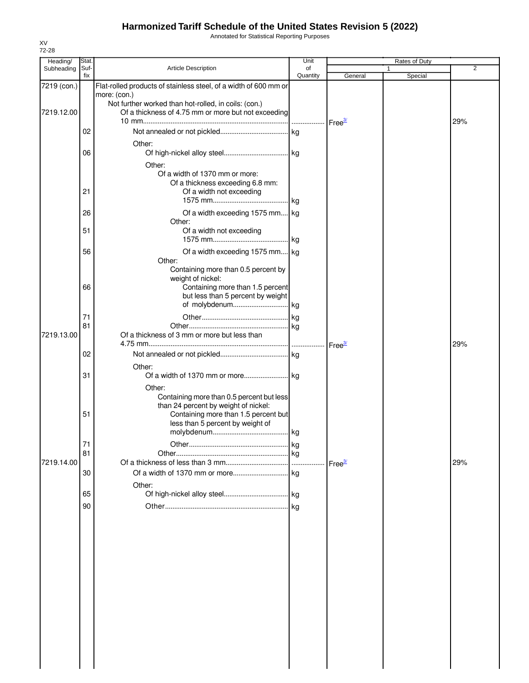Annotated for Statistical Reporting Purposes

| Heading/    | Stat.       |                                                                  | Unit           |                    | Rates of Duty |     |
|-------------|-------------|------------------------------------------------------------------|----------------|--------------------|---------------|-----|
| Subheading  | Suf-<br>fix | <b>Article Description</b>                                       | of<br>Quantity | General            | 1<br>Special  | 2   |
| 7219 (con.) |             | Flat-rolled products of stainless steel, of a width of 600 mm or |                |                    |               |     |
|             |             | more: (con.)                                                     |                |                    |               |     |
|             |             | Not further worked than hot-rolled, in coils: (con.)             |                |                    |               |     |
| 7219.12.00  |             | Of a thickness of 4.75 mm or more but not exceeding              |                |                    |               |     |
|             |             |                                                                  |                |                    |               | 29% |
|             | 02          |                                                                  |                |                    |               |     |
|             |             |                                                                  |                |                    |               |     |
|             | 06          | Other:                                                           |                |                    |               |     |
|             |             |                                                                  |                |                    |               |     |
|             |             | Other:                                                           |                |                    |               |     |
|             |             | Of a width of 1370 mm or more:                                   |                |                    |               |     |
|             |             | Of a thickness exceeding 6.8 mm:                                 |                |                    |               |     |
|             | 21          | Of a width not exceeding                                         |                |                    |               |     |
|             |             |                                                                  |                |                    |               |     |
|             | 26          | Of a width exceeding 1575 mm kg                                  |                |                    |               |     |
|             |             | Other:                                                           |                |                    |               |     |
|             | 51          | Of a width not exceeding                                         |                |                    |               |     |
|             |             |                                                                  |                |                    |               |     |
|             | 56          | Of a width exceeding 1575 mm kg                                  |                |                    |               |     |
|             |             | Other:                                                           |                |                    |               |     |
|             |             | Containing more than 0.5 percent by                              |                |                    |               |     |
|             |             | weight of nickel:                                                |                |                    |               |     |
|             | 66          | Containing more than 1.5 percent                                 |                |                    |               |     |
|             |             | but less than 5 percent by weight                                |                |                    |               |     |
|             |             |                                                                  |                |                    |               |     |
|             | 71          |                                                                  |                |                    |               |     |
|             | 81          |                                                                  |                |                    |               |     |
| 7219.13.00  |             | Of a thickness of 3 mm or more but less than                     |                |                    |               |     |
|             |             |                                                                  |                | Free <sup>3/</sup> |               | 29% |
|             | 02          |                                                                  |                |                    |               |     |
|             |             | Other:                                                           |                |                    |               |     |
|             | 31          |                                                                  |                |                    |               |     |
|             |             | Other:                                                           |                |                    |               |     |
|             |             | Containing more than 0.5 percent but less                        |                |                    |               |     |
|             |             | than 24 percent by weight of nickel:                             |                |                    |               |     |
|             | 51          | Containing more than 1.5 percent but                             |                |                    |               |     |
|             |             | less than 5 percent by weight of                                 |                |                    |               |     |
|             |             |                                                                  |                |                    |               |     |
|             | 71          |                                                                  |                |                    |               |     |
|             | 81          |                                                                  |                |                    |               |     |
| 7219.14.00  |             |                                                                  |                | Free <sup>3/</sup> |               | 29% |
|             | 30          |                                                                  |                |                    |               |     |
|             |             | Other:                                                           |                |                    |               |     |
|             | 65          |                                                                  |                |                    |               |     |
|             | 90          |                                                                  |                |                    |               |     |
|             |             |                                                                  |                |                    |               |     |
|             |             |                                                                  |                |                    |               |     |
|             |             |                                                                  |                |                    |               |     |
|             |             |                                                                  |                |                    |               |     |
|             |             |                                                                  |                |                    |               |     |
|             |             |                                                                  |                |                    |               |     |
|             |             |                                                                  |                |                    |               |     |
|             |             |                                                                  |                |                    |               |     |
|             |             |                                                                  |                |                    |               |     |
|             |             |                                                                  |                |                    |               |     |
|             |             |                                                                  |                |                    |               |     |
|             |             |                                                                  |                |                    |               |     |
|             |             |                                                                  |                |                    |               |     |
|             |             |                                                                  |                |                    |               |     |
|             |             |                                                                  |                |                    |               |     |
|             |             |                                                                  |                |                    |               |     |
|             |             |                                                                  |                |                    |               |     |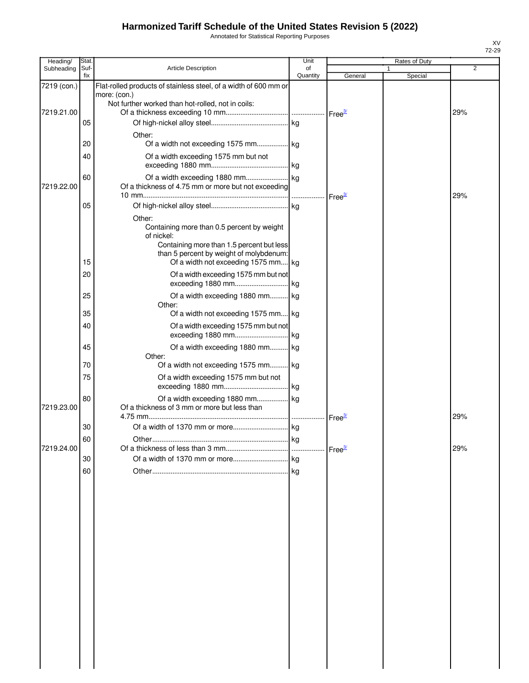Annotated for Statistical Reporting Purposes

| Heading/    | Stat        |                                                                                                                                                                                                   | Unit           |                    | Rates of Duty |     |
|-------------|-------------|---------------------------------------------------------------------------------------------------------------------------------------------------------------------------------------------------|----------------|--------------------|---------------|-----|
| Subheading  | Suf-<br>fix | <b>Article Description</b>                                                                                                                                                                        | of<br>Quantity | General            | Special       | 2   |
| 7219 (con.) |             | Flat-rolled products of stainless steel, of a width of 600 mm or<br>more: (con.)<br>Not further worked than hot-rolled, not in coils:                                                             |                |                    |               |     |
| 7219.21.00  |             |                                                                                                                                                                                                   |                |                    |               | 29% |
|             | 05          | Other:                                                                                                                                                                                            |                |                    |               |     |
|             | 20          |                                                                                                                                                                                                   |                |                    |               |     |
|             | 40          | Of a width exceeding 1575 mm but not                                                                                                                                                              |                |                    |               |     |
| 7219.22.00  | 60          | Of a thickness of 4.75 mm or more but not exceeding                                                                                                                                               |                | Free <sup>37</sup> |               | 29% |
|             | 05          |                                                                                                                                                                                                   |                |                    |               |     |
|             | 15          | Other:<br>Containing more than 0.5 percent by weight<br>of nickel:<br>Containing more than 1.5 percent but less<br>than 5 percent by weight of molybdenum:<br>Of a width not exceeding 1575 mm kg |                |                    |               |     |
|             | 20          | Of a width exceeding 1575 mm but not                                                                                                                                                              |                |                    |               |     |
|             | 25          | Of a width exceeding 1880 mm kg<br>Other:                                                                                                                                                         |                |                    |               |     |
|             | 35          | Of a width not exceeding 1575 mm kg                                                                                                                                                               |                |                    |               |     |
|             | 40          | Of a width exceeding 1575 mm but not<br>exceeding 1880 mm                                                                                                                                         | kg             |                    |               |     |
|             | 45          | Of a width exceeding 1880 mm kg<br>Other:                                                                                                                                                         |                |                    |               |     |
|             | 70          | Of a width not exceeding 1575 mm kg                                                                                                                                                               |                |                    |               |     |
|             | 75          | Of a width exceeding 1575 mm but not                                                                                                                                                              | l kg           |                    |               |     |
| 7219.23.00  | 80          | Of a width exceeding 1880 mm kg<br>Of a thickness of 3 mm or more but less than                                                                                                                   |                | Free <sup>3/</sup> |               | 29% |
|             | 30          |                                                                                                                                                                                                   | kg             |                    |               |     |
| 7219.24.00  | 60          | <mark>kg</mark><br>∩ther                                                                                                                                                                          |                |                    |               | 29% |
|             | 30          |                                                                                                                                                                                                   |                |                    |               |     |
|             | 60          |                                                                                                                                                                                                   |                |                    |               |     |
|             |             |                                                                                                                                                                                                   |                |                    |               |     |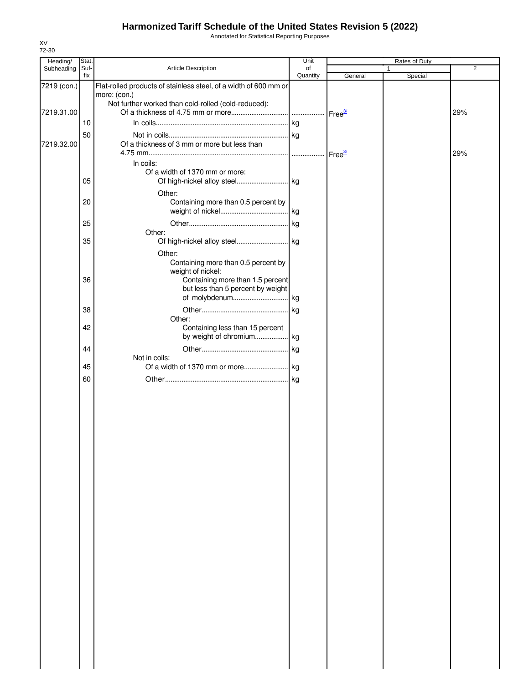Annotated for Statistical Reporting Purposes

| Heading/    | Stat. |                                                                  | Unit     |         | Rates of Duty |     |
|-------------|-------|------------------------------------------------------------------|----------|---------|---------------|-----|
| Subheading  | Suf-  | Article Description                                              | of       |         |               | 2   |
|             | fix   |                                                                  | Quantity | General | Special       |     |
| 7219 (con.) |       | Flat-rolled products of stainless steel, of a width of 600 mm or |          |         |               |     |
|             |       | more: (con.)                                                     |          |         |               |     |
|             |       | Not further worked than cold-rolled (cold-reduced):              |          |         |               |     |
| 7219.31.00  |       |                                                                  |          |         |               | 29% |
|             |       |                                                                  |          |         |               |     |
|             | 10    |                                                                  |          |         |               |     |
|             | 50    |                                                                  |          |         |               |     |
| 7219.32.00  |       | Of a thickness of 3 mm or more but less than                     |          |         |               |     |
|             |       |                                                                  |          |         |               | 29% |
|             |       | In coils:                                                        |          |         |               |     |
|             |       | Of a width of 1370 mm or more:                                   |          |         |               |     |
|             | 05    |                                                                  |          |         |               |     |
|             |       | Of high-nickel alloy steel kg                                    |          |         |               |     |
|             |       | Other:                                                           |          |         |               |     |
|             | 20    | Containing more than 0.5 percent by                              |          |         |               |     |
|             |       |                                                                  |          |         |               |     |
|             |       |                                                                  |          |         |               |     |
|             | 25    |                                                                  | kg       |         |               |     |
|             |       | Other:                                                           |          |         |               |     |
|             | 35    |                                                                  |          |         |               |     |
|             |       | Other:                                                           |          |         |               |     |
|             |       | Containing more than 0.5 percent by                              |          |         |               |     |
|             |       | weight of nickel:                                                |          |         |               |     |
|             | 36    | Containing more than 1.5 percent                                 |          |         |               |     |
|             |       | but less than 5 percent by weight                                |          |         |               |     |
|             |       | of molybdenum kg                                                 |          |         |               |     |
|             |       |                                                                  |          |         |               |     |
|             | 38    |                                                                  |          |         |               |     |
|             |       | Other:                                                           |          |         |               |     |
|             | 42    | Containing less than 15 percent                                  |          |         |               |     |
|             |       | by weight of chromium kg                                         |          |         |               |     |
|             | 44    |                                                                  |          |         |               |     |
|             |       | Not in coils:                                                    |          |         |               |     |
|             | 45    |                                                                  |          |         |               |     |
|             |       |                                                                  |          |         |               |     |
|             | 60    |                                                                  | . kg     |         |               |     |
|             |       |                                                                  |          |         |               |     |
|             |       |                                                                  |          |         |               |     |
|             |       |                                                                  |          |         |               |     |
|             |       |                                                                  |          |         |               |     |
|             |       |                                                                  |          |         |               |     |
|             |       |                                                                  |          |         |               |     |
|             |       |                                                                  |          |         |               |     |
|             |       |                                                                  |          |         |               |     |
|             |       |                                                                  |          |         |               |     |
|             |       |                                                                  |          |         |               |     |
|             |       |                                                                  |          |         |               |     |
|             |       |                                                                  |          |         |               |     |
|             |       |                                                                  |          |         |               |     |
|             |       |                                                                  |          |         |               |     |
|             |       |                                                                  |          |         |               |     |
|             |       |                                                                  |          |         |               |     |
|             |       |                                                                  |          |         |               |     |
|             |       |                                                                  |          |         |               |     |
|             |       |                                                                  |          |         |               |     |
|             |       |                                                                  |          |         |               |     |
|             |       |                                                                  |          |         |               |     |
|             |       |                                                                  |          |         |               |     |
|             |       |                                                                  |          |         |               |     |
|             |       |                                                                  |          |         |               |     |
|             |       |                                                                  |          |         |               |     |
|             |       |                                                                  |          |         |               |     |
|             |       |                                                                  |          |         |               |     |
|             |       |                                                                  |          |         |               |     |
|             |       |                                                                  |          |         |               |     |
|             |       |                                                                  |          |         |               |     |
|             |       |                                                                  |          |         |               |     |
|             |       |                                                                  |          |         |               |     |
|             |       |                                                                  |          |         |               |     |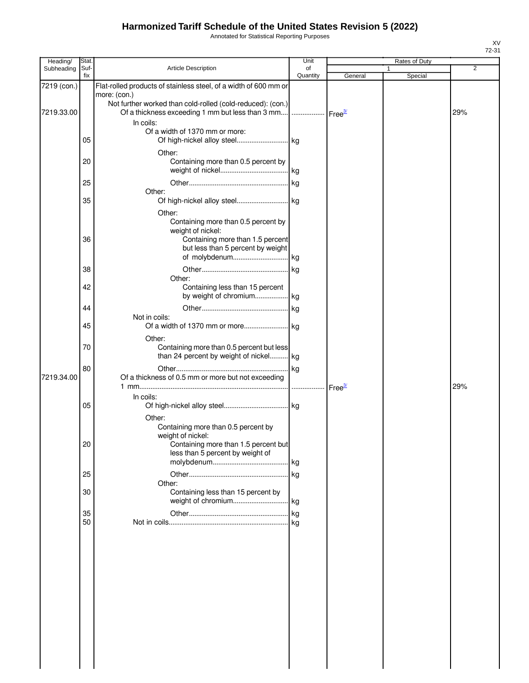Annotated for Statistical Reporting Purposes

| Heading/    | Stat.    |                                                                  | Unit               |                    | Rates of Duty |     |
|-------------|----------|------------------------------------------------------------------|--------------------|--------------------|---------------|-----|
| Subheading  | Suf-     | <b>Article Description</b>                                       | of                 |                    | 1             | 2   |
|             | fix      |                                                                  | Quantity           | General            | Special       |     |
| 7219 (con.) |          | Flat-rolled products of stainless steel, of a width of 600 mm or |                    |                    |               |     |
|             |          | more: (con.)                                                     |                    |                    |               |     |
|             |          | Not further worked than cold-rolled (cold-reduced): (con.)       |                    |                    |               |     |
| 7219.33.00  |          | Of a thickness exceeding 1 mm but less than 3 mm                 | Free <sup>3/</sup> |                    |               | 29% |
|             |          | In coils:                                                        |                    |                    |               |     |
|             |          | Of a width of 1370 mm or more:                                   |                    |                    |               |     |
|             | 05       |                                                                  |                    |                    |               |     |
|             |          | Other:                                                           |                    |                    |               |     |
|             | 20       | Containing more than 0.5 percent by                              |                    |                    |               |     |
|             |          |                                                                  |                    |                    |               |     |
|             | 25       |                                                                  |                    |                    |               |     |
|             |          | Other:                                                           |                    |                    |               |     |
|             | 35       |                                                                  |                    |                    |               |     |
|             |          |                                                                  |                    |                    |               |     |
|             |          | Other:                                                           |                    |                    |               |     |
|             |          | Containing more than 0.5 percent by                              |                    |                    |               |     |
|             |          | weight of nickel:                                                |                    |                    |               |     |
|             | 36       | Containing more than 1.5 percent                                 |                    |                    |               |     |
|             |          | but less than 5 percent by weight                                |                    |                    |               |     |
|             |          |                                                                  |                    |                    |               |     |
|             | 38       |                                                                  |                    |                    |               |     |
|             |          | Other:                                                           |                    |                    |               |     |
|             | 42       | Containing less than 15 percent                                  |                    |                    |               |     |
|             |          | by weight of chromium kg                                         |                    |                    |               |     |
|             | 44       |                                                                  |                    |                    |               |     |
|             |          | Not in coils:                                                    |                    |                    |               |     |
|             | 45       |                                                                  |                    |                    |               |     |
|             |          | Other:                                                           |                    |                    |               |     |
|             | 70       | Containing more than 0.5 percent but less                        |                    |                    |               |     |
|             |          | than 24 percent by weight of nickel kg                           |                    |                    |               |     |
|             |          |                                                                  |                    |                    |               |     |
|             | 80       |                                                                  |                    |                    |               |     |
| 7219.34.00  |          | Of a thickness of 0.5 mm or more but not exceeding               |                    |                    |               |     |
|             |          |                                                                  |                    | Free <sup>3/</sup> |               | 29% |
|             |          | In coils:                                                        |                    |                    |               |     |
|             | 05       |                                                                  |                    |                    |               |     |
|             |          | Other:                                                           |                    |                    |               |     |
|             |          | Containing more than 0.5 percent by                              |                    |                    |               |     |
|             |          | weight of nickel:                                                |                    |                    |               |     |
|             | 20       | Containing more than 1.5 percent but                             |                    |                    |               |     |
|             |          | less than 5 percent by weight of                                 |                    |                    |               |     |
|             |          |                                                                  |                    |                    |               |     |
|             | 25       |                                                                  |                    |                    |               |     |
|             |          | Other:                                                           |                    |                    |               |     |
|             | 30       | Containing less than 15 percent by                               |                    |                    |               |     |
|             |          |                                                                  |                    |                    |               |     |
|             |          |                                                                  |                    |                    |               |     |
|             | 35<br>50 |                                                                  |                    |                    |               |     |
|             |          |                                                                  |                    |                    |               |     |
|             |          |                                                                  |                    |                    |               |     |
|             |          |                                                                  |                    |                    |               |     |
|             |          |                                                                  |                    |                    |               |     |
|             |          |                                                                  |                    |                    |               |     |
|             |          |                                                                  |                    |                    |               |     |
|             |          |                                                                  |                    |                    |               |     |
|             |          |                                                                  |                    |                    |               |     |
|             |          |                                                                  |                    |                    |               |     |
|             |          |                                                                  |                    |                    |               |     |
|             |          |                                                                  |                    |                    |               |     |
|             |          |                                                                  |                    |                    |               |     |
|             |          |                                                                  |                    |                    |               |     |
|             |          |                                                                  |                    |                    |               |     |
|             |          |                                                                  |                    |                    |               |     |
|             |          |                                                                  |                    |                    |               |     |
|             |          |                                                                  |                    |                    |               |     |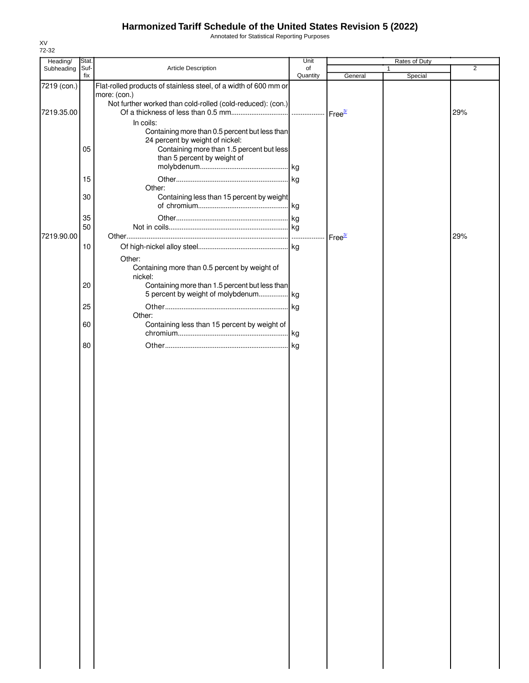Annotated for Statistical Reporting Purposes

| Heading/    | Stat. |                                                                  | Unit     |                      | Rates of Duty |     |
|-------------|-------|------------------------------------------------------------------|----------|----------------------|---------------|-----|
| Subheading  | Suf-  | Article Description                                              | of       |                      |               | 2   |
|             | fix   |                                                                  | Quantity | General              | Special       |     |
| 7219 (con.) |       | Flat-rolled products of stainless steel, of a width of 600 mm or |          |                      |               |     |
|             |       | more: (con.)                                                     |          |                      |               |     |
|             |       | Not further worked than cold-rolled (cold-reduced): (con.)       |          |                      |               |     |
| 7219.35.00  |       |                                                                  |          |                      |               | 29% |
|             |       | In coils:                                                        |          |                      |               |     |
|             |       | Containing more than 0.5 percent but less than                   |          |                      |               |     |
|             |       | 24 percent by weight of nickel:                                  |          |                      |               |     |
|             | 05    | Containing more than 1.5 percent but less                        |          |                      |               |     |
|             |       | than 5 percent by weight of                                      |          |                      |               |     |
|             |       |                                                                  |          |                      |               |     |
|             |       |                                                                  |          |                      |               |     |
|             | 15    |                                                                  |          |                      |               |     |
|             |       | Other:                                                           |          |                      |               |     |
|             | 30    | Containing less than 15 percent by weight                        |          |                      |               |     |
|             |       |                                                                  |          |                      |               |     |
|             |       |                                                                  |          |                      |               |     |
|             | 35    |                                                                  |          |                      |               |     |
|             | 50    |                                                                  |          |                      |               |     |
| 7219.90.00  |       |                                                                  |          | $Free^{\frac{3}{2}}$ |               | 29% |
|             | 10    |                                                                  |          |                      |               |     |
|             |       |                                                                  |          |                      |               |     |
|             |       | Other:                                                           |          |                      |               |     |
|             |       | Containing more than 0.5 percent by weight of                    |          |                      |               |     |
|             |       | nickel:                                                          |          |                      |               |     |
|             | 20    | Containing more than 1.5 percent but less than                   |          |                      |               |     |
|             |       | 5 percent by weight of molybdenum kg                             |          |                      |               |     |
|             |       |                                                                  |          |                      |               |     |
|             | 25    |                                                                  |          |                      |               |     |
|             |       | Other:                                                           |          |                      |               |     |
|             | 60    | Containing less than 15 percent by weight of                     |          |                      |               |     |
|             |       |                                                                  |          |                      |               |     |
|             | 80    |                                                                  |          |                      |               |     |
|             |       |                                                                  |          |                      |               |     |
|             |       |                                                                  |          |                      |               |     |
|             |       |                                                                  |          |                      |               |     |
|             |       |                                                                  |          |                      |               |     |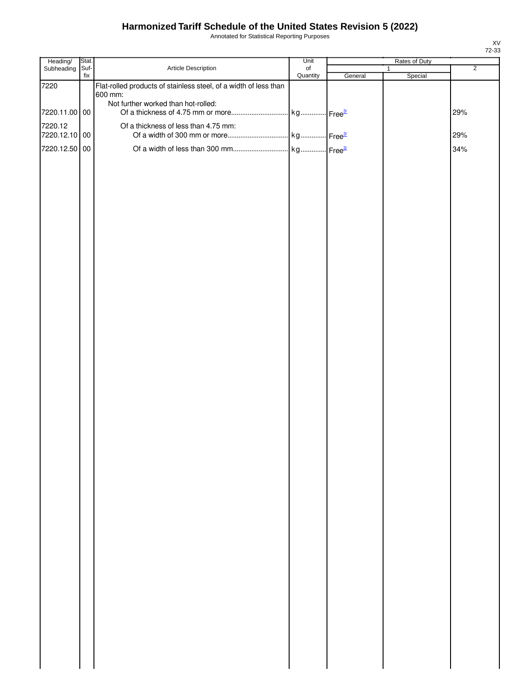Annotated for Statistical Reporting Purposes

| Heading/      | Stat.       |                                                                  | Unit                  |         | Rates of Duty           |                |
|---------------|-------------|------------------------------------------------------------------|-----------------------|---------|-------------------------|----------------|
| Subheading    | Suf-<br>fix | Article Description                                              | $\circ$ f<br>Quantity | General | $\mathbf{1}$<br>Special | $\overline{2}$ |
| 7220          |             | Flat-rolled products of stainless steel, of a width of less than |                       |         |                         |                |
|               |             | 600 mm:                                                          |                       |         |                         |                |
| 7220.11.00 00 |             | Not further worked than hot-rolled:                              |                       |         |                         | 29%            |
| 7220.12       |             | Of a thickness of less than 4.75 mm:                             |                       |         |                         |                |
| 7220.12.10 00 |             |                                                                  |                       |         |                         | 29%            |
| 7220.12.50 00 |             |                                                                  |                       |         |                         | 34%            |
|               |             |                                                                  |                       |         |                         |                |
|               |             |                                                                  |                       |         |                         |                |
|               |             |                                                                  |                       |         |                         |                |
|               |             |                                                                  |                       |         |                         |                |
|               |             |                                                                  |                       |         |                         |                |
|               |             |                                                                  |                       |         |                         |                |
|               |             |                                                                  |                       |         |                         |                |
|               |             |                                                                  |                       |         |                         |                |
|               |             |                                                                  |                       |         |                         |                |
|               |             |                                                                  |                       |         |                         |                |
|               |             |                                                                  |                       |         |                         |                |
|               |             |                                                                  |                       |         |                         |                |
|               |             |                                                                  |                       |         |                         |                |
|               |             |                                                                  |                       |         |                         |                |
|               |             |                                                                  |                       |         |                         |                |
|               |             |                                                                  |                       |         |                         |                |
|               |             |                                                                  |                       |         |                         |                |
|               |             |                                                                  |                       |         |                         |                |
|               |             |                                                                  |                       |         |                         |                |
|               |             |                                                                  |                       |         |                         |                |
|               |             |                                                                  |                       |         |                         |                |
|               |             |                                                                  |                       |         |                         |                |
|               |             |                                                                  |                       |         |                         |                |
|               |             |                                                                  |                       |         |                         |                |
|               |             |                                                                  |                       |         |                         |                |
|               |             |                                                                  |                       |         |                         |                |
|               |             |                                                                  |                       |         |                         |                |
|               |             |                                                                  |                       |         |                         |                |
|               |             |                                                                  |                       |         |                         |                |
|               |             |                                                                  |                       |         |                         |                |
|               |             |                                                                  |                       |         |                         |                |
|               |             |                                                                  |                       |         |                         |                |
|               |             |                                                                  |                       |         |                         |                |
|               |             |                                                                  |                       |         |                         |                |
|               |             |                                                                  |                       |         |                         |                |
|               |             |                                                                  |                       |         |                         |                |
|               |             |                                                                  |                       |         |                         |                |
|               |             |                                                                  |                       |         |                         |                |
|               |             |                                                                  |                       |         |                         |                |
|               |             |                                                                  |                       |         |                         |                |
|               |             |                                                                  |                       |         |                         |                |
|               |             |                                                                  |                       |         |                         |                |
|               |             |                                                                  |                       |         |                         |                |
|               |             |                                                                  |                       |         |                         |                |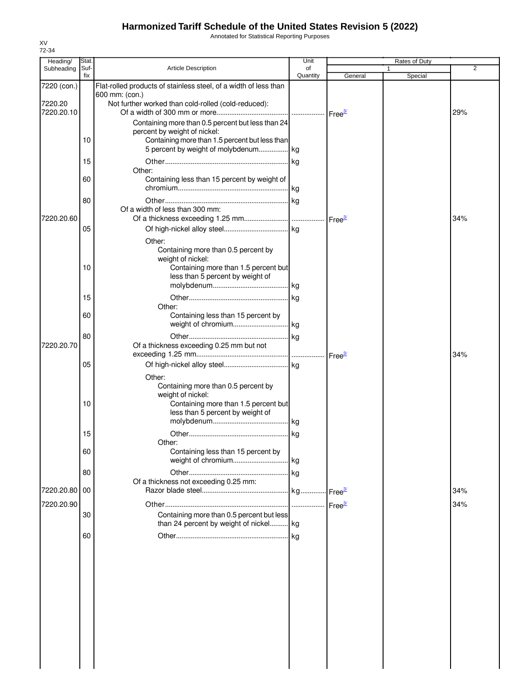Annotated for Statistical Reporting Purposes

| Heading/                    | Stat.       |                                                                                                                                      | Unit           |         | Rates of Duty |            |
|-----------------------------|-------------|--------------------------------------------------------------------------------------------------------------------------------------|----------------|---------|---------------|------------|
| Subheading                  | Suf-<br>fix | <b>Article Description</b>                                                                                                           | οf<br>Quantity | General | 1<br>Special  | 2          |
| 7220 (con.)                 |             | Flat-rolled products of stainless steel, of a width of less than<br>600 mm: (con.)                                                   |                |         |               |            |
| 7220.20<br>7220.20.10       |             | Not further worked than cold-rolled (cold-reduced):                                                                                  |                |         |               | 29%        |
|                             |             | Containing more than 0.5 percent but less than 24<br>percent by weight of nickel:                                                    |                |         |               |            |
|                             | 10          | Containing more than 1.5 percent but less than<br>5 percent by weight of molybdenum kg                                               |                |         |               |            |
|                             | 15<br>60    | Other:<br>Containing less than 15 percent by weight of                                                                               |                |         |               |            |
|                             | 80          |                                                                                                                                      |                |         |               |            |
| 7220.20.60                  |             | Of a width of less than 300 mm:                                                                                                      |                |         |               | 34%        |
|                             | 05          | Other:                                                                                                                               |                |         |               |            |
|                             | 10          | Containing more than 0.5 percent by<br>weight of nickel:<br>Containing more than 1.5 percent but                                     |                |         |               |            |
|                             |             | less than 5 percent by weight of                                                                                                     |                |         |               |            |
|                             | 15<br>60    | Other:                                                                                                                               |                |         |               |            |
|                             | 80          | Containing less than 15 percent by                                                                                                   |                |         |               |            |
| 7220.20.70                  |             | Of a thickness exceeding 0.25 mm but not                                                                                             |                |         |               | 34%        |
|                             | 05          | Other:                                                                                                                               |                |         |               |            |
|                             | 10          | Containing more than 0.5 percent by<br>weight of nickel:<br>Containing more than 1.5 percent but<br>less than 5 percent by weight of |                |         |               |            |
|                             | 15          | Other:                                                                                                                               |                |         |               |            |
|                             | 60          | Containing less than 15 percent by                                                                                                   |                |         |               |            |
|                             | 80          | Of a thickness not exceeding 0.25 mm:                                                                                                |                |         |               |            |
| 7220.20.80 00<br>7220.20.90 |             |                                                                                                                                      |                |         |               | 34%<br>34% |
|                             | 30          | Containing more than 0.5 percent but less<br>than 24 percent by weight of nickel kg                                                  |                |         |               |            |
|                             | 60          |                                                                                                                                      |                |         |               |            |
|                             |             |                                                                                                                                      |                |         |               |            |
|                             |             |                                                                                                                                      |                |         |               |            |
|                             |             |                                                                                                                                      |                |         |               |            |
|                             |             |                                                                                                                                      |                |         |               |            |
|                             |             |                                                                                                                                      |                |         |               |            |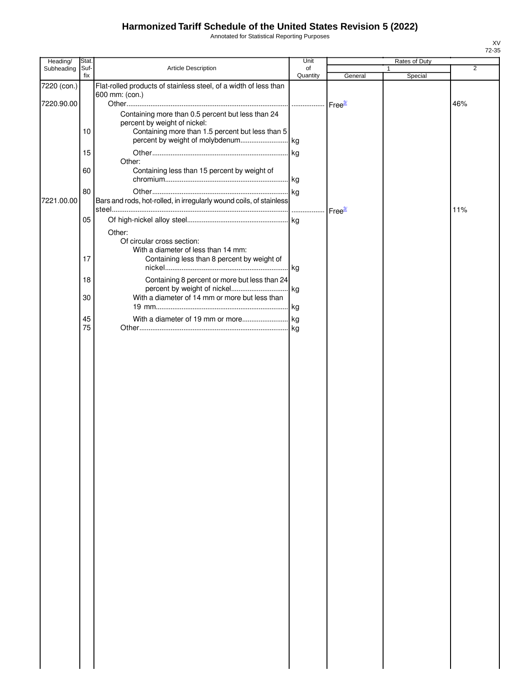Annotated for Statistical Reporting Purposes

| Heading/    | Stat.       |                                                                     | Unit           |         | Rates of Duty |                |
|-------------|-------------|---------------------------------------------------------------------|----------------|---------|---------------|----------------|
| Subheading  | Suf-<br>fix | Article Description                                                 | of<br>Quantity | General | 1<br>Special  | $\overline{2}$ |
| 7220 (con.) |             | Flat-rolled products of stainless steel, of a width of less than    |                |         |               |                |
| 7220.90.00  |             | 600 mm: (con.)                                                      |                |         |               | 46%            |
|             |             | Containing more than 0.5 percent but less than 24                   |                |         |               |                |
|             |             | percent by weight of nickel:                                        |                |         |               |                |
|             | 10          | Containing more than 1.5 percent but less than 5                    |                |         |               |                |
|             |             |                                                                     |                |         |               |                |
|             | 15          | Other:                                                              |                |         |               |                |
|             | 60          | Containing less than 15 percent by weight of                        |                |         |               |                |
|             |             |                                                                     |                |         |               |                |
|             | 80          |                                                                     |                |         |               |                |
| 7221.00.00  |             | Bars and rods, hot-rolled, in irregularly wound coils, of stainless |                |         |               | 11%            |
|             | 05          |                                                                     |                |         |               |                |
|             |             | Other:                                                              |                |         |               |                |
|             |             | Of circular cross section:                                          |                |         |               |                |
|             |             | With a diameter of less than 14 mm:                                 |                |         |               |                |
|             | 17          | Containing less than 8 percent by weight of                         |                |         |               |                |
|             | 18          | Containing 8 percent or more but less than 24                       |                |         |               |                |
|             |             |                                                                     |                |         |               |                |
|             | 30          | With a diameter of 14 mm or more but less than                      |                |         |               |                |
|             |             |                                                                     |                |         |               |                |
|             | 45<br>75    |                                                                     |                |         |               |                |
|             |             |                                                                     |                |         |               |                |
|             |             |                                                                     |                |         |               |                |
|             |             |                                                                     |                |         |               |                |
|             |             |                                                                     |                |         |               |                |
|             |             |                                                                     |                |         |               |                |
|             |             |                                                                     |                |         |               |                |
|             |             |                                                                     |                |         |               |                |
|             |             |                                                                     |                |         |               |                |
|             |             |                                                                     |                |         |               |                |
|             |             |                                                                     |                |         |               |                |
|             |             |                                                                     |                |         |               |                |
|             |             |                                                                     |                |         |               |                |
|             |             |                                                                     |                |         |               |                |
|             |             |                                                                     |                |         |               |                |
|             |             |                                                                     |                |         |               |                |
|             |             |                                                                     |                |         |               |                |
|             |             |                                                                     |                |         |               |                |
|             |             |                                                                     |                |         |               |                |
|             |             |                                                                     |                |         |               |                |
|             |             |                                                                     |                |         |               |                |
|             |             |                                                                     |                |         |               |                |
|             |             |                                                                     |                |         |               |                |
|             |             |                                                                     |                |         |               |                |
|             |             |                                                                     |                |         |               |                |
|             |             |                                                                     |                |         |               |                |
|             |             |                                                                     |                |         |               |                |
|             |             |                                                                     |                |         |               |                |
|             |             |                                                                     |                |         |               |                |
|             |             |                                                                     |                |         |               |                |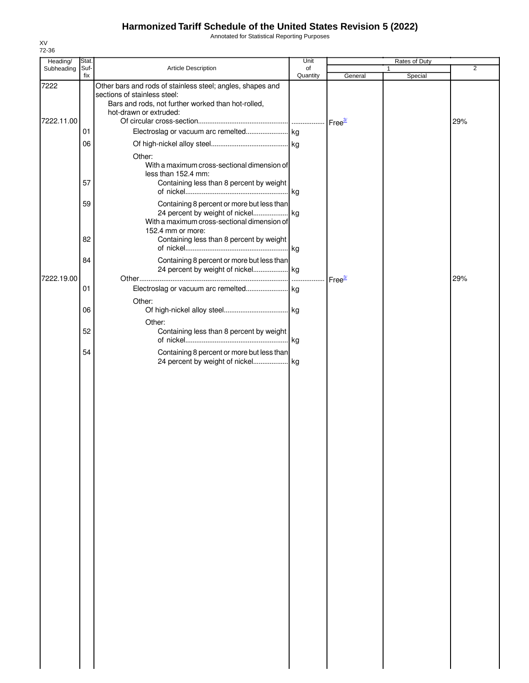Annotated for Statistical Reporting Purposes

| Heading/   | Stat.       |                                                                                                                                                                            | Unit           | Rates of Duty      |              |                |
|------------|-------------|----------------------------------------------------------------------------------------------------------------------------------------------------------------------------|----------------|--------------------|--------------|----------------|
| Subheading | Suf-<br>fix | Article Description                                                                                                                                                        | of<br>Quantity | General            | 1<br>Special | $\overline{2}$ |
| 7222       |             | Other bars and rods of stainless steel; angles, shapes and<br>sections of stainless steel:<br>Bars and rods, not further worked than hot-rolled,<br>hot-drawn or extruded: |                |                    |              |                |
| 7222.11.00 |             |                                                                                                                                                                            |                | Free <sup>3/</sup> |              | 29%            |
|            | 01          |                                                                                                                                                                            |                |                    |              |                |
|            | 06<br>57    | Other:<br>With a maximum cross-sectional dimension of<br>less than 152.4 mm:<br>Containing less than 8 percent by weight                                                   |                |                    |              |                |
|            |             |                                                                                                                                                                            |                |                    |              |                |
|            | 59<br>82    | Containing 8 percent or more but less than<br>With a maximum cross-sectional dimension of<br>152.4 mm or more:<br>Containing less than 8 percent by weight                 |                |                    |              |                |
|            |             |                                                                                                                                                                            |                |                    |              |                |
|            | 84          | Containing 8 percent or more but less than                                                                                                                                 |                |                    |              |                |
| 7222.19.00 | 01          |                                                                                                                                                                            |                | Free <sup>3/</sup> |              | 29%            |
|            |             | Other:                                                                                                                                                                     |                |                    |              |                |
|            | 06          | Other:                                                                                                                                                                     |                |                    |              |                |
|            | 52          | Containing less than 8 percent by weight                                                                                                                                   |                |                    |              |                |
|            | 54          | Containing 8 percent or more but less than                                                                                                                                 |                |                    |              |                |
|            |             |                                                                                                                                                                            |                |                    |              |                |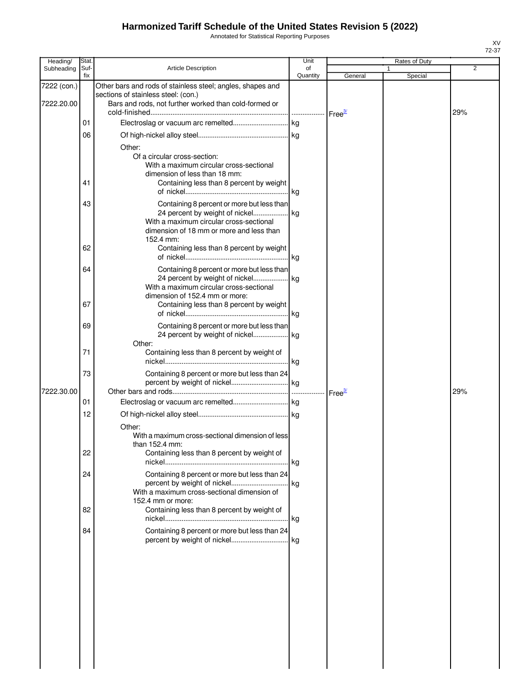Annotated for Statistical Reporting Purposes

| Heading/    | Stat        |                                                                                                                                                                                                                                 | Unit           |                    | Rates of Duty |                |
|-------------|-------------|---------------------------------------------------------------------------------------------------------------------------------------------------------------------------------------------------------------------------------|----------------|--------------------|---------------|----------------|
| Subheading  | Suf-<br>fix | <b>Article Description</b>                                                                                                                                                                                                      | of<br>Quantity |                    |               | $\overline{2}$ |
| 7222 (con.) |             | Other bars and rods of stainless steel; angles, shapes and                                                                                                                                                                      |                | General            | Special       |                |
| 7222.20.00  |             | sections of stainless steel: (con.)<br>Bars and rods, not further worked than cold-formed or                                                                                                                                    |                | Free <sup>3/</sup> |               | 29%            |
|             | 01          |                                                                                                                                                                                                                                 | .              |                    |               |                |
|             | 06          |                                                                                                                                                                                                                                 |                |                    |               |                |
|             | 41          | Other:<br>Of a circular cross-section:<br>With a maximum circular cross-sectional<br>dimension of less than 18 mm:<br>Containing less than 8 percent by weight                                                                  |                |                    |               |                |
|             | 43<br>62    | Containing 8 percent or more but less than<br>24 percent by weight of nickel kg<br>With a maximum circular cross-sectional<br>dimension of 18 mm or more and less than<br>152.4 mm:<br>Containing less than 8 percent by weight |                |                    |               |                |
|             |             |                                                                                                                                                                                                                                 |                |                    |               |                |
|             | 64          | Containing 8 percent or more but less than<br>24 percent by weight of nickel kg<br>With a maximum circular cross-sectional                                                                                                      |                |                    |               |                |
|             | 67          | dimension of 152.4 mm or more:<br>Containing less than 8 percent by weight                                                                                                                                                      |                |                    |               |                |
|             | 69          | Containing 8 percent or more but less than<br>24 percent by weight of nickel kg                                                                                                                                                 |                |                    |               |                |
|             | 71          | Other:<br>Containing less than 8 percent by weight of                                                                                                                                                                           |                |                    |               |                |
| 7222.30.00  | 73          | Containing 8 percent or more but less than 24                                                                                                                                                                                   |                |                    |               | 29%            |
|             | 01          |                                                                                                                                                                                                                                 |                | Free <sup>37</sup> |               |                |
|             | 12          |                                                                                                                                                                                                                                 |                |                    |               |                |
|             | 22          | Other:<br>With a maximum cross-sectional dimension of less<br>than 152.4 mm:<br>Containing less than 8 percent by weight of                                                                                                     |                |                    |               |                |
|             | 24          | Containing 8 percent or more but less than 24                                                                                                                                                                                   |                |                    |               |                |
|             | 82          | With a maximum cross-sectional dimension of<br>152.4 mm or more:<br>Containing less than 8 percent by weight of                                                                                                                 |                |                    |               |                |
|             | 84          | Containing 8 percent or more but less than 24                                                                                                                                                                                   |                |                    |               |                |
|             |             |                                                                                                                                                                                                                                 |                |                    |               |                |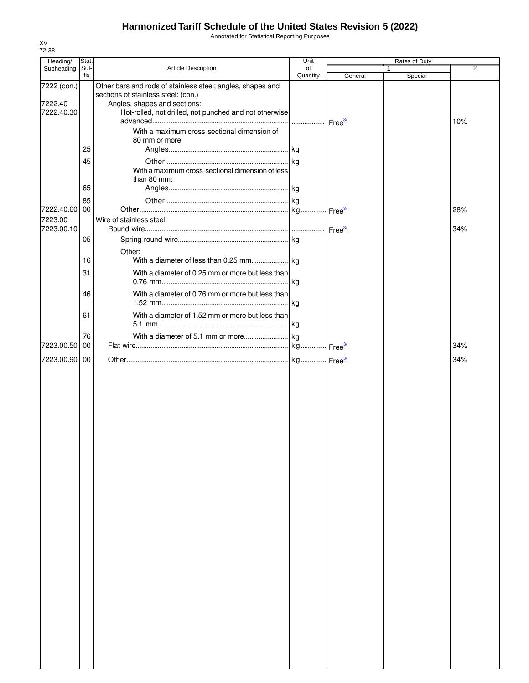Annotated for Statistical Reporting Purposes

| Heading/               | Stat.       |                                                                                                   | Unit                                  |         | Rates of Duty |     |
|------------------------|-------------|---------------------------------------------------------------------------------------------------|---------------------------------------|---------|---------------|-----|
| Subheading             | Suf-<br>fix | Article Description                                                                               | of<br>Quantity                        | General | Special       | 2   |
| 7222 (con.)<br>7222.40 |             | Other bars and rods of stainless steel; angles, shapes and<br>sections of stainless steel: (con.) |                                       |         |               |     |
| 7222.40.30             |             | Angles, shapes and sections:<br>Hot-rolled, not drilled, not punched and not otherwise            | ------------------ Free <sup>3/</sup> |         |               | 10% |
|                        | 25          | With a maximum cross-sectional dimension of<br>80 mm or more:                                     |                                       |         |               |     |
|                        | 45          | With a maximum cross-sectional dimension of less                                                  |                                       |         |               |     |
|                        | 65          | than 80 mm:                                                                                       |                                       |         |               |     |
| 7222.40.60             | 85<br>00    |                                                                                                   |                                       |         |               | 28% |
| 7223.00                |             | Wire of stainless steel:                                                                          |                                       |         |               |     |
| 7223.00.10             | 05          |                                                                                                   |                                       |         |               | 34% |
|                        | 16          | Other:                                                                                            |                                       |         |               |     |
|                        | 31          | With a diameter of 0.25 mm or more but less than                                                  |                                       |         |               |     |
|                        | 46          | With a diameter of 0.76 mm or more but less than                                                  |                                       |         |               |     |
|                        | 61          | With a diameter of 1.52 mm or more but less than                                                  |                                       |         |               |     |
| 7223.00.50             | 76<br>00    |                                                                                                   |                                       |         |               | 34% |
| 7223.00.90 00          |             |                                                                                                   |                                       |         |               | 34% |
|                        |             |                                                                                                   |                                       |         |               |     |
|                        |             |                                                                                                   |                                       |         |               |     |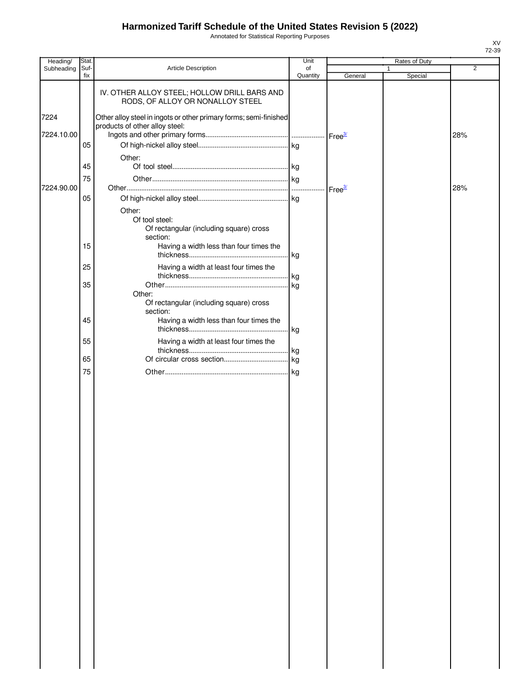Annotated for Statistical Reporting Purposes

| Heading/   | Stat.       |                                                                                                     | Unit           |                    | Rates of Duty |                |
|------------|-------------|-----------------------------------------------------------------------------------------------------|----------------|--------------------|---------------|----------------|
| Subheading | Suf-<br>fix | Article Description                                                                                 | of<br>Quantity | General            | 1<br>Special  | $\overline{2}$ |
|            |             | IV. OTHER ALLOY STEEL; HOLLOW DRILL BARS AND<br>RODS, OF ALLOY OR NONALLOY STEEL                    |                |                    |               |                |
| 7224       |             | Other alloy steel in ingots or other primary forms; semi-finished<br>products of other alloy steel: |                |                    |               |                |
| 7224.10.00 | 05          |                                                                                                     |                |                    |               | 28%            |
|            | 45          | Other:                                                                                              |                |                    |               |                |
| 7224.90.00 | 75          |                                                                                                     |                | Free <sup>3/</sup> |               | 28%            |
|            | 05          | Other:<br>Of tool steel:<br>Of rectangular (including square) cross<br>section:                     |                |                    |               |                |
|            | 15          | Having a width less than four times the                                                             | kg             |                    |               |                |
|            | 25          | Having a width at least four times the                                                              | kg             |                    |               |                |
|            | 35          | Other:<br>Of rectangular (including square) cross<br>section:                                       | lkg.           |                    |               |                |
|            | 45          | Having a width less than four times the                                                             |                |                    |               |                |
|            | 55          | Having a width at least four times the                                                              | kg.            |                    |               |                |
|            | 65          |                                                                                                     |                |                    |               |                |
|            | 75          |                                                                                                     | kg.            |                    |               |                |
|            |             |                                                                                                     |                |                    |               |                |
|            |             |                                                                                                     |                |                    |               |                |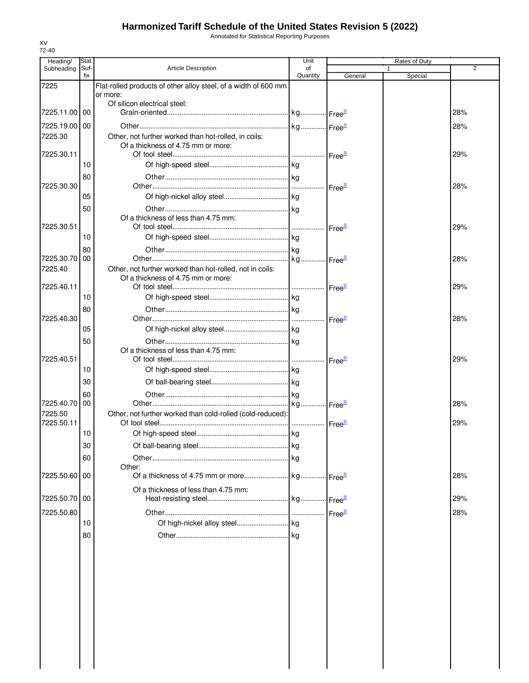Annotated for Statistical Reporting Purposes

| Heading/              | Stat        |                                                                 | Unit           |                    | Rates of Duty |     |
|-----------------------|-------------|-----------------------------------------------------------------|----------------|--------------------|---------------|-----|
| Subheading            | Suf-<br>fix | <b>Article Description</b>                                      | of<br>Quantity | General            | 1<br>Special  | 2   |
| 7225                  |             | Flat-rolled products of other alloy steel, of a width of 600 mm |                |                    |               |     |
|                       |             | or more:<br>Of silicon electrical steel:                        |                |                    |               |     |
| 7225.11.00 00         |             |                                                                 |                |                    |               | 28% |
| 7225.19.00   00       |             |                                                                 |                |                    |               | 28% |
| 7225.30               |             | Other, not further worked than hot-rolled, in coils:            |                |                    |               |     |
|                       |             | Of a thickness of 4.75 mm or more:                              |                |                    |               |     |
| 7225.30.11            |             |                                                                 |                |                    |               | 29% |
|                       | 10          |                                                                 |                |                    |               |     |
| 7225.30.30            | 80          |                                                                 |                | Free <sup>37</sup> |               | 28% |
|                       | 05          |                                                                 |                |                    |               |     |
|                       | 50          |                                                                 |                |                    |               |     |
|                       |             | Of a thickness of less than 4.75 mm:                            |                |                    |               |     |
| 7225.30.51            |             |                                                                 |                | Free <sup>3/</sup> |               | 29% |
|                       | 10          |                                                                 |                |                    |               |     |
| 7225.30.70 00         | 80          |                                                                 |                |                    |               | 28% |
| 7225.40               |             | Other, not further worked than hot-rolled, not in coils:        |                |                    |               |     |
|                       |             | Of a thickness of 4.75 mm or more:                              |                |                    |               |     |
| 7225.40.11            |             |                                                                 |                |                    |               | 29% |
|                       | 10          |                                                                 |                |                    |               |     |
|                       | 80          |                                                                 |                |                    |               |     |
| 7225.40.30            | 05          |                                                                 |                | Free <sup>3/</sup> |               | 28% |
|                       |             |                                                                 |                |                    |               |     |
|                       | 50          | Of a thickness of less than 4.75 mm:                            |                |                    |               |     |
| 7225.40.51            |             |                                                                 |                | Free <sup>3/</sup> |               | 29% |
|                       | 10          |                                                                 |                |                    |               |     |
|                       | 30          |                                                                 |                |                    |               |     |
|                       | 60          |                                                                 |                |                    |               |     |
| 7225.40.70            | 00          |                                                                 |                |                    |               | 28% |
| 7225.50<br>7225.50.11 |             | Other, not further worked than cold-rolled (cold-reduced):      |                |                    |               | 29% |
|                       | 10          |                                                                 |                |                    |               |     |
|                       | 30          |                                                                 |                |                    |               |     |
|                       | 60          |                                                                 |                |                    |               |     |
|                       |             | Other:                                                          |                |                    |               |     |
| 7225.50.60 00         |             |                                                                 |                |                    |               | 28% |
|                       |             | Of a thickness of less than 4.75 mm:                            |                |                    |               |     |
| 7225.50.70 00         |             |                                                                 |                |                    |               | 29% |
| 7225.50.80            |             |                                                                 |                | Free <sup>3/</sup> |               | 28% |
|                       | 10          |                                                                 |                |                    |               |     |
|                       | 80          |                                                                 |                |                    |               |     |
|                       |             |                                                                 |                |                    |               |     |
|                       |             |                                                                 |                |                    |               |     |
|                       |             |                                                                 |                |                    |               |     |
|                       |             |                                                                 |                |                    |               |     |
|                       |             |                                                                 |                |                    |               |     |
|                       |             |                                                                 |                |                    |               |     |
|                       |             |                                                                 |                |                    |               |     |
|                       |             |                                                                 |                |                    |               |     |
|                       |             |                                                                 |                |                    |               |     |
|                       |             |                                                                 |                |                    |               |     |
|                       |             |                                                                 |                |                    |               |     |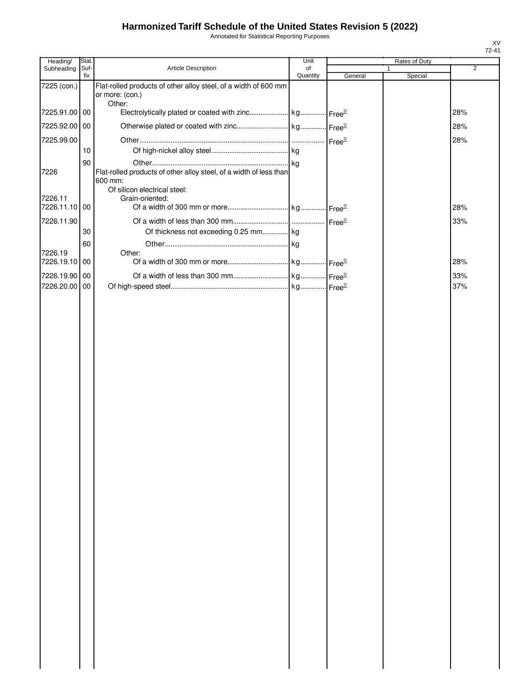Annotated for Statistical Reporting Purposes

| Heading/                 | Stat.       |                                                                                    | Unit           |         | Rates of Duty |                |
|--------------------------|-------------|------------------------------------------------------------------------------------|----------------|---------|---------------|----------------|
| Subheading               | Suf-<br>fix | Article Description                                                                | of<br>Quantity | General | Special       | $\overline{2}$ |
| 7225 (con.)              |             | Flat-rolled products of other alloy steel, of a width of 600 mm<br>or more: (con.) |                |         |               |                |
| 7225.91.00 00            |             | Other:                                                                             |                |         |               | 28%            |
| 7225.92.00 00            |             |                                                                                    |                |         |               | 28%            |
| 7225.99.00               |             |                                                                                    |                |         |               | 28%            |
|                          | 10          |                                                                                    |                |         |               |                |
|                          | 90          |                                                                                    |                |         |               |                |
| 7226                     |             | Flat-rolled products of other alloy steel, of a width of less than<br>600 mm:      |                |         |               |                |
|                          |             | Of silicon electrical steel:                                                       |                |         |               |                |
| 7226.11<br>7226.11.10 00 |             | Grain-oriented:                                                                    |                |         |               | 28%            |
|                          |             |                                                                                    |                |         |               |                |
| 7226.11.90               | 30          | Of thickness not exceeding 0.25 mm kg                                              |                |         |               | 33%            |
|                          | 60          |                                                                                    |                |         |               |                |
| 7226.19                  |             | Other:                                                                             |                |         |               |                |
| 7226.19.10 00            |             |                                                                                    |                |         |               | 28%            |
| 7226.19.90 00            |             |                                                                                    |                |         |               | 33%            |
| 7226.20.00 00            |             |                                                                                    |                |         |               | 37%            |
|                          |             |                                                                                    |                |         |               |                |
|                          |             |                                                                                    |                |         |               |                |
|                          |             |                                                                                    |                |         |               |                |
|                          |             |                                                                                    |                |         |               |                |
|                          |             |                                                                                    |                |         |               |                |
|                          |             |                                                                                    |                |         |               |                |
|                          |             |                                                                                    |                |         |               |                |
|                          |             |                                                                                    |                |         |               |                |
|                          |             |                                                                                    |                |         |               |                |
|                          |             |                                                                                    |                |         |               |                |
|                          |             |                                                                                    |                |         |               |                |
|                          |             |                                                                                    |                |         |               |                |
|                          |             |                                                                                    |                |         |               |                |
|                          |             |                                                                                    |                |         |               |                |
|                          |             |                                                                                    |                |         |               |                |
|                          |             |                                                                                    |                |         |               |                |
|                          |             |                                                                                    |                |         |               |                |
|                          |             |                                                                                    |                |         |               |                |
|                          |             |                                                                                    |                |         |               |                |
|                          |             |                                                                                    |                |         |               |                |
|                          |             |                                                                                    |                |         |               |                |
|                          |             |                                                                                    |                |         |               |                |
|                          |             |                                                                                    |                |         |               |                |
|                          |             |                                                                                    |                |         |               |                |
|                          |             |                                                                                    |                |         |               |                |
|                          |             |                                                                                    |                |         |               |                |
|                          |             |                                                                                    |                |         |               |                |
|                          |             |                                                                                    |                |         |               |                |
|                          |             |                                                                                    |                |         |               |                |
|                          |             |                                                                                    |                |         |               |                |
|                          |             |                                                                                    |                |         |               |                |
|                          |             |                                                                                    |                |         |               |                |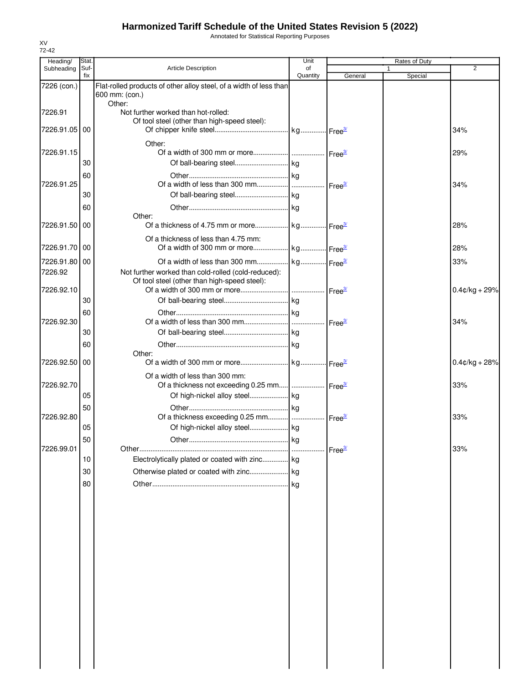Annotated for Statistical Reporting Purposes

| Heading/      | Stat.       |                                                                                                     | Unit           |                    | Rates of Duty           |                  |
|---------------|-------------|-----------------------------------------------------------------------------------------------------|----------------|--------------------|-------------------------|------------------|
| Subheading    | Suf-<br>fix | Article Description                                                                                 | of<br>Quantity | General            | $\mathbf{1}$<br>Special | 2                |
| 7226 (con.)   |             | Flat-rolled products of other alloy steel, of a width of less than<br>600 mm: (con.)                |                |                    |                         |                  |
| 7226.91       |             | Other:<br>Not further worked than hot-rolled:                                                       |                |                    |                         |                  |
| 7226.91.05 00 |             | Of tool steel (other than high-speed steel):                                                        |                |                    |                         | 34%              |
| 7226.91.15    |             | Other:                                                                                              |                |                    |                         | 29%              |
|               | 30          |                                                                                                     |                |                    |                         |                  |
| 7226.91.25    | 60          |                                                                                                     | .              | Free <sup>3/</sup> |                         | 34%              |
|               | 30          | Of ball-bearing steel kg                                                                            |                |                    |                         |                  |
|               | 60          |                                                                                                     |                |                    |                         |                  |
| 7226.91.50 00 |             | Other:                                                                                              |                |                    |                         | 28%              |
| 7226.91.70 00 |             | Of a thickness of less than 4.75 mm:                                                                |                |                    |                         | 28%              |
| 7226.91.80 00 |             |                                                                                                     |                |                    |                         | 33%              |
| 7226.92       |             | Not further worked than cold-rolled (cold-reduced):<br>Of tool steel (other than high-speed steel): |                |                    |                         |                  |
| 7226.92.10    |             |                                                                                                     |                |                    |                         | $0.4$ ¢/kg + 29% |
|               | 30          |                                                                                                     |                |                    |                         |                  |
|               | 60          |                                                                                                     |                |                    |                         |                  |
| 7226.92.30    |             |                                                                                                     |                |                    |                         | 34%              |
|               | 30          |                                                                                                     |                |                    |                         |                  |
|               | 60          |                                                                                                     |                |                    |                         |                  |
| 7226.92.50    | 00          | Other:                                                                                              |                |                    |                         | $0.4$ ¢/kg + 28% |
| 7226.92.70    |             | Of a width of less than 300 mm:<br>Of a thickness not exceeding 0.25 mm  Free <sup>3/</sup>         |                |                    |                         | 33%              |
|               | 05          |                                                                                                     |                |                    |                         |                  |
|               | 50          |                                                                                                     |                |                    |                         |                  |
| 7226.92.80    |             |                                                                                                     |                |                    |                         | 33%              |
|               | 05          |                                                                                                     |                |                    |                         |                  |
|               | 50          |                                                                                                     | kg             |                    |                         |                  |
| 7226.99.01    |             |                                                                                                     | $\cdots$       | Free <sup>3/</sup> |                         | 33%              |
|               | 10          | Electrolytically plated or coated with zinc kg                                                      |                |                    |                         |                  |
|               | 30          |                                                                                                     |                |                    |                         |                  |
|               | 80          |                                                                                                     |                |                    |                         |                  |
|               |             |                                                                                                     |                |                    |                         |                  |
|               |             |                                                                                                     |                |                    |                         |                  |
|               |             |                                                                                                     |                |                    |                         |                  |
|               |             |                                                                                                     |                |                    |                         |                  |
|               |             |                                                                                                     |                |                    |                         |                  |
|               |             |                                                                                                     |                |                    |                         |                  |
|               |             |                                                                                                     |                |                    |                         |                  |
|               |             |                                                                                                     |                |                    |                         |                  |
|               |             |                                                                                                     |                |                    |                         |                  |
|               |             |                                                                                                     |                |                    |                         |                  |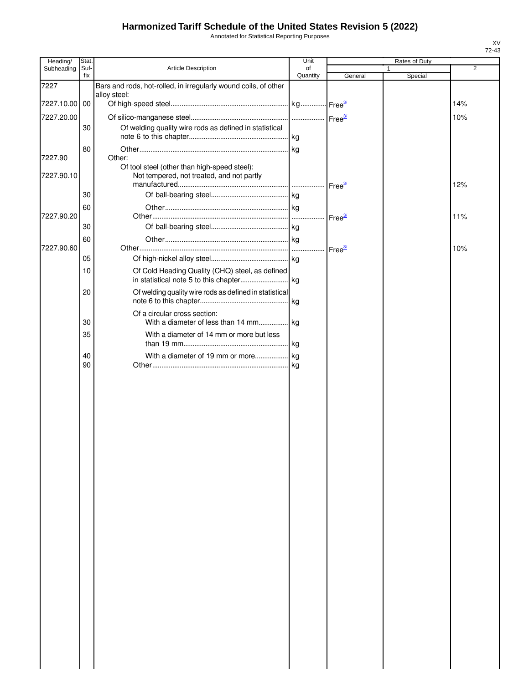Annotated for Statistical Reporting Purposes

| Heading/              | Stat. |                                                                                           | Unit     |                    | Rates of Duty |         |                |
|-----------------------|-------|-------------------------------------------------------------------------------------------|----------|--------------------|---------------|---------|----------------|
| Subheading            | Suf-  | Article Description                                                                       | of       |                    | 1             |         | $\overline{2}$ |
|                       | fix   |                                                                                           | Quantity | General            |               | Special |                |
| 7227                  |       | Bars and rods, hot-rolled, in irregularly wound coils, of other<br>alloy steel:           |          |                    |               |         |                |
| 7227.10.00 00         |       |                                                                                           |          |                    |               |         | 14%            |
|                       |       |                                                                                           |          |                    |               |         |                |
| 7227.20.00            |       |                                                                                           |          |                    |               |         | 10%            |
|                       | 30    | Of welding quality wire rods as defined in statistical                                    |          |                    |               |         |                |
|                       |       |                                                                                           |          |                    |               |         |                |
|                       | 80    | Other:                                                                                    |          |                    |               |         |                |
| 7227.90<br>7227.90.10 |       | Of tool steel (other than high-speed steel):<br>Not tempered, not treated, and not partly |          |                    |               |         |                |
|                       |       |                                                                                           |          |                    |               |         | 12%            |
|                       | 30    |                                                                                           |          |                    |               |         |                |
|                       | 60    |                                                                                           |          |                    |               |         |                |
| 7227.90.20            |       |                                                                                           |          | Free <sup>3/</sup> |               |         | 11%            |
|                       | 30    |                                                                                           |          |                    |               |         |                |
|                       | 60    |                                                                                           |          |                    |               |         |                |
| 7227.90.60            |       |                                                                                           |          |                    |               |         | 10%            |
|                       | 05    |                                                                                           |          |                    |               |         |                |
|                       | 10    | Of Cold Heading Quality (CHQ) steel, as defined                                           |          |                    |               |         |                |
|                       | 20    | Of welding quality wire rods as defined in statistical                                    | kg       |                    |               |         |                |
|                       | 30    | Of a circular cross section:                                                              |          |                    |               |         |                |
|                       | 35    | With a diameter of 14 mm or more but less                                                 |          |                    |               |         |                |
|                       |       |                                                                                           |          |                    |               |         |                |
|                       | 40    |                                                                                           |          |                    |               |         |                |
|                       | 90    |                                                                                           |          |                    |               |         |                |
|                       |       |                                                                                           |          |                    |               |         |                |
|                       |       |                                                                                           |          |                    |               |         |                |
|                       |       |                                                                                           |          |                    |               |         |                |
|                       |       |                                                                                           |          |                    |               |         |                |
|                       |       |                                                                                           |          |                    |               |         |                |
|                       |       |                                                                                           |          |                    |               |         |                |
|                       |       |                                                                                           |          |                    |               |         |                |
|                       |       |                                                                                           |          |                    |               |         |                |
|                       |       |                                                                                           |          |                    |               |         |                |
|                       |       |                                                                                           |          |                    |               |         |                |
|                       |       |                                                                                           |          |                    |               |         |                |
|                       |       |                                                                                           |          |                    |               |         |                |
|                       |       |                                                                                           |          |                    |               |         |                |
|                       |       |                                                                                           |          |                    |               |         |                |
|                       |       |                                                                                           |          |                    |               |         |                |
|                       |       |                                                                                           |          |                    |               |         |                |
|                       |       |                                                                                           |          |                    |               |         |                |
|                       |       |                                                                                           |          |                    |               |         |                |
|                       |       |                                                                                           |          |                    |               |         |                |
|                       |       |                                                                                           |          |                    |               |         |                |
|                       |       |                                                                                           |          |                    |               |         |                |
|                       |       |                                                                                           |          |                    |               |         |                |
|                       |       |                                                                                           |          |                    |               |         |                |
|                       |       |                                                                                           |          |                    |               |         |                |
|                       |       |                                                                                           |          |                    |               |         |                |
|                       |       |                                                                                           |          |                    |               |         |                |
|                       |       |                                                                                           |          |                    |               |         |                |
|                       |       |                                                                                           |          |                    |               |         |                |
|                       |       |                                                                                           |          |                    |               |         |                |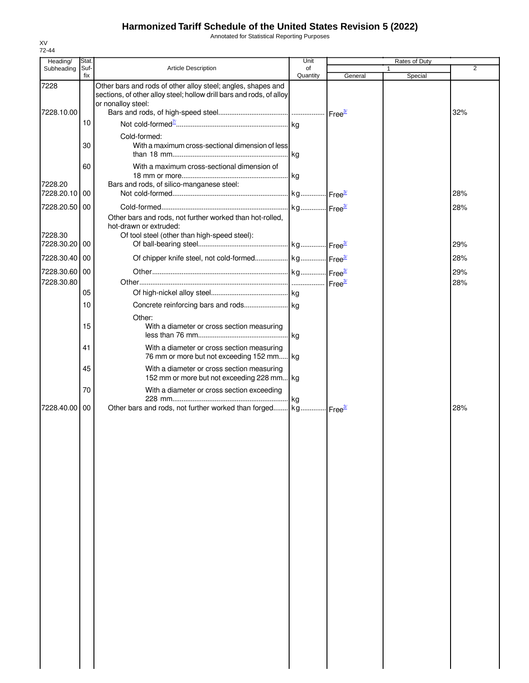Annotated for Statistical Reporting Purposes

| Heading/                    | Stat.       |                                                                                                                                                            | Unit           |         | Rates of Duty |            |
|-----------------------------|-------------|------------------------------------------------------------------------------------------------------------------------------------------------------------|----------------|---------|---------------|------------|
| Subheading                  | Suf-<br>fix | <b>Article Description</b>                                                                                                                                 | of<br>Quantity | General | Special       | 2          |
| 7228<br>7228.10.00          |             | Other bars and rods of other alloy steel; angles, shapes and<br>sections, of other alloy steel; hollow drill bars and rods, of alloy<br>or nonalloy steel: |                |         |               |            |
|                             | 10          |                                                                                                                                                            |                |         |               | 32%        |
|                             | 30          | Cold-formed:<br>With a maximum cross-sectional dimension of less                                                                                           | l ka           |         |               |            |
|                             | 60          | With a maximum cross-sectional dimension of                                                                                                                |                |         |               |            |
| 7228.20<br>7228.20.10 00    |             | Bars and rods, of silico-manganese steel:                                                                                                                  |                |         |               | 28%        |
| 7228.20.50 00               |             |                                                                                                                                                            |                |         |               | 28%        |
|                             |             | Other bars and rods, not further worked than hot-rolled,<br>hot-drawn or extruded:                                                                         |                |         |               |            |
| 7228.30<br>7228.30.20 00    |             | Of tool steel (other than high-speed steel):                                                                                                               |                |         |               | 29%        |
| 7228.30.40                  | 00          |                                                                                                                                                            |                |         |               | 28%        |
| 7228.30.60 00<br>7228.30.80 |             |                                                                                                                                                            |                |         |               | 29%<br>28% |
|                             | 05          |                                                                                                                                                            |                |         |               |            |
|                             | 10          |                                                                                                                                                            |                |         |               |            |
|                             | 15          | Other:<br>With a diameter or cross section measuring                                                                                                       |                |         |               |            |
|                             | 41          | With a diameter or cross section measuring<br>76 mm or more but not exceeding 152 mm kg                                                                    |                |         |               |            |
|                             | 45          | With a diameter or cross section measuring<br>152 mm or more but not exceeding 228 mm kg                                                                   |                |         |               |            |
|                             | 70          | With a diameter or cross section exceeding                                                                                                                 | .lka           |         |               |            |
| 7228.40.00                  | 00          | Other bars and rods, not further worked than forged kg Free <sup>31</sup>                                                                                  |                |         |               | 28%        |
|                             |             |                                                                                                                                                            |                |         |               |            |
|                             |             |                                                                                                                                                            |                |         |               |            |
|                             |             |                                                                                                                                                            |                |         |               |            |
|                             |             |                                                                                                                                                            |                |         |               |            |
|                             |             |                                                                                                                                                            |                |         |               |            |
|                             |             |                                                                                                                                                            |                |         |               |            |
|                             |             |                                                                                                                                                            |                |         |               |            |
|                             |             |                                                                                                                                                            |                |         |               |            |
|                             |             |                                                                                                                                                            |                |         |               |            |
|                             |             |                                                                                                                                                            |                |         |               |            |
|                             |             |                                                                                                                                                            |                |         |               |            |
|                             |             |                                                                                                                                                            |                |         |               |            |

XV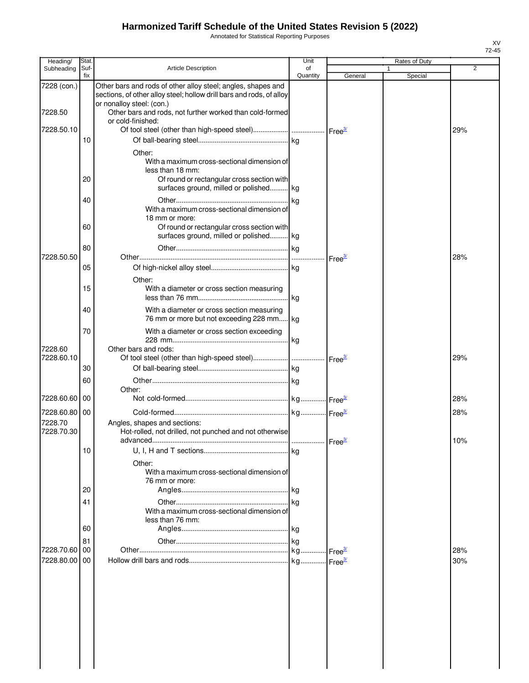Annotated for Statistical Reporting Purposes

| Heading/              | Stat.       |                                                                                                                                                         | Unit           |                      | Rates of Duty |     |
|-----------------------|-------------|---------------------------------------------------------------------------------------------------------------------------------------------------------|----------------|----------------------|---------------|-----|
| Subheading            | Suf-<br>fix | <b>Article Description</b>                                                                                                                              | of<br>Quantity | General              | 1             | 2   |
| 7228 (con.)           |             | Other bars and rods of other alloy steel; angles, shapes and<br>sections, of other alloy steel; hollow drill bars and rods, of alloy                    |                |                      | Special       |     |
| 7228.50               |             | or nonalloy steel: (con.)<br>Other bars and rods, not further worked than cold-formed<br>or cold-finished:                                              |                |                      |               |     |
| 7228.50.10            |             |                                                                                                                                                         |                |                      |               | 29% |
|                       | 10          | Other:                                                                                                                                                  |                |                      |               |     |
|                       | 20          | With a maximum cross-sectional dimension of<br>less than 18 mm:<br>Of round or rectangular cross section with<br>surfaces ground, milled or polished kg |                |                      |               |     |
|                       | 40          | With a maximum cross-sectional dimension of                                                                                                             | kg             |                      |               |     |
|                       | 60          | 18 mm or more:<br>Of round or rectangular cross section with<br>surfaces ground, milled or polished kg                                                  |                |                      |               |     |
| 7228.50.50            | 80          |                                                                                                                                                         |                | Free <sup>37</sup>   |               | 28% |
|                       | 05          |                                                                                                                                                         |                |                      |               |     |
|                       | 15          | Other:<br>With a diameter or cross section measuring                                                                                                    | l kg           |                      |               |     |
|                       | 40          | With a diameter or cross section measuring<br>76 mm or more but not exceeding 228 mm kg                                                                 |                |                      |               |     |
| 7228.60               | 70          | With a diameter or cross section exceeding<br>Other bars and rods:                                                                                      | kg             |                      |               |     |
| 7228.60.10            |             |                                                                                                                                                         |                | Free <sup>3/</sup>   |               | 29% |
|                       | 30<br>60    |                                                                                                                                                         |                |                      |               |     |
| 7228.60.60 00         |             | Other:                                                                                                                                                  |                |                      |               | 28% |
| 7228.60.80 00         |             |                                                                                                                                                         |                |                      |               | 28% |
| 7228.70<br>7228.70.30 |             | Angles, shapes and sections:<br>Hot-rolled, not drilled, not punched and not otherwise<br>advanced                                                      |                | Free <sup>3/</sup>   |               | 10% |
|                       | 10          | Other:                                                                                                                                                  |                |                      |               |     |
|                       | 20          | With a maximum cross-sectional dimension of<br>76 mm or more:                                                                                           |                |                      |               |     |
|                       | 41          | With a maximum cross-sectional dimension of<br>less than 76 mm:                                                                                         |                |                      |               |     |
|                       | 60          |                                                                                                                                                         |                |                      |               |     |
| 7228.70.60 00         | 81          |                                                                                                                                                         |                | Free <sup>3/</sup>   |               | 28% |
| 7228.80.00 00         |             |                                                                                                                                                         |                | - Free <sup>3/</sup> |               | 30% |
|                       |             |                                                                                                                                                         |                |                      |               |     |
|                       |             |                                                                                                                                                         |                |                      |               |     |
|                       |             |                                                                                                                                                         |                |                      |               |     |
|                       |             |                                                                                                                                                         |                |                      |               |     |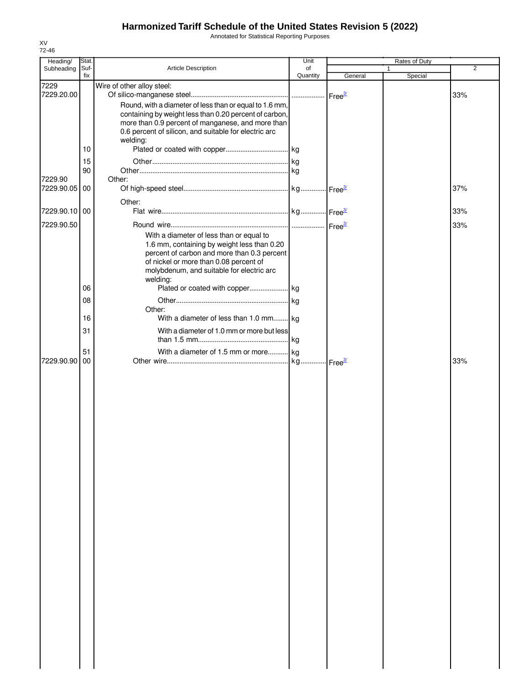Annotated for Statistical Reporting Purposes

| Heading/      | Stat. |                                                                   | Unit     | Rates of Duty |         |     |
|---------------|-------|-------------------------------------------------------------------|----------|---------------|---------|-----|
| Subheading    | Suf-  | <b>Article Description</b>                                        | of       |               |         | 2   |
|               | fix   |                                                                   | Quantity | General       | Special |     |
| 7229          |       | Wire of other alloy steel:                                        |          |               |         |     |
| 7229.20.00    |       |                                                                   |          |               |         | 33% |
|               |       | Round, with a diameter of less than or equal to 1.6 mm,           |          |               |         |     |
|               |       | containing by weight less than 0.20 percent of carbon,            |          |               |         |     |
|               |       | more than 0.9 percent of manganese, and more than                 |          |               |         |     |
|               |       | 0.6 percent of silicon, and suitable for electric arc<br>welding: |          |               |         |     |
|               | 10    |                                                                   |          |               |         |     |
|               |       |                                                                   |          |               |         |     |
|               | 15    |                                                                   |          |               |         |     |
|               | 90    |                                                                   |          |               |         |     |
| 7229.90       |       | Other:                                                            |          |               |         |     |
| 7229.90.05 00 |       |                                                                   |          |               |         | 37% |
|               |       | Other:                                                            |          |               |         |     |
| 7229.90.10 00 |       |                                                                   |          |               |         | 33% |
| 7229.90.50    |       |                                                                   |          |               |         | 33% |
|               |       | With a diameter of less than or equal to                          |          |               |         |     |
|               |       | 1.6 mm, containing by weight less than 0.20                       |          |               |         |     |
|               |       | percent of carbon and more than 0.3 percent                       |          |               |         |     |
|               |       | of nickel or more than 0.08 percent of                            |          |               |         |     |
|               |       | molybdenum, and suitable for electric arc                         |          |               |         |     |
|               |       | welding:                                                          |          |               |         |     |
|               | 06    |                                                                   |          |               |         |     |
|               | 08    |                                                                   |          |               |         |     |
|               |       | Other:                                                            |          |               |         |     |
|               | 16    | With a diameter of less than 1.0 mm kg                            |          |               |         |     |
|               | 31    | With a diameter of 1.0 mm or more but less                        |          |               |         |     |
|               |       |                                                                   |          |               |         |     |
|               | 51    | With a diameter of 1.5 mm or more kg                              |          |               |         |     |
| 7229.90.90    | 00    |                                                                   |          |               |         | 33% |
|               |       |                                                                   |          |               |         |     |
|               |       |                                                                   |          |               |         |     |
|               |       |                                                                   |          |               |         |     |
|               |       |                                                                   |          |               |         |     |
|               |       |                                                                   |          |               |         |     |
|               |       |                                                                   |          |               |         |     |
|               |       |                                                                   |          |               |         |     |
|               |       |                                                                   |          |               |         |     |
|               |       |                                                                   |          |               |         |     |
|               |       |                                                                   |          |               |         |     |
|               |       |                                                                   |          |               |         |     |
|               |       |                                                                   |          |               |         |     |
|               |       |                                                                   |          |               |         |     |
|               |       |                                                                   |          |               |         |     |
|               |       |                                                                   |          |               |         |     |
|               |       |                                                                   |          |               |         |     |
|               |       |                                                                   |          |               |         |     |
|               |       |                                                                   |          |               |         |     |
|               |       |                                                                   |          |               |         |     |
|               |       |                                                                   |          |               |         |     |
|               |       |                                                                   |          |               |         |     |
|               |       |                                                                   |          |               |         |     |
|               |       |                                                                   |          |               |         |     |
|               |       |                                                                   |          |               |         |     |
|               |       |                                                                   |          |               |         |     |
|               |       |                                                                   |          |               |         |     |
|               |       |                                                                   |          |               |         |     |
|               |       |                                                                   |          |               |         |     |
|               |       |                                                                   |          |               |         |     |
|               |       |                                                                   |          |               |         |     |
|               |       |                                                                   |          |               |         |     |
|               |       |                                                                   |          |               |         |     |